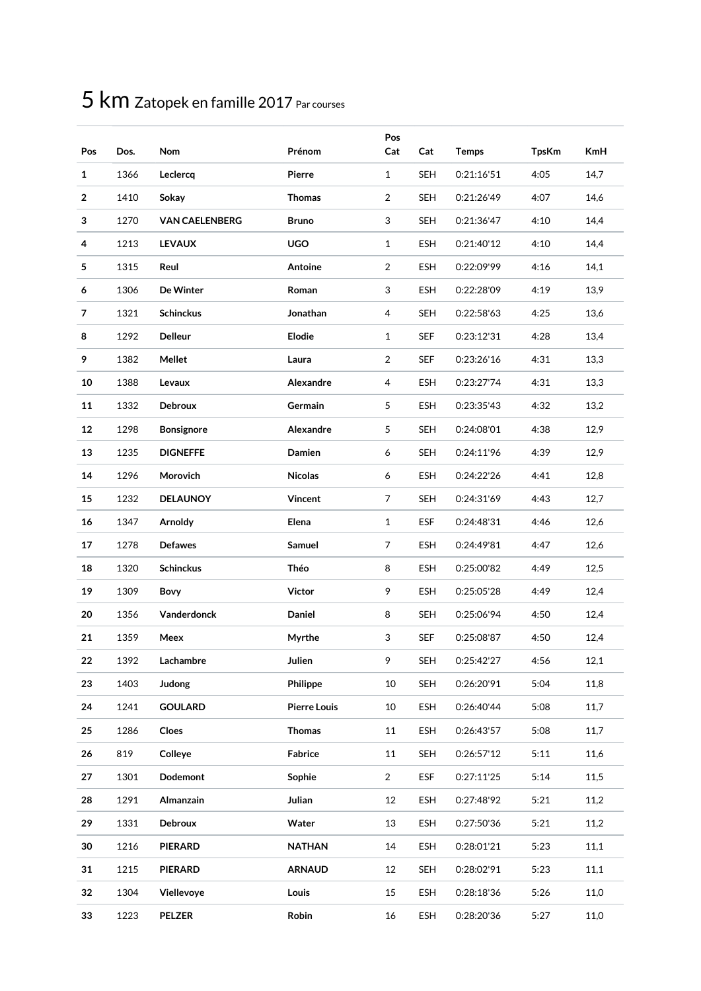| Pos            | Dos. | Nom                   | Prénom              | Pos<br>Cat     | Cat        | <b>Temps</b> | <b>TpsKm</b> | <b>KmH</b> |
|----------------|------|-----------------------|---------------------|----------------|------------|--------------|--------------|------------|
| $\mathbf{1}$   | 1366 | Leclercq              | Pierre              | $\mathbf{1}$   | <b>SEH</b> | 0:21:16'51   | 4:05         | 14,7       |
| $\overline{2}$ | 1410 | Sokay                 | <b>Thomas</b>       | $\overline{2}$ | <b>SEH</b> | 0:21:26'49   | 4:07         | 14,6       |
| 3              | 1270 | <b>VAN CAELENBERG</b> | <b>Bruno</b>        | 3              | <b>SEH</b> | 0:21:36'47   | 4:10         | 14,4       |
| 4              | 1213 | <b>LEVAUX</b>         | <b>UGO</b>          | $\mathbf{1}$   | <b>ESH</b> | 0:21:40'12   | 4:10         | 14,4       |
| 5              | 1315 | Reul                  | Antoine             | 2              | ESH        | 0:22:09'99   | 4:16         | 14,1       |
| 6              | 1306 | De Winter             | Roman               | 3              | <b>ESH</b> | 0:22:28'09   | 4:19         | 13,9       |
| 7              | 1321 | <b>Schinckus</b>      | Jonathan            | 4              | <b>SEH</b> | 0:22:58'63   | 4:25         | 13,6       |
| 8              | 1292 | <b>Delleur</b>        | Elodie              | 1              | <b>SEF</b> | 0:23:12'31   | 4:28         | 13,4       |
| 9              | 1382 | Mellet                | Laura               | $\overline{2}$ | <b>SEF</b> | 0:23:26'16   | 4:31         | 13,3       |
| 10             | 1388 | Levaux                | Alexandre           | 4              | <b>ESH</b> | 0:23:27'74   | 4:31         | 13,3       |
| 11             | 1332 | Debroux               | Germain             | 5              | <b>ESH</b> | 0:23:35'43   | 4:32         | 13,2       |
| 12             | 1298 | <b>Bonsignore</b>     | Alexandre           | 5              | SEH        | 0:24:08'01   | 4:38         | 12,9       |
| 13             | 1235 | <b>DIGNEFFE</b>       | Damien              | 6              | <b>SEH</b> | 0:24:11'96   | 4:39         | 12,9       |
| 14             | 1296 | Morovich              | <b>Nicolas</b>      | 6              | ESH        | 0:24:22'26   | 4:41         | 12,8       |
| 15             | 1232 | <b>DELAUNOY</b>       | Vincent             | $\overline{7}$ | <b>SEH</b> | 0:24:31'69   | 4:43         | 12,7       |
| 16             | 1347 | Arnoldy               | Elena               | $\mathbf{1}$   | <b>ESF</b> | 0:24:48'31   | 4:46         | 12,6       |
| 17             | 1278 | <b>Defawes</b>        | Samuel              | $\overline{7}$ | <b>ESH</b> | 0:24:49'81   | 4:47         | 12,6       |
| 18             | 1320 | <b>Schinckus</b>      | Théo                | 8              | ESH        | 0:25:00'82   | 4:49         | 12,5       |
| 19             | 1309 | Bovy                  | Victor              | 9              | <b>ESH</b> | 0:25:05'28   | 4:49         | 12,4       |
| 20             | 1356 | Vanderdonck           | Daniel              | 8              | <b>SEH</b> | 0:25:06'94   | 4:50         | 12,4       |
| 21             | 1359 | Meex                  | Myrthe              | 3              | <b>SEF</b> | 0:25:08'87   | 4:50         | 12,4       |
| 22             | 1392 | Lachambre             | Julien              | 9              | SEH        | 0:25:42'27   | 4:56         | 12,1       |
| 23             | 1403 | Judong                | Philippe            | 10             | <b>SEH</b> | 0:26:20'91   | 5:04         | 11,8       |
| 24             | 1241 | <b>GOULARD</b>        | <b>Pierre Louis</b> | 10             | ESH        | 0:26:40'44   | 5:08         | 11,7       |
| 25             | 1286 | Cloes                 | <b>Thomas</b>       | 11             | ESH        | 0:26:43'57   | 5:08         | 11,7       |
| 26             | 819  | Colleye               | Fabrice             | 11             | <b>SEH</b> | 0:26:57'12   | 5:11         | 11,6       |
| 27             | 1301 | Dodemont              | Sophie              | $\overline{2}$ | <b>ESF</b> | 0:27:11'25   | 5:14         | 11,5       |
| 28             | 1291 | Almanzain             | Julian              | 12             | ESH        | 0:27:48'92   | 5:21         | 11,2       |
| 29             | 1331 | Debroux               | Water               | 13             | <b>ESH</b> | 0:27:50'36   | 5:21         | 11,2       |
| 30             | 1216 | <b>PIERARD</b>        | <b>NATHAN</b>       | 14             | ESH        | 0:28:01'21   | 5:23         | 11,1       |
| 31             | 1215 | <b>PIERARD</b>        | <b>ARNAUD</b>       | 12             | <b>SEH</b> | 0:28:02'91   | 5:23         | 11,1       |
| 32             | 1304 | Viellevoye            | Louis               | 15             | ESH        | 0:28:18'36   | 5:26         | 11,0       |
| 33             | 1223 | <b>PELZER</b>         | Robin               | $16\,$         | ESH        | 0:28:20'36   | 5:27         | 11,0       |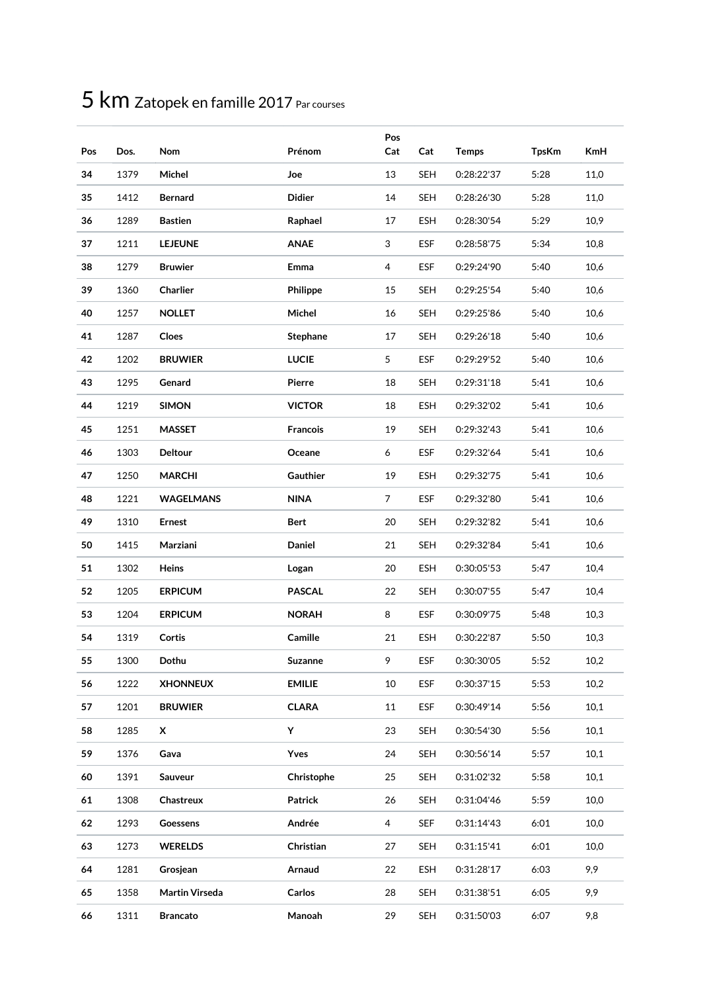| Pos | Dos. | Nom              | Prénom          | Pos<br>Cat     | Cat        | <b>Temps</b> | <b>TpsKm</b> | <b>KmH</b> |
|-----|------|------------------|-----------------|----------------|------------|--------------|--------------|------------|
| 34  | 1379 | Michel           | Joe             | 13             | <b>SEH</b> | 0:28:22'37   | 5:28         | 11,0       |
| 35  | 1412 | <b>Bernard</b>   | <b>Didier</b>   | 14             | <b>SEH</b> | 0:28:26'30   | 5:28         | 11,0       |
| 36  | 1289 | <b>Bastien</b>   | Raphael         | 17             | <b>ESH</b> | 0:28:30'54   | 5:29         | 10,9       |
| 37  | 1211 | <b>LEJEUNE</b>   | <b>ANAE</b>     | 3              | ESF        | 0:28:58'75   | 5:34         | 10,8       |
| 38  | 1279 | <b>Bruwier</b>   | Emma            | 4              | ESF        | 0:29:24'90   | 5:40         | 10,6       |
| 39  | 1360 | Charlier         | Philippe        | 15             | <b>SEH</b> | 0:29:25'54   | 5:40         | 10,6       |
| 40  | 1257 | <b>NOLLET</b>    | Michel          | 16             | <b>SEH</b> | 0:29:25'86   | 5:40         | 10,6       |
| 41  | 1287 | Cloes            | <b>Stephane</b> | 17             | <b>SEH</b> | 0:29:26'18   | 5:40         | 10,6       |
| 42  | 1202 | <b>BRUWIER</b>   | <b>LUCIE</b>    | 5              | ESF        | 0:29:29'52   | 5:40         | 10,6       |
| 43  | 1295 | Genard           | Pierre          | 18             | <b>SEH</b> | 0:29:31'18   | 5:41         | 10,6       |
| 44  | 1219 | <b>SIMON</b>     | <b>VICTOR</b>   | 18             | <b>ESH</b> | 0:29:32'02   | 5:41         | 10,6       |
| 45  | 1251 | <b>MASSET</b>    | <b>Francois</b> | 19             | <b>SEH</b> | 0:29:32'43   | 5:41         | 10,6       |
| 46  | 1303 | <b>Deltour</b>   | Oceane          | 6              | ESF        | 0:29:32'64   | 5:41         | 10,6       |
| 47  | 1250 | <b>MARCHI</b>    | Gauthier        | 19             | ESH        | 0:29:32'75   | 5:41         | 10,6       |
| 48  | 1221 | <b>WAGELMANS</b> | <b>NINA</b>     | $\overline{7}$ | ESF        | 0:29:32'80   | 5:41         | 10,6       |
| 49  | 1310 | <b>Ernest</b>    | <b>Bert</b>     | 20             | <b>SEH</b> | 0:29:32'82   | 5:41         | 10,6       |
| 50  | 1415 | Marziani         | Daniel          | 21             | <b>SEH</b> | 0:29:32'84   | 5:41         | 10,6       |
| 51  | 1302 | Heins            | Logan           | 20             | ESH        | 0:30:05'53   | 5:47         | 10,4       |
| 52  | 1205 | <b>ERPICUM</b>   | <b>PASCAL</b>   | 22             | <b>SEH</b> | 0:30:07'55   | 5:47         | 10,4       |
| 53  | 1204 | <b>ERPICUM</b>   | <b>NORAH</b>    | 8              | ESF        | 0:30:09'75   | 5:48         | 10,3       |
| 54  | 1319 | Cortis           | Camille         | 21             | ESH        | 0:30:22'87   | 5:50         | 10,3       |
| 55  | 1300 | Dothu            | <b>Suzanne</b>  | 9              | ESF        | 0:30:30'05   | 5:52         | 10,2       |
| 56  | 1222 | <b>XHONNEUX</b>  | <b>EMILIE</b>   | 10             | ESF        | 0:30:37'15   | 5:53         | 10,2       |
| 57  | 1201 | <b>BRUWIER</b>   | <b>CLARA</b>    | 11             | ESF        | 0:30:49'14   | 5:56         | 10,1       |
| 58  | 1285 | x                | Y               | 23             | <b>SEH</b> | 0:30:54'30   | 5:56         | 10,1       |
| 59  | 1376 | Gava             | Yves            | 24             | <b>SEH</b> | 0:30:56'14   | 5:57         | 10,1       |
| 60  | 1391 | Sauveur          | Christophe      | 25             | <b>SEH</b> | 0:31:02'32   | 5:58         | 10,1       |
| 61  | 1308 | Chastreux        | Patrick         | 26             | <b>SEH</b> | 0:31:04'46   | 5:59         | 10,0       |
| 62  | 1293 | Goessens         | Andrée          | 4              | <b>SEF</b> | 0:31:14'43   | 6:01         | 10,0       |
| 63  | 1273 | <b>WERELDS</b>   | Christian       | 27             | <b>SEH</b> | 0:31:15'41   | 6:01         | 10,0       |
| 64  | 1281 | Grosjean         | Arnaud          | 22             | ESH        | 0:31:28'17   | 6:03         | 9,9        |
| 65  | 1358 | Martin Virseda   | Carlos          | 28             | <b>SEH</b> | 0:31:38'51   | 6:05         | 9,9        |
| 66  | 1311 | <b>Brancato</b>  | Manoah          | 29             | <b>SEH</b> | 0:31:50'03   | 6:07         | 9,8        |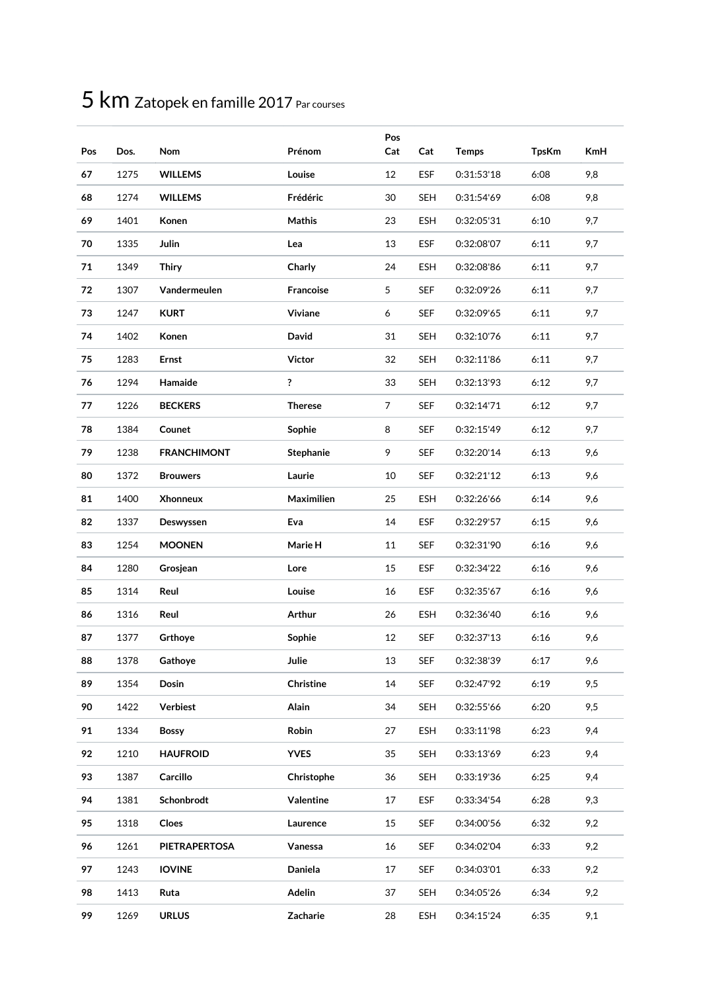| Pos | Dos. | Nom                  | Prénom           | Pos<br>Cat    | Cat        | <b>Temps</b> | <b>TpsKm</b> | <b>KmH</b> |
|-----|------|----------------------|------------------|---------------|------------|--------------|--------------|------------|
| 67  | 1275 | <b>WILLEMS</b>       | Louise           | 12            | <b>ESF</b> | 0:31:53'18   | 6:08         | 9,8        |
| 68  | 1274 | <b>WILLEMS</b>       | Frédéric         | 30            | <b>SEH</b> | 0:31:54'69   | 6:08         | 9,8        |
| 69  | 1401 | Konen                | <b>Mathis</b>    | 23            | <b>ESH</b> | 0:32:05'31   | 6:10         | 9,7        |
| 70  | 1335 | Julin                | Lea              | 13            | <b>ESF</b> | 0:32:08'07   | 6:11         | 9,7        |
| 71  | 1349 | <b>Thiry</b>         | Charly           | 24            | <b>ESH</b> | 0:32:08'86   | 6:11         | 9,7        |
| 72  | 1307 | Vandermeulen         | Francoise        | $\mathfrak s$ | <b>SEF</b> | 0:32:09'26   | 6:11         | 9,7        |
| 73  | 1247 | <b>KURT</b>          | Viviane          | 6             | <b>SEF</b> | 0:32:09'65   | 6:11         | 9,7        |
| 74  | 1402 | Konen                | David            | 31            | SEH        | 0:32:10'76   | 6:11         | 9,7        |
| 75  | 1283 | <b>Ernst</b>         | <b>Victor</b>    | 32            | <b>SEH</b> | 0:32:11'86   | 6:11         | 9,7        |
| 76  | 1294 | Hamaide              | ?                | 33            | <b>SEH</b> | 0:32:13'93   | 6:12         | 9,7        |
| 77  | 1226 | <b>BECKERS</b>       | <b>Therese</b>   | 7             | <b>SEF</b> | 0:32:14'71   | 6:12         | 9,7        |
| 78  | 1384 | Counet               | Sophie           | 8             | SEF        | 0:32:15'49   | 6:12         | 9,7        |
| 79  | 1238 | <b>FRANCHIMONT</b>   | <b>Stephanie</b> | 9             | <b>SEF</b> | 0:32:20'14   | 6:13         | 9,6        |
| 80  | 1372 | <b>Brouwers</b>      | Laurie           | 10            | SEF        | 0:32:21'12   | 6:13         | 9,6        |
| 81  | 1400 | <b>Xhonneux</b>      | Maximilien       | 25            | ESH        | 0:32:26'66   | 6:14         | 9,6        |
| 82  | 1337 | Deswyssen            | Eva              | 14            | <b>ESF</b> | 0:32:29'57   | 6:15         | 9,6        |
| 83  | 1254 | <b>MOONEN</b>        | Marie H          | 11            | <b>SEF</b> | 0:32:31'90   | 6:16         | 9,6        |
| 84  | 1280 | Grosjean             | Lore             | 15            | <b>ESF</b> | 0:32:34'22   | 6:16         | 9,6        |
| 85  | 1314 | Reul                 | Louise           | 16            | <b>ESF</b> | 0:32:35'67   | 6:16         | 9,6        |
| 86  | 1316 | Reul                 | Arthur           | 26            | <b>ESH</b> | 0:32:36'40   | 6:16         | 9,6        |
| 87  | 1377 | Grthoye              | Sophie           | 12            | <b>SEF</b> | 0:32:37'13   | 6:16         | 9,6        |
| 88  | 1378 | Gathoye              | Julie            | 13            | SEF        | 0:32:38'39   | 6:17         | 9,6        |
| 89  | 1354 | Dosin                | Christine        | 14            | <b>SEF</b> | 0:32:47'92   | 6:19         | 9,5        |
| 90  | 1422 | Verbiest             | Alain            | 34            | <b>SEH</b> | 0:32:55'66   | 6:20         | 9,5        |
| 91  | 1334 | <b>Bossy</b>         | Robin            | 27            | ESH        | 0:33:11'98   | 6:23         | 9,4        |
| 92  | 1210 | <b>HAUFROID</b>      | <b>YVES</b>      | 35            | <b>SEH</b> | 0:33:13'69   | 6:23         | 9,4        |
| 93  | 1387 | Carcillo             | Christophe       | 36            | <b>SEH</b> | 0:33:19'36   | 6:25         | 9,4        |
| 94  | 1381 | Schonbrodt           | Valentine        | 17            | <b>ESF</b> | 0:33:34'54   | 6:28         | 9,3        |
| 95  | 1318 | Cloes                | Laurence         | 15            | <b>SEF</b> | 0:34:00'56   | 6:32         | 9,2        |
| 96  | 1261 | <b>PIETRAPERTOSA</b> | Vanessa          | 16            | <b>SEF</b> | 0:34:02'04   | 6:33         | 9,2        |
| 97  | 1243 | <b>IOVINE</b>        | Daniela          | 17            | <b>SEF</b> | 0:34:03'01   | 6:33         | 9,2        |
| 98  | 1413 | Ruta                 | <b>Adelin</b>    | 37            | <b>SEH</b> | 0:34:05'26   | 6:34         | 9,2        |
| 99  | 1269 | <b>URLUS</b>         | Zacharie         | 28            | ESH        | 0:34:15'24   | 6:35         | 9,1        |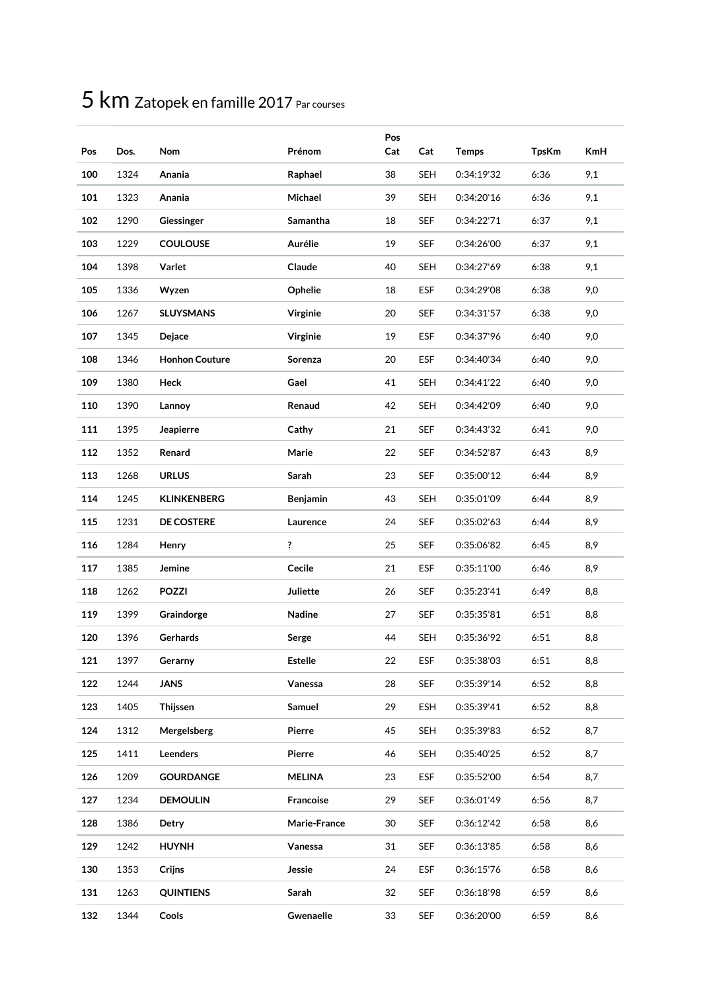| Pos | Dos. | Nom                   | Prénom          | Pos<br>Cat | Cat        | <b>Temps</b> | <b>TpsKm</b> | <b>KmH</b> |
|-----|------|-----------------------|-----------------|------------|------------|--------------|--------------|------------|
| 100 | 1324 | Anania                | Raphael         | 38         | <b>SEH</b> | 0:34:19'32   | 6:36         | 9,1        |
| 101 | 1323 | Anania                | Michael         | 39         | <b>SEH</b> | 0:34:20'16   | 6:36         | 9,1        |
| 102 | 1290 | Giessinger            | Samantha        | 18         | <b>SEF</b> | 0:34:22'71   | 6:37         | 9,1        |
| 103 | 1229 | <b>COULOUSE</b>       | Aurélie         | 19         | <b>SEF</b> | 0:34:26'00   | 6:37         | 9,1        |
| 104 | 1398 | Varlet                | Claude          | 40         | <b>SEH</b> | 0:34:27'69   | 6:38         | 9,1        |
| 105 | 1336 | Wyzen                 | Ophelie         | 18         | <b>ESF</b> | 0:34:29'08   | 6:38         | 9,0        |
| 106 | 1267 | <b>SLUYSMANS</b>      | Virginie        | 20         | <b>SEF</b> | 0:34:31'57   | 6:38         | 9,0        |
| 107 | 1345 | Dejace                | <b>Virginie</b> | 19         | ESF        | 0:34:37'96   | 6:40         | 9,0        |
| 108 | 1346 | <b>Honhon Couture</b> | Sorenza         | 20         | <b>ESF</b> | 0:34:40'34   | 6:40         | 9,0        |
| 109 | 1380 | Heck                  | Gael            | 41         | <b>SEH</b> | 0:34:41'22   | 6:40         | 9,0        |
| 110 | 1390 | Lannoy                | Renaud          | 42         | <b>SEH</b> | 0:34:42'09   | 6:40         | 9,0        |
| 111 | 1395 | Jeapierre             | Cathy           | 21         | <b>SEF</b> | 0:34:43'32   | 6:41         | 9,0        |
| 112 | 1352 | Renard                | Marie           | 22         | <b>SEF</b> | 0:34:52'87   | 6:43         | 8,9        |
| 113 | 1268 | <b>URLUS</b>          | Sarah           | 23         | SEF        | 0:35:00'12   | 6:44         | 8,9        |
| 114 | 1245 | <b>KLINKENBERG</b>    | <b>Benjamin</b> | 43         | <b>SEH</b> | 0:35:01'09   | 6:44         | 8,9        |
| 115 | 1231 | <b>DE COSTERE</b>     | Laurence        | 24         | <b>SEF</b> | 0:35:02'63   | 6:44         | 8,9        |
| 116 | 1284 | Henry                 | ?               | 25         | <b>SEF</b> | 0:35:06'82   | 6:45         | 8,9        |
| 117 | 1385 | Jemine                | Cecile          | 21         | <b>ESF</b> | 0:35:11'00   | 6:46         | 8,9        |
| 118 | 1262 | <b>POZZI</b>          | Juliette        | 26         | <b>SEF</b> | 0:35:23'41   | 6:49         | 8,8        |
| 119 | 1399 | Graindorge            | Nadine          | 27         | <b>SEF</b> | 0:35:35'81   | 6:51         | 8,8        |
| 120 | 1396 | Gerhards              | Serge           | 44         | <b>SEH</b> | 0:35:36'92   | 6:51         | 8,8        |
| 121 | 1397 | Gerarny               | <b>Estelle</b>  | 22         | ESF        | 0:35:38'03   | 6:51         | 8,8        |
| 122 | 1244 | <b>JANS</b>           | Vanessa         | 28         | <b>SEF</b> | 0:35:39'14   | 6:52         | 8,8        |
| 123 | 1405 | Thijssen              | Samuel          | 29         | ESH        | 0:35:39'41   | 6:52         | 8,8        |
| 124 | 1312 | Mergelsberg           | Pierre          | 45         | <b>SEH</b> | 0:35:39'83   | 6:52         | 8,7        |
| 125 | 1411 | Leenders              | Pierre          | 46         | <b>SEH</b> | 0:35:40'25   | 6:52         | 8,7        |
| 126 | 1209 | <b>GOURDANGE</b>      | <b>MELINA</b>   | 23         | <b>ESF</b> | 0:35:52'00   | 6:54         | 8,7        |
| 127 | 1234 | <b>DEMOULIN</b>       | Francoise       | 29         | <b>SEF</b> | 0:36:01'49   | 6:56         | 8,7        |
| 128 | 1386 | Detry                 | Marie-France    | 30         | <b>SEF</b> | 0:36:12'42   | 6:58         | 8,6        |
| 129 | 1242 | <b>HUYNH</b>          | Vanessa         | 31         | <b>SEF</b> | 0:36:13'85   | 6:58         | 8,6        |
| 130 | 1353 | Crijns                | Jessie          | 24         | <b>ESF</b> | 0:36:15'76   | 6:58         | 8,6        |
| 131 | 1263 | <b>QUINTIENS</b>      | Sarah           | 32         | <b>SEF</b> | 0:36:18'98   | 6:59         | 8,6        |
| 132 | 1344 | Cools                 | Gwenaelle       | 33         | <b>SEF</b> | 0:36:20'00   | 6:59         | 8,6        |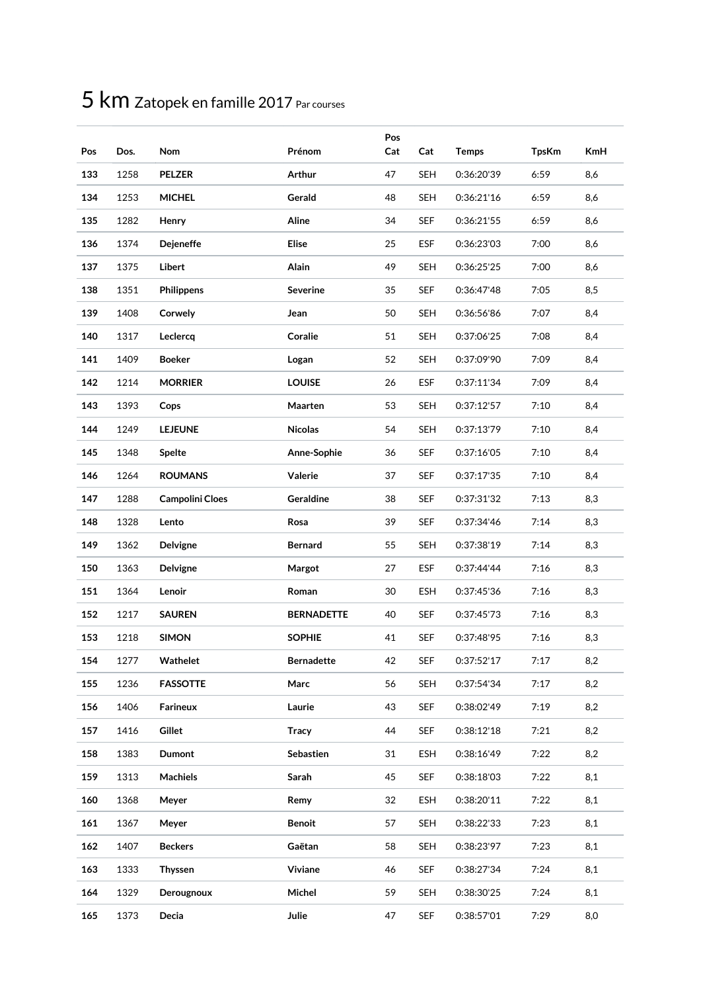| Pos | Dos. | <b>Nom</b>             | Prénom            | Pos<br>Cat | Cat        | <b>Temps</b> | <b>TpsKm</b> | <b>KmH</b> |
|-----|------|------------------------|-------------------|------------|------------|--------------|--------------|------------|
| 133 | 1258 | <b>PELZER</b>          | Arthur            | 47         | <b>SEH</b> | 0:36:20'39   | 6:59         | 8,6        |
| 134 | 1253 | <b>MICHEL</b>          | Gerald            | 48         | <b>SEH</b> | 0:36:21'16   | 6:59         | 8,6        |
| 135 | 1282 | Henry                  | Aline             | 34         | <b>SEF</b> | 0:36:21'55   | 6:59         | 8,6        |
| 136 | 1374 | <b>Dejeneffe</b>       | <b>Elise</b>      | 25         | <b>ESF</b> | 0:36:23'03   | 7:00         | 8,6        |
| 137 | 1375 | <b>Libert</b>          | Alain             | 49         | SEH        | 0:36:25'25   | 7:00         | 8,6        |
| 138 | 1351 | <b>Philippens</b>      | <b>Severine</b>   | 35         | <b>SEF</b> | 0:36:47'48   | 7:05         | 8,5        |
| 139 | 1408 | Corwely                | Jean              | 50         | <b>SEH</b> | 0:36:56'86   | 7:07         | 8,4        |
| 140 | 1317 | Leclercq               | Coralie           | 51         | <b>SEH</b> | 0:37:06'25   | 7:08         | 8,4        |
| 141 | 1409 | <b>Boeker</b>          | Logan             | 52         | <b>SEH</b> | 0:37:09'90   | 7:09         | 8,4        |
| 142 | 1214 | <b>MORRIER</b>         | <b>LOUISE</b>     | 26         | <b>ESF</b> | 0:37:11'34   | 7:09         | 8,4        |
| 143 | 1393 | Cops                   | Maarten           | 53         | <b>SEH</b> | 0:37:12'57   | 7:10         | 8,4        |
| 144 | 1249 | <b>LEJEUNE</b>         | <b>Nicolas</b>    | 54         | <b>SEH</b> | 0:37:13'79   | 7:10         | 8,4        |
| 145 | 1348 | Spelte                 | Anne-Sophie       | 36         | <b>SEF</b> | 0:37:16'05   | 7:10         | 8,4        |
| 146 | 1264 | <b>ROUMANS</b>         | Valerie           | 37         | <b>SEF</b> | 0:37:17'35   | 7:10         | 8,4        |
| 147 | 1288 | <b>Campolini Cloes</b> | <b>Geraldine</b>  | 38         | <b>SEF</b> | 0:37:31'32   | 7:13         | 8,3        |
| 148 | 1328 | Lento                  | Rosa              | 39         | <b>SEF</b> | 0:37:34'46   | 7:14         | 8,3        |
| 149 | 1362 | Delvigne               | <b>Bernard</b>    | 55         | <b>SEH</b> | 0:37:38'19   | 7:14         | 8,3        |
| 150 | 1363 | Delvigne               | Margot            | 27         | <b>ESF</b> | 0:37:44'44   | 7:16         | 8,3        |
| 151 | 1364 | Lenoir                 | Roman             | 30         | <b>ESH</b> | 0:37:45'36   | 7:16         | 8,3        |
| 152 | 1217 | <b>SAUREN</b>          | <b>BERNADETTE</b> | 40         | <b>SEF</b> | 0:37:45'73   | 7:16         | 8,3        |
| 153 | 1218 | <b>SIMON</b>           | <b>SOPHIE</b>     | 41         | <b>SEF</b> | 0:37:48'95   | 7:16         | 8,3        |
| 154 | 1277 | Wathelet               | <b>Bernadette</b> | 42         | SEF        | 0:37:52'17   | 7:17         | 8,2        |
| 155 | 1236 | <b>FASSOTTE</b>        | Marc              | 56         | <b>SEH</b> | 0:37:54'34   | 7:17         | 8,2        |
| 156 | 1406 | Farineux               | Laurie            | 43         | <b>SEF</b> | 0:38:02'49   | 7:19         | 8,2        |
| 157 | 1416 | Gillet                 | <b>Tracy</b>      | 44         | <b>SEF</b> | 0:38:12'18   | 7:21         | 8,2        |
| 158 | 1383 | Dumont                 | Sebastien         | 31         | ESH        | 0:38:16'49   | 7:22         | 8,2        |
| 159 | 1313 | Machiels               | Sarah             | 45         | <b>SEF</b> | 0:38:18'03   | 7:22         | 8,1        |
| 160 | 1368 | Meyer                  | Remy              | 32         | ESH        | 0:38:20'11   | 7:22         | 8,1        |
| 161 | 1367 | Meyer                  | <b>Benoit</b>     | 57         | <b>SEH</b> | 0:38:22'33   | 7:23         | 8,1        |
| 162 | 1407 | <b>Beckers</b>         | Gaëtan            | 58         | <b>SEH</b> | 0:38:23'97   | 7:23         | 8,1        |
| 163 | 1333 | <b>Thyssen</b>         | Viviane           | 46         | <b>SEF</b> | 0:38:27'34   | 7:24         | 8,1        |
| 164 | 1329 | Derougnoux             | Michel            | 59         | <b>SEH</b> | 0:38:30'25   | 7:24         | 8,1        |
| 165 | 1373 | Decia                  | Julie             | 47         | <b>SEF</b> | 0:38:57'01   | 7:29         | 8,0        |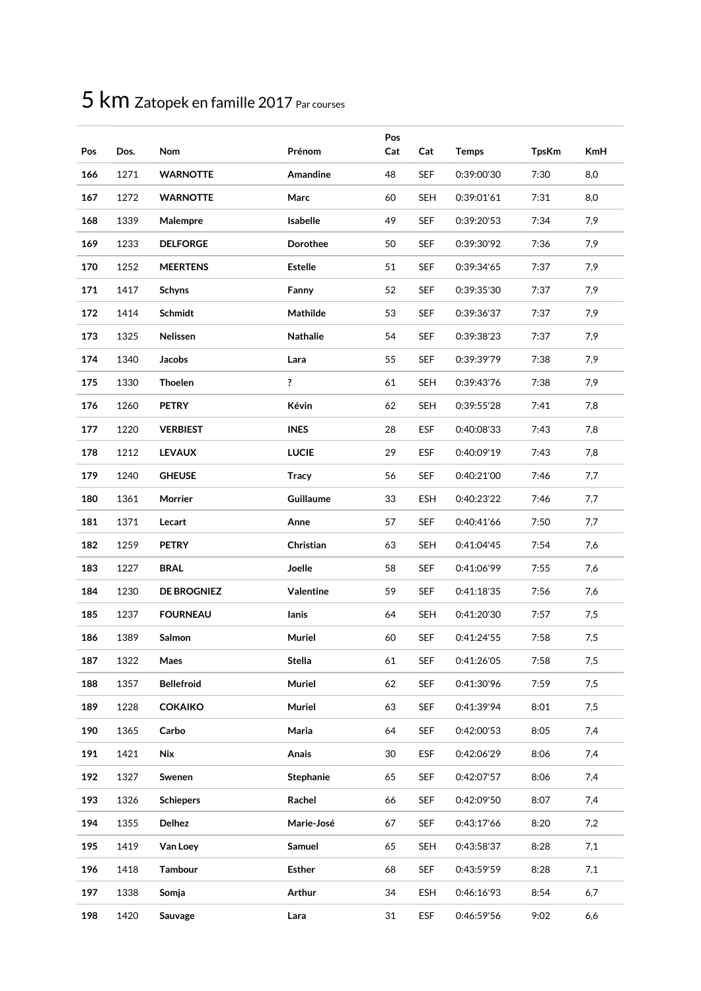| Pos | Dos. | Nom                | Prénom          | Pos<br>Cat | Cat        | <b>Temps</b> | <b>TpsKm</b> | <b>KmH</b> |
|-----|------|--------------------|-----------------|------------|------------|--------------|--------------|------------|
| 166 | 1271 | <b>WARNOTTE</b>    | Amandine        | 48         | <b>SEF</b> | 0:39:00'30   | 7:30         | 8,0        |
| 167 | 1272 | <b>WARNOTTE</b>    | Marc            | 60         | <b>SEH</b> | 0:39:01'61   | 7:31         | 8,0        |
| 168 | 1339 | Malempre           | Isabelle        | 49         | <b>SEF</b> | 0:39:20'53   | 7:34         | 7,9        |
| 169 | 1233 | <b>DELFORGE</b>    | <b>Dorothee</b> | 50         | <b>SEF</b> | 0:39:30'92   | 7:36         | 7,9        |
| 170 | 1252 | <b>MEERTENS</b>    | <b>Estelle</b>  | 51         | <b>SEF</b> | 0:39:34'65   | 7:37         | 7,9        |
| 171 | 1417 | <b>Schyns</b>      | Fanny           | 52         | <b>SEF</b> | 0:39:35'30   | 7:37         | 7,9        |
| 172 | 1414 | Schmidt            | Mathilde        | 53         | <b>SEF</b> | 0:39:36'37   | 7:37         | 7,9        |
| 173 | 1325 | Nelissen           | <b>Nathalie</b> | 54         | SEF        | 0:39:38'23   | 7:37         | 7,9        |
| 174 | 1340 | Jacobs             | Lara            | 55         | SEF        | 0:39:39'79   | 7:38         | 7,9        |
| 175 | 1330 | <b>Thoelen</b>     | ?               | 61         | <b>SEH</b> | 0:39:43'76   | 7:38         | 7,9        |
| 176 | 1260 | <b>PETRY</b>       | Kévin           | 62         | <b>SEH</b> | 0:39:55'28   | 7:41         | 7,8        |
| 177 | 1220 | <b>VERBIEST</b>    | <b>INES</b>     | 28         | <b>ESF</b> | 0:40:08'33   | 7:43         | 7,8        |
| 178 | 1212 | <b>LEVAUX</b>      | <b>LUCIE</b>    | 29         | ESF        | 0:40:09'19   | 7:43         | 7,8        |
| 179 | 1240 | <b>GHEUSE</b>      | <b>Tracy</b>    | 56         | <b>SEF</b> | 0:40:21'00   | 7:46         | 7,7        |
| 180 | 1361 | Morrier            | Guillaume       | 33         | <b>ESH</b> | 0:40:23'22   | 7:46         | 7,7        |
| 181 | 1371 | Lecart             | Anne            | 57         | <b>SEF</b> | 0:40:41'66   | 7:50         | 7,7        |
| 182 | 1259 | <b>PETRY</b>       | Christian       | 63         | <b>SEH</b> | 0:41:04'45   | 7:54         | 7,6        |
| 183 | 1227 | <b>BRAL</b>        | Joelle          | 58         | <b>SEF</b> | 0:41:06'99   | 7:55         | 7,6        |
| 184 | 1230 | <b>DE BROGNIEZ</b> | Valentine       | 59         | SEF        | 0:41:18'35   | 7:56         | 7,6        |
| 185 | 1237 | <b>FOURNEAU</b>    | lanis           | 64         | <b>SEH</b> | 0:41:20'30   | 7:57         | 7,5        |
| 186 | 1389 | Salmon             | Muriel          | 60         | <b>SEF</b> | 0:41:24'55   | 7:58         | 7,5        |
| 187 | 1322 | Maes               | Stella          | 61         | SEF        | 0:41:26'05   | 7:58         | 7,5        |
| 188 | 1357 | <b>Bellefroid</b>  | Muriel          | 62         | <b>SEF</b> | 0:41:30'96   | 7:59         | 7,5        |
| 189 | 1228 | <b>COKAIKO</b>     | Muriel          | 63         | <b>SEF</b> | 0:41:39'94   | 8:01         | 7,5        |
| 190 | 1365 | Carbo              | Maria           | 64         | <b>SEF</b> | 0:42:00'53   | 8:05         | 7,4        |
| 191 | 1421 | Nix                | Anais           | 30         | <b>ESF</b> | 0:42:06'29   | 8:06         | 7,4        |
| 192 | 1327 | Swenen             | Stephanie       | 65         | <b>SEF</b> | 0:42:07'57   | 8:06         | 7,4        |
| 193 | 1326 | <b>Schiepers</b>   | Rachel          | 66         | <b>SEF</b> | 0:42:09'50   | 8:07         | 7,4        |
| 194 | 1355 | Delhez             | Marie-José      | 67         | <b>SEF</b> | 0:43:17'66   | 8:20         | 7,2        |
| 195 | 1419 | Van Loey           | Samuel          | 65         | <b>SEH</b> | 0:43:58'37   | 8:28         | 7,1        |
| 196 | 1418 | <b>Tambour</b>     | <b>Esther</b>   | 68         | <b>SEF</b> | 0:43:59'59   | 8:28         | 7,1        |
| 197 | 1338 | Somja              | <b>Arthur</b>   | 34         | <b>ESH</b> | 0:46:16'93   | 8:54         | 6,7        |
| 198 | 1420 | Sauvage            | Lara            | 31         | <b>ESF</b> | 0:46:59'56   | 9:02         | 6,6        |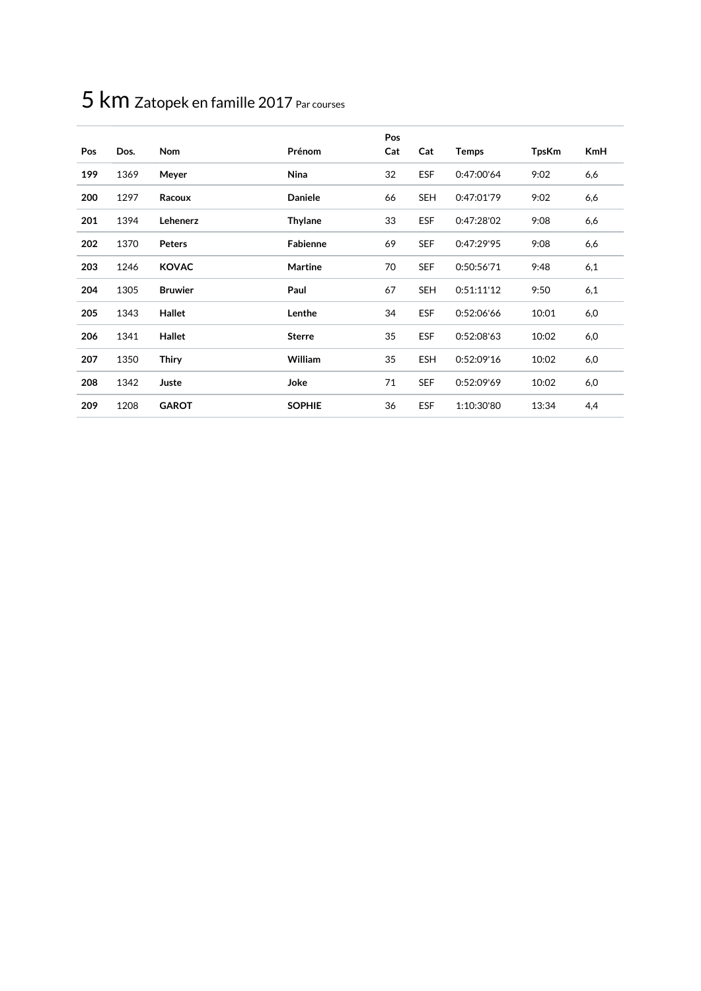|     |      |                |                 | Pos |            |              |              |            |
|-----|------|----------------|-----------------|-----|------------|--------------|--------------|------------|
| Pos | Dos. | <b>Nom</b>     | Prénom          | Cat | Cat        | <b>Temps</b> | <b>TpsKm</b> | <b>KmH</b> |
| 199 | 1369 | Meyer          | Nina            | 32  | <b>ESF</b> | 0:47:00'64   | 9:02         | 6,6        |
| 200 | 1297 | Racoux         | <b>Daniele</b>  | 66  | <b>SEH</b> | 0:47:01'79   | 9:02         | 6,6        |
| 201 | 1394 | Lehenerz       | <b>Thylane</b>  | 33  | <b>ESF</b> | 0:47:28'02   | 9:08         | 6,6        |
| 202 | 1370 | <b>Peters</b>  | <b>Fabienne</b> | 69  | <b>SEF</b> | 0:47:29'95   | 9:08         | 6,6        |
| 203 | 1246 | <b>KOVAC</b>   | <b>Martine</b>  | 70  | <b>SEF</b> | 0:50:56'71   | 9:48         | 6,1        |
| 204 | 1305 | <b>Bruwier</b> | Paul            | 67  | <b>SEH</b> | 0:51:11'12   | 9:50         | 6,1        |
| 205 | 1343 | Hallet         | Lenthe          | 34  | <b>ESF</b> | 0:52:06'66   | 10:01        | 6,0        |
| 206 | 1341 | Hallet         | <b>Sterre</b>   | 35  | <b>ESF</b> | 0:52:08'63   | 10:02        | 6,0        |
| 207 | 1350 | <b>Thiry</b>   | William         | 35  | <b>ESH</b> | 0:52:09'16   | 10:02        | 6,0        |
| 208 | 1342 | Juste          | Joke            | 71  | <b>SEF</b> | 0:52:09'69   | 10:02        | 6,0        |
| 209 | 1208 | <b>GAROT</b>   | <b>SOPHIE</b>   | 36  | <b>ESF</b> | 1:10:30'80   | 13:34        | 4,4        |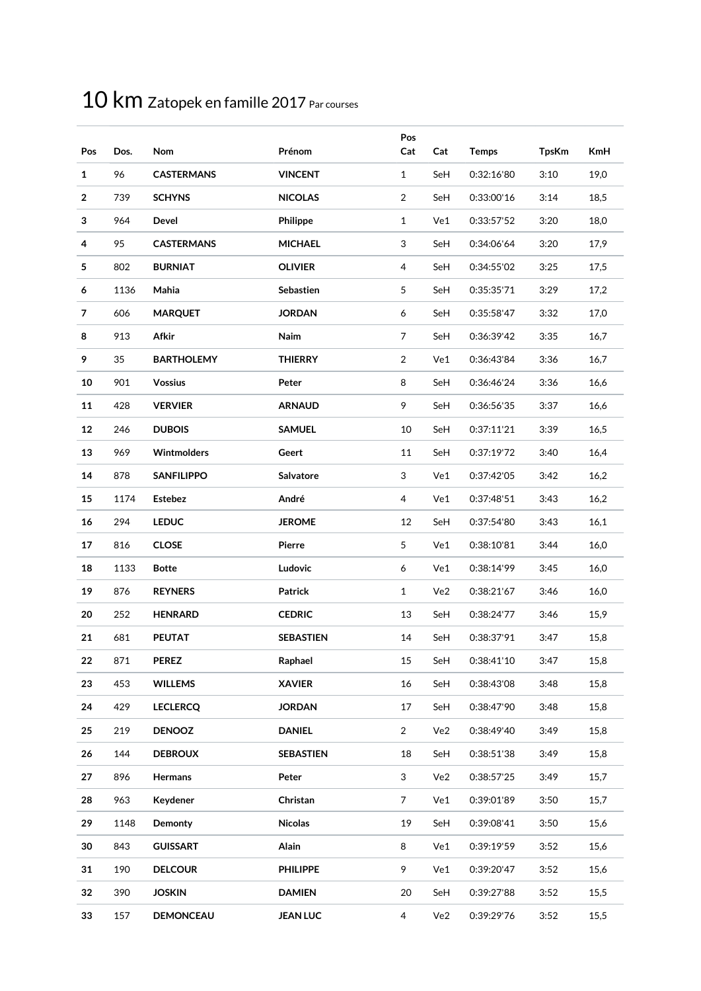| Pos            | Dos. | Nom                | Prénom           | Pos<br>Cat     | Cat | <b>Temps</b> | <b>TpsKm</b> | <b>KmH</b> |
|----------------|------|--------------------|------------------|----------------|-----|--------------|--------------|------------|
| $\mathbf{1}$   | 96   | <b>CASTERMANS</b>  | <b>VINCENT</b>   | 1              | SeH | 0:32:16'80   | 3:10         | 19,0       |
| $\overline{2}$ | 739  | <b>SCHYNS</b>      | <b>NICOLAS</b>   | 2              | SeH | 0:33:00'16   | 3:14         | 18,5       |
| 3              | 964  | <b>Devel</b>       | Philippe         | 1              | Ve1 | 0:33:57'52   | 3:20         | 18,0       |
| 4              | 95   | <b>CASTERMANS</b>  | <b>MICHAEL</b>   | 3              | SeH | 0:34:06'64   | 3:20         | 17,9       |
| 5              | 802  | <b>BURNIAT</b>     | <b>OLIVIER</b>   | 4              | SeH | 0:34:55'02   | 3:25         | 17,5       |
| 6              | 1136 | Mahia              | Sebastien        | $\sqrt{5}$     | SeH | 0:35:35'71   | 3:29         | 17,2       |
| 7              | 606  | <b>MARQUET</b>     | <b>JORDAN</b>    | 6              | SeH | 0:35:58'47   | 3:32         | 17,0       |
| 8              | 913  | <b>Afkir</b>       | Naim             | 7              | SeH | 0:36:39'42   | 3:35         | 16,7       |
| 9              | 35   | <b>BARTHOLEMY</b>  | THIERRY          | 2              | Ve1 | 0:36:43'84   | 3:36         | 16,7       |
| 10             | 901  | <b>Vossius</b>     | Peter            | 8              | SeH | 0:36:46'24   | 3:36         | 16,6       |
| 11             | 428  | <b>VERVIER</b>     | <b>ARNAUD</b>    | 9              | SeH | 0:36:56'35   | 3:37         | 16,6       |
| 12             | 246  | <b>DUBOIS</b>      | <b>SAMUEL</b>    | 10             | SeH | 0:37:11'21   | 3:39         | 16,5       |
| 13             | 969  | <b>Wintmolders</b> | Geert            | 11             | SeH | 0:37:19'72   | 3:40         | 16,4       |
| 14             | 878  | <b>SANFILIPPO</b>  | <b>Salvatore</b> | 3              | Ve1 | 0:37:42'05   | 3:42         | 16,2       |
| 15             | 1174 | <b>Estebez</b>     | André            | $\overline{4}$ | Ve1 | 0:37:48'51   | 3:43         | 16,2       |
| 16             | 294  | <b>LEDUC</b>       | <b>JEROME</b>    | 12             | SeH | 0:37:54'80   | 3:43         | 16,1       |
| 17             | 816  | <b>CLOSE</b>       | Pierre           | 5              | Ve1 | 0:38:10'81   | 3:44         | 16,0       |
| 18             | 1133 | <b>Botte</b>       | Ludovic          | 6              | Ve1 | 0:38:14'99   | 3:45         | 16,0       |
| 19             | 876  | <b>REYNERS</b>     | Patrick          | $\mathbf{1}$   | Ve2 | 0:38:21'67   | 3:46         | 16,0       |
| 20             | 252  | <b>HENRARD</b>     | <b>CEDRIC</b>    | 13             | SeH | 0:38:24'77   | 3:46         | 15,9       |
| 21             | 681  | <b>PEUTAT</b>      | <b>SEBASTIEN</b> | 14             | SeH | 0:38:37'91   | 3:47         | 15,8       |
| 22             | 871  | <b>PEREZ</b>       | Raphael          | 15             | SeH | 0:38:41'10   | 3:47         | 15,8       |
| 23             | 453  | <b>WILLEMS</b>     | <b>XAVIER</b>    | 16             | SeH | 0:38:43'08   | 3:48         | 15,8       |
| 24             | 429  | <b>LECLERCQ</b>    | <b>JORDAN</b>    | 17             | SeH | 0:38:47'90   | 3:48         | 15,8       |
| 25             | 219  | <b>DENOOZ</b>      | <b>DANIEL</b>    | 2              | Ve2 | 0:38:49'40   | 3:49         | 15,8       |
| 26             | 144  | <b>DEBROUX</b>     | <b>SEBASTIEN</b> | 18             | SeH | 0:38:51'38   | 3:49         | 15,8       |
| 27             | 896  | Hermans            | Peter            | 3              | Ve2 | 0:38:57'25   | 3:49         | 15,7       |
| 28             | 963  | Keydener           | Christan         | $\overline{7}$ | Ve1 | 0:39:01'89   | 3:50         | 15,7       |
| 29             | 1148 | Demonty            | <b>Nicolas</b>   | 19             | SeH | 0:39:08'41   | 3:50         | 15,6       |
| 30             | 843  | <b>GUISSART</b>    | Alain            | 8              | Ve1 | 0:39:19'59   | 3:52         | 15,6       |
| 31             | 190  | <b>DELCOUR</b>     | <b>PHILIPPE</b>  | 9              | Ve1 | 0:39:20'47   | 3:52         | 15,6       |
| 32             | 390  | <b>JOSKIN</b>      | <b>DAMIEN</b>    | 20             | SeH | 0:39:27'88   | 3:52         | 15,5       |
| 33             | 157  | <b>DEMONCEAU</b>   | <b>JEAN LUC</b>  | 4              | Ve2 | 0:39:29'76   | 3:52         | 15,5       |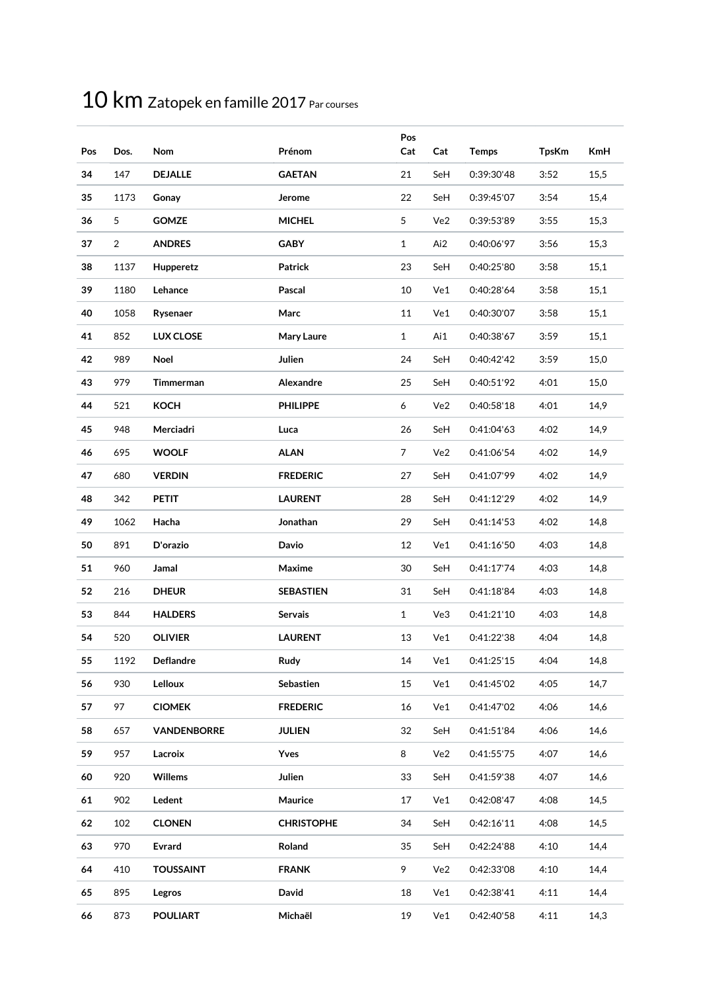| Pos | Dos. | Nom                | Prénom            | Pos<br>Cat     | Cat | <b>Temps</b> | <b>TpsKm</b> | <b>KmH</b> |
|-----|------|--------------------|-------------------|----------------|-----|--------------|--------------|------------|
| 34  | 147  | <b>DEJALLE</b>     | <b>GAETAN</b>     | 21             | SeH | 0:39:30'48   | 3:52         | 15,5       |
| 35  | 1173 | Gonay              | Jerome            | 22             | SeH | 0:39:45'07   | 3:54         | 15,4       |
| 36  | 5    | <b>GOMZE</b>       | <b>MICHEL</b>     | 5              | Ve2 | 0:39:53'89   | 3:55         | 15,3       |
| 37  | 2    | <b>ANDRES</b>      | <b>GABY</b>       | $\mathbf{1}$   | Ai2 | 0:40:06'97   | 3:56         | 15,3       |
| 38  | 1137 | Hupperetz          | <b>Patrick</b>    | 23             | SeH | 0:40:25'80   | 3:58         | 15,1       |
| 39  | 1180 | Lehance            | Pascal            | 10             | Ve1 | 0:40:28'64   | 3:58         | 15,1       |
| 40  | 1058 | Rysenaer           | Marc              | 11             | Ve1 | 0:40:30'07   | 3:58         | 15,1       |
| 41  | 852  | <b>LUX CLOSE</b>   | Mary Laure        | $\mathbf{1}$   | Ai1 | 0:40:38'67   | 3:59         | 15,1       |
| 42  | 989  | Noel               | Julien            | 24             | SeH | 0:40:42'42   | 3:59         | 15,0       |
| 43  | 979  | Timmerman          | Alexandre         | 25             | SeH | 0:40:51'92   | 4:01         | 15,0       |
| 44  | 521  | <b>KOCH</b>        | <b>PHILIPPE</b>   | 6              | Ve2 | 0:40:58'18   | 4:01         | 14,9       |
| 45  | 948  | Merciadri          | Luca              | 26             | SeH | 0:41:04'63   | 4:02         | 14,9       |
| 46  | 695  | <b>WOOLF</b>       | <b>ALAN</b>       | $\overline{7}$ | Ve2 | 0:41:06'54   | 4:02         | 14,9       |
| 47  | 680  | <b>VERDIN</b>      | <b>FREDERIC</b>   | 27             | SeH | 0:41:07'99   | 4:02         | 14,9       |
| 48  | 342  | <b>PETIT</b>       | <b>LAURENT</b>    | 28             | SeH | 0:41:12'29   | 4:02         | 14,9       |
| 49  | 1062 | Hacha              | Jonathan          | 29             | SeH | 0:41:14'53   | 4:02         | 14,8       |
| 50  | 891  | D'orazio           | Davio             | 12             | Ve1 | 0:41:16'50   | 4:03         | 14,8       |
| 51  | 960  | Jamal              | Maxime            | 30             | SeH | 0:41:17'74   | 4:03         | 14,8       |
| 52  | 216  | <b>DHEUR</b>       | <b>SEBASTIEN</b>  | 31             | SeH | 0:41:18'84   | 4:03         | 14,8       |
| 53  | 844  | <b>HALDERS</b>     | Servais           | $\mathbf{1}$   | Ve3 | 0:41:21'10   | 4:03         | 14,8       |
| 54  | 520  | <b>OLIVIER</b>     | <b>LAURENT</b>    | 13             | Ve1 | 0:41:22'38   | 4:04         | 14,8       |
| 55  | 1192 | <b>Deflandre</b>   | Rudy              | 14             | Ve1 | 0:41:25'15   | 4:04         | 14,8       |
| 56  | 930  | Lelloux            | Sebastien         | 15             | Ve1 | 0:41:45'02   | 4:05         | 14,7       |
| 57  | 97   | <b>CIOMEK</b>      | <b>FREDERIC</b>   | 16             | Ve1 | 0:41:47'02   | 4:06         | 14,6       |
| 58  | 657  | <b>VANDENBORRE</b> | <b>JULIEN</b>     | 32             | SeH | 0:41:51'84   | 4:06         | 14,6       |
| 59  | 957  | Lacroix            | Yves              | 8              | Ve2 | 0:41:55'75   | 4:07         | 14,6       |
| 60  | 920  | Willems            | Julien            | 33             | SeH | 0:41:59'38   | 4:07         | 14,6       |
| 61  | 902  | Ledent             | Maurice           | 17             | Ve1 | 0:42:08'47   | 4:08         | 14,5       |
| 62  | 102  | <b>CLONEN</b>      | <b>CHRISTOPHE</b> | 34             | SeH | 0:42:16'11   | 4:08         | 14,5       |
| 63  | 970  | Evrard             | Roland            | 35             | SeH | 0:42:24'88   | 4:10         | 14,4       |
| 64  | 410  | <b>TOUSSAINT</b>   | <b>FRANK</b>      | 9              | Ve2 | 0:42:33'08   | 4:10         | 14,4       |
| 65  | 895  | Legros             | David             | 18             | Ve1 | 0:42:38'41   | 4:11         | 14,4       |
| 66  | 873  | <b>POULIART</b>    | Michaël           | 19             | Ve1 | 0:42:40'58   | 4:11         | 14,3       |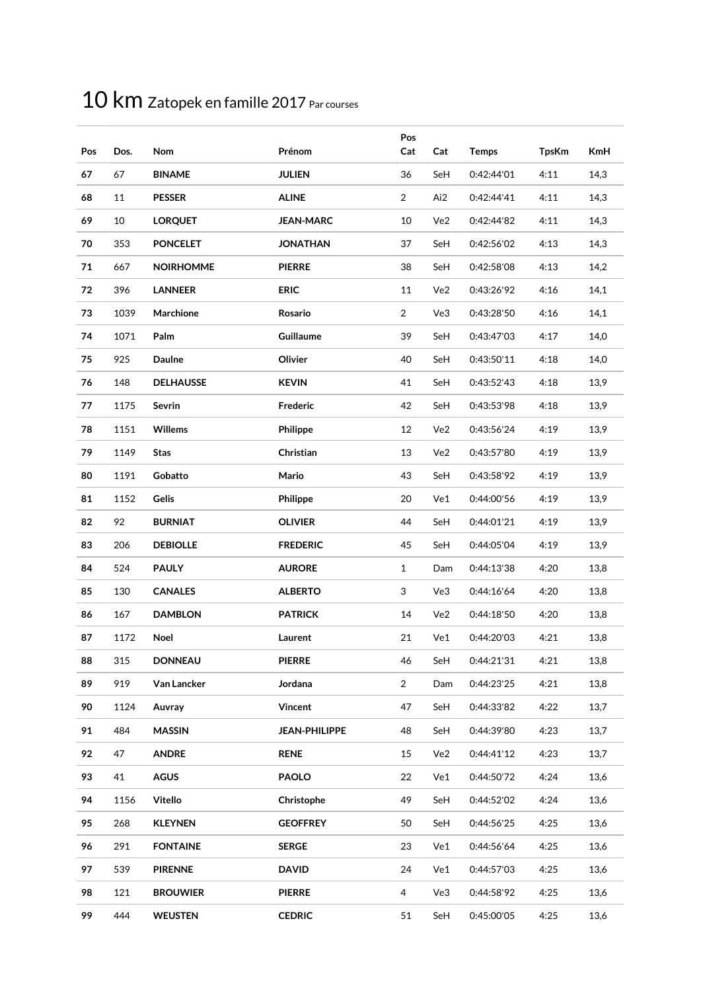| Pos | Dos. | Nom              | Prénom               | Pos<br>Cat     | Cat | <b>Temps</b> | <b>TpsKm</b> | <b>KmH</b> |
|-----|------|------------------|----------------------|----------------|-----|--------------|--------------|------------|
| 67  | 67   | <b>BINAME</b>    | <b>JULIEN</b>        | 36             | SeH | 0:42:44'01   | 4:11         | 14,3       |
| 68  | 11   | <b>PESSER</b>    | <b>ALINE</b>         | $\overline{2}$ | Ai2 | 0:42:44'41   | 4:11         | 14,3       |
| 69  | 10   | <b>LORQUET</b>   | <b>JEAN-MARC</b>     | 10             | Ve2 | 0:42:44'82   | 4:11         | 14,3       |
| 70  | 353  | <b>PONCELET</b>  | <b>JONATHAN</b>      | 37             | SeH | 0:42:56'02   | 4:13         | 14,3       |
| 71  | 667  | <b>NOIRHOMME</b> | <b>PIERRE</b>        | 38             | SeH | 0:42:58'08   | 4:13         | 14,2       |
| 72  | 396  | <b>LANNEER</b>   | <b>ERIC</b>          | 11             | Ve2 | 0:43:26'92   | 4:16         | 14,1       |
| 73  | 1039 | Marchione        | Rosario              | $\overline{2}$ | Ve3 | 0:43:28'50   | 4:16         | 14,1       |
| 74  | 1071 | Palm             | Guillaume            | 39             | SeH | 0:43:47'03   | 4:17         | 14,0       |
| 75  | 925  | <b>Daulne</b>    | Olivier              | 40             | SeH | 0:43:50'11   | 4:18         | 14,0       |
| 76  | 148  | <b>DELHAUSSE</b> | <b>KEVIN</b>         | 41             | SeH | 0:43:52'43   | 4:18         | 13,9       |
| 77  | 1175 | Sevrin           | Frederic             | 42             | SeH | 0:43:53'98   | 4:18         | 13,9       |
| 78  | 1151 | <b>Willems</b>   | Philippe             | 12             | Ve2 | 0:43:56'24   | 4:19         | 13,9       |
| 79  | 1149 | Stas             | Christian            | 13             | Ve2 | 0:43:57'80   | 4:19         | 13,9       |
| 80  | 1191 | Gobatto          | Mario                | 43             | SeH | 0:43:58'92   | 4:19         | 13,9       |
| 81  | 1152 | Gelis            | Philippe             | 20             | Ve1 | 0:44:00'56   | 4:19         | 13,9       |
| 82  | 92   | <b>BURNIAT</b>   | <b>OLIVIER</b>       | 44             | SeH | 0:44:01'21   | 4:19         | 13,9       |
| 83  | 206  | <b>DEBIOLLE</b>  | <b>FREDERIC</b>      | 45             | SeH | 0:44:05'04   | 4:19         | 13,9       |
| 84  | 524  | <b>PAULY</b>     | <b>AURORE</b>        | $\mathbf{1}$   | Dam | 0:44:13'38   | 4:20         | 13,8       |
| 85  | 130  | <b>CANALES</b>   | <b>ALBERTO</b>       | 3              | Ve3 | 0:44:16'64   | 4:20         | 13,8       |
| 86  | 167  | <b>DAMBLON</b>   | <b>PATRICK</b>       | 14             | Ve2 | 0:44:18'50   | 4:20         | 13,8       |
| 87  | 1172 | Noel             | Laurent              | 21             | Ve1 | 0:44:20'03   | 4:21         | 13,8       |
| 88  | 315  | <b>DONNEAU</b>   | <b>PIERRE</b>        | $46\,$         | SeH | 0:44:21'31   | 4:21         | 13,8       |
| 89  | 919  | Van Lancker      | Jordana              | $\overline{2}$ | Dam | 0:44:23'25   | 4:21         | 13,8       |
| 90  | 1124 | Auvray           | Vincent              | 47             | SeH | 0:44:33'82   | 4:22         | 13,7       |
| 91  | 484  | <b>MASSIN</b>    | <b>JEAN-PHILIPPE</b> | 48             | SeH | 0:44:39'80   | 4:23         | 13,7       |
| 92  | 47   | <b>ANDRE</b>     | <b>RENE</b>          | 15             | Ve2 | 0:44:41'12   | 4:23         | 13,7       |
| 93  | 41   | <b>AGUS</b>      | <b>PAOLO</b>         | 22             | Ve1 | 0:44:50'72   | 4:24         | 13,6       |
| 94  | 1156 | Vitello          | Christophe           | 49             | SeH | 0:44:52'02   | 4:24         | 13,6       |
| 95  | 268  | <b>KLEYNEN</b>   | <b>GEOFFREY</b>      | 50             | SeH | 0:44:56'25   | 4:25         | 13,6       |
| 96  | 291  | <b>FONTAINE</b>  | <b>SERGE</b>         | 23             | Ve1 | 0:44:56'64   | 4:25         | 13,6       |
| 97  | 539  | <b>PIRENNE</b>   | <b>DAVID</b>         | 24             | Ve1 | 0:44:57'03   | 4:25         | 13,6       |
| 98  | 121  | <b>BROUWIER</b>  | <b>PIERRE</b>        | $\overline{4}$ | Ve3 | 0:44:58'92   | 4:25         | 13,6       |
| 99  | 444  | <b>WEUSTEN</b>   | <b>CEDRIC</b>        | $51\,$         | SeH | 0:45:00'05   | 4:25         | 13,6       |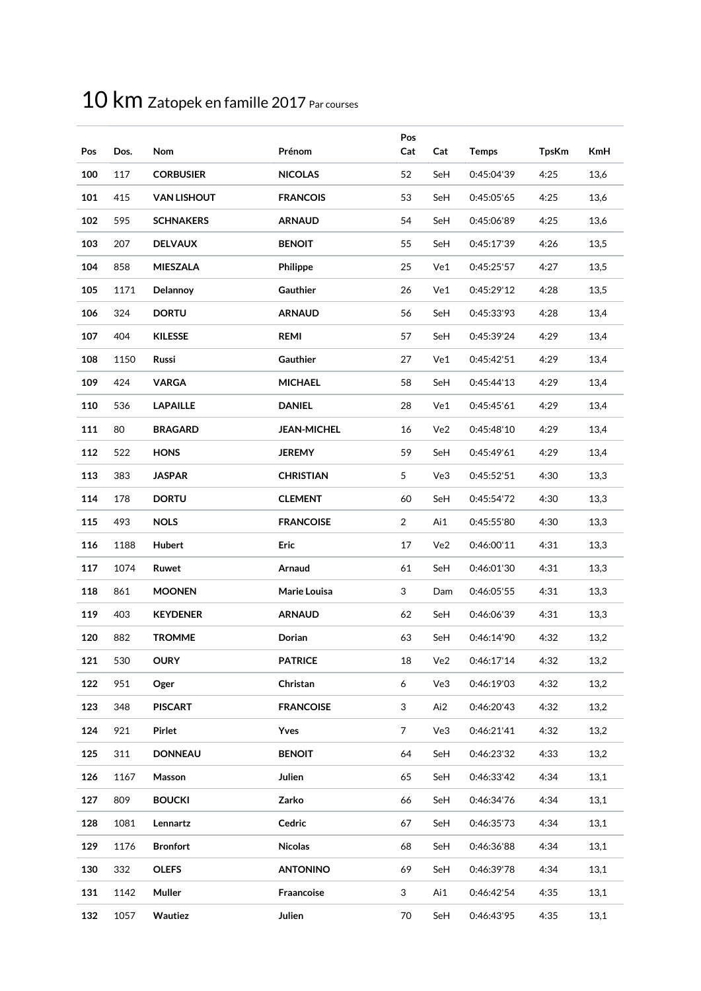| Pos | Dos. | Nom                | Prénom             | Pos<br>Cat | Cat | <b>Temps</b> | <b>TpsKm</b> | <b>KmH</b> |
|-----|------|--------------------|--------------------|------------|-----|--------------|--------------|------------|
| 100 | 117  | <b>CORBUSIER</b>   | <b>NICOLAS</b>     | 52         | SeH | 0:45:04'39   | 4:25         | 13,6       |
| 101 | 415  | <b>VAN LISHOUT</b> | <b>FRANCOIS</b>    | 53         | SeH | 0:45:05'65   | 4:25         | 13,6       |
| 102 | 595  | <b>SCHNAKERS</b>   | <b>ARNAUD</b>      | 54         | SeH | 0:45:06'89   | 4:25         | 13,6       |
| 103 | 207  | <b>DELVAUX</b>     | <b>BENOIT</b>      | 55         | SeH | 0:45:17'39   | 4:26         | 13,5       |
| 104 | 858  | <b>MIESZALA</b>    | Philippe           | 25         | Ve1 | 0:45:25'57   | 4:27         | 13,5       |
| 105 | 1171 | Delannoy           | <b>Gauthier</b>    | 26         | Ve1 | 0:45:29'12   | 4:28         | 13,5       |
| 106 | 324  | <b>DORTU</b>       | <b>ARNAUD</b>      | 56         | SeH | 0:45:33'93   | 4:28         | 13,4       |
| 107 | 404  | <b>KILESSE</b>     | <b>REMI</b>        | 57         | SeH | 0:45:39'24   | 4:29         | 13,4       |
| 108 | 1150 | Russi              | Gauthier           | 27         | Ve1 | 0:45:42'51   | 4:29         | 13,4       |
| 109 | 424  | <b>VARGA</b>       | <b>MICHAEL</b>     | 58         | SeH | 0:45:44'13   | 4:29         | 13,4       |
| 110 | 536  | <b>LAPAILLE</b>    | <b>DANIEL</b>      | 28         | Ve1 | 0:45:45'61   | 4:29         | 13,4       |
| 111 | 80   | <b>BRAGARD</b>     | <b>JEAN-MICHEL</b> | 16         | Ve2 | 0:45:48'10   | 4:29         | 13,4       |
| 112 | 522  | <b>HONS</b>        | <b>JEREMY</b>      | 59         | SeH | 0:45:49'61   | 4:29         | 13,4       |
| 113 | 383  | <b>JASPAR</b>      | <b>CHRISTIAN</b>   | 5          | Ve3 | 0:45:52'51   | 4:30         | 13,3       |
| 114 | 178  | <b>DORTU</b>       | <b>CLEMENT</b>     | 60         | SeH | 0:45:54'72   | 4:30         | 13,3       |
| 115 | 493  | <b>NOLS</b>        | <b>FRANCOISE</b>   | 2          | Ai1 | 0:45:55'80   | 4:30         | 13,3       |
| 116 | 1188 | Hubert             | <b>Eric</b>        | 17         | Ve2 | 0:46:00'11   | 4:31         | 13,3       |
| 117 | 1074 | Ruwet              | Arnaud             | 61         | SeH | 0:46:01'30   | 4:31         | 13,3       |
| 118 | 861  | <b>MOONEN</b>      | Marie Louisa       | 3          | Dam | 0:46:05'55   | 4:31         | 13,3       |
| 119 | 403  | <b>KEYDENER</b>    | <b>ARNAUD</b>      | 62         | SeH | 0:46:06'39   | 4:31         | 13,3       |
| 120 | 882  | <b>TROMME</b>      | Dorian             | 63         | SeH | 0:46:14'90   | 4:32         | 13,2       |
| 121 | 530  | OURY               | <b>PATRICE</b>     | 18         | Ve2 | 0:46:17'14   | 4:32         | 13,2       |
| 122 | 951  | Oger               | Christan           | 6          | Ve3 | 0:46:19'03   | 4:32         | 13,2       |
| 123 | 348  | <b>PISCART</b>     | <b>FRANCOISE</b>   | 3          | Ai2 | 0:46:20'43   | 4:32         | 13,2       |
| 124 | 921  | Pirlet             | Yves               | 7          | Ve3 | 0:46:21'41   | 4:32         | 13,2       |
| 125 | 311  | <b>DONNEAU</b>     | <b>BENOIT</b>      | 64         | SeH | 0:46:23'32   | 4:33         | 13,2       |
| 126 | 1167 | Masson             | Julien             | 65         | SeH | 0:46:33'42   | 4:34         | 13,1       |
| 127 | 809  | <b>BOUCKI</b>      | Zarko              | 66         | SeH | 0:46:34'76   | 4:34         | 13,1       |
| 128 | 1081 | Lennartz           | Cedric             | 67         | SeH | 0:46:35'73   | 4:34         | 13,1       |
| 129 | 1176 | <b>Bronfort</b>    | <b>Nicolas</b>     | 68         | SeH | 0:46:36'88   | 4:34         | 13,1       |
| 130 | 332  | <b>OLEFS</b>       | <b>ANTONINO</b>    | 69         | SeH | 0:46:39'78   | 4:34         | 13,1       |
| 131 | 1142 | Muller             | Fraancoise         | 3          | Ai1 | 0:46:42'54   | 4:35         | 13,1       |
| 132 | 1057 | Wautiez            | Julien             | 70         | SeH | 0:46:43'95   | 4:35         | 13,1       |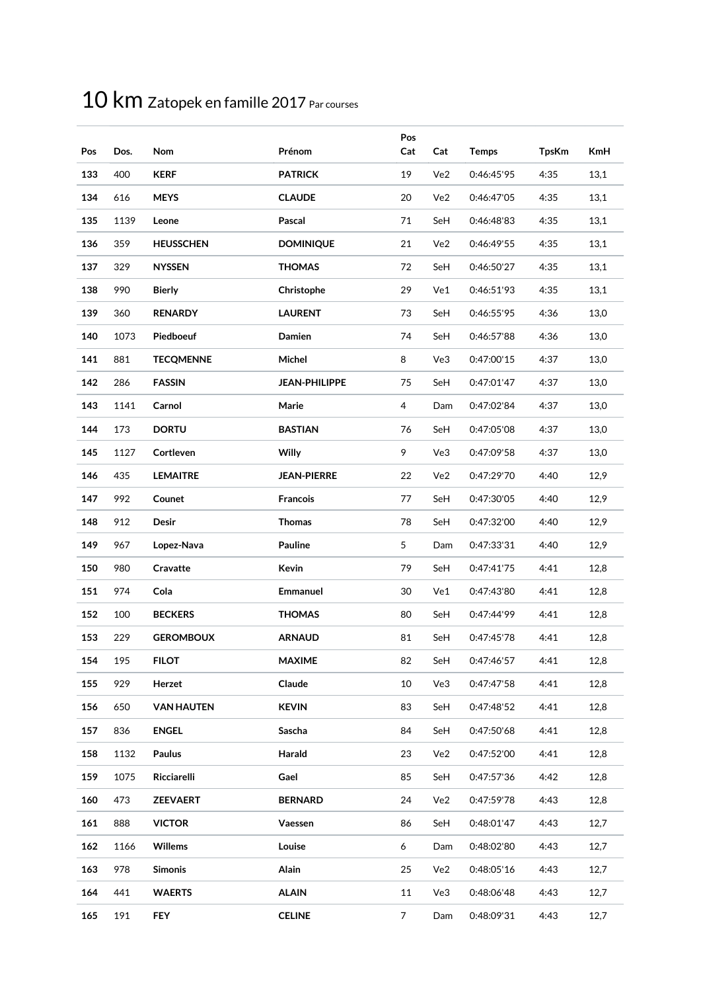| Pos | Dos. | Nom               | Prénom               | Pos<br>Cat     | Cat | <b>Temps</b> | <b>TpsKm</b> | <b>KmH</b> |
|-----|------|-------------------|----------------------|----------------|-----|--------------|--------------|------------|
| 133 | 400  | <b>KERF</b>       | <b>PATRICK</b>       | 19             | Ve2 | 0:46:45'95   | 4:35         | 13,1       |
| 134 | 616  | <b>MEYS</b>       | <b>CLAUDE</b>        | 20             | Ve2 | 0:46:47'05   | 4:35         | 13,1       |
| 135 | 1139 | Leone             | Pascal               | 71             | SeH | 0:46:48'83   | 4:35         | 13,1       |
| 136 | 359  | <b>HEUSSCHEN</b>  | <b>DOMINIQUE</b>     | 21             | Ve2 | 0:46:49'55   | 4:35         | 13,1       |
| 137 | 329  | <b>NYSSEN</b>     | <b>THOMAS</b>        | 72             | SeH | 0:46:50'27   | 4:35         | 13,1       |
| 138 | 990  | <b>Bierly</b>     | Christophe           | 29             | Ve1 | 0:46:51'93   | 4:35         | 13,1       |
| 139 | 360  | <b>RENARDY</b>    | <b>LAURENT</b>       | 73             | SeH | 0:46:55'95   | 4:36         | 13,0       |
| 140 | 1073 | Piedboeuf         | Damien               | 74             | SeH | 0:46:57'88   | 4:36         | 13,0       |
| 141 | 881  | <b>TECOMENNE</b>  | Michel               | 8              | Ve3 | 0:47:00'15   | 4:37         | 13,0       |
| 142 | 286  | <b>FASSIN</b>     | <b>JEAN-PHILIPPE</b> | 75             | SeH | 0:47:01'47   | 4:37         | 13,0       |
| 143 | 1141 | Carnol            | Marie                | $\overline{4}$ | Dam | 0:47:02'84   | 4:37         | 13,0       |
| 144 | 173  | <b>DORTU</b>      | <b>BASTIAN</b>       | 76             | SeH | 0:47:05'08   | 4:37         | 13,0       |
| 145 | 1127 | Cortleven         | <b>Willy</b>         | 9              | Ve3 | 0:47:09'58   | 4:37         | 13,0       |
| 146 | 435  | <b>LEMAITRE</b>   | <b>JEAN-PIERRE</b>   | 22             | Ve2 | 0:47:29'70   | 4:40         | 12,9       |
| 147 | 992  | Counet            | <b>Francois</b>      | 77             | SeH | 0:47:30'05   | 4:40         | 12,9       |
| 148 | 912  | <b>Desir</b>      | <b>Thomas</b>        | 78             | SeH | 0:47:32'00   | 4:40         | 12,9       |
| 149 | 967  | Lopez-Nava        | Pauline              | 5              | Dam | 0:47:33'31   | 4:40         | 12,9       |
| 150 | 980  | Cravatte          | Kevin                | 79             | SeH | 0:47:41'75   | 4:41         | 12,8       |
| 151 | 974  | Cola              | <b>Emmanuel</b>      | 30             | Ve1 | 0:47:43'80   | 4:41         | 12,8       |
| 152 | 100  | <b>BECKERS</b>    | <b>THOMAS</b>        | 80             | SeH | 0:47:44'99   | 4:41         | 12,8       |
| 153 | 229  | <b>GEROMBOUX</b>  | <b>ARNAUD</b>        | 81             | SeH | 0:47:45'78   | 4:41         | 12,8       |
| 154 | 195  | <b>FILOT</b>      | <b>MAXIME</b>        | 82             | SeH | 0:47:46'57   | 4:41         | 12,8       |
| 155 | 929  | Herzet            | Claude               | 10             | Ve3 | 0:47:47'58   | 4:41         | 12,8       |
| 156 | 650  | <b>VAN HAUTEN</b> | <b>KEVIN</b>         | 83             | SeH | 0:47:48'52   | 4:41         | 12,8       |
| 157 | 836  | <b>ENGEL</b>      | Sascha               | 84             | SeH | 0:47:50'68   | 4:41         | 12,8       |
| 158 | 1132 | Paulus            | Harald               | 23             | Ve2 | 0:47:52'00   | 4:41         | 12,8       |
| 159 | 1075 | Ricciarelli       | Gael                 | 85             | SeH | 0:47:57'36   | 4:42         | 12,8       |
| 160 | 473  | <b>ZEEVAERT</b>   | <b>BERNARD</b>       | 24             | Ve2 | 0:47:59'78   | 4:43         | 12,8       |
| 161 | 888  | <b>VICTOR</b>     | Vaessen              | 86             | SeH | 0:48:01'47   | 4:43         | 12,7       |
| 162 | 1166 | <b>Willems</b>    | Louise               | 6              | Dam | 0:48:02'80   | 4:43         | 12,7       |
| 163 | 978  | <b>Simonis</b>    | Alain                | 25             | Ve2 | 0:48:05'16   | 4:43         | 12,7       |
| 164 | 441  | <b>WAERTS</b>     | <b>ALAIN</b>         | 11             | Ve3 | 0:48:06'48   | 4:43         | 12,7       |
| 165 | 191  | <b>FEY</b>        | <b>CELINE</b>        | $\overline{7}$ | Dam | 0:48:09'31   | 4:43         | 12,7       |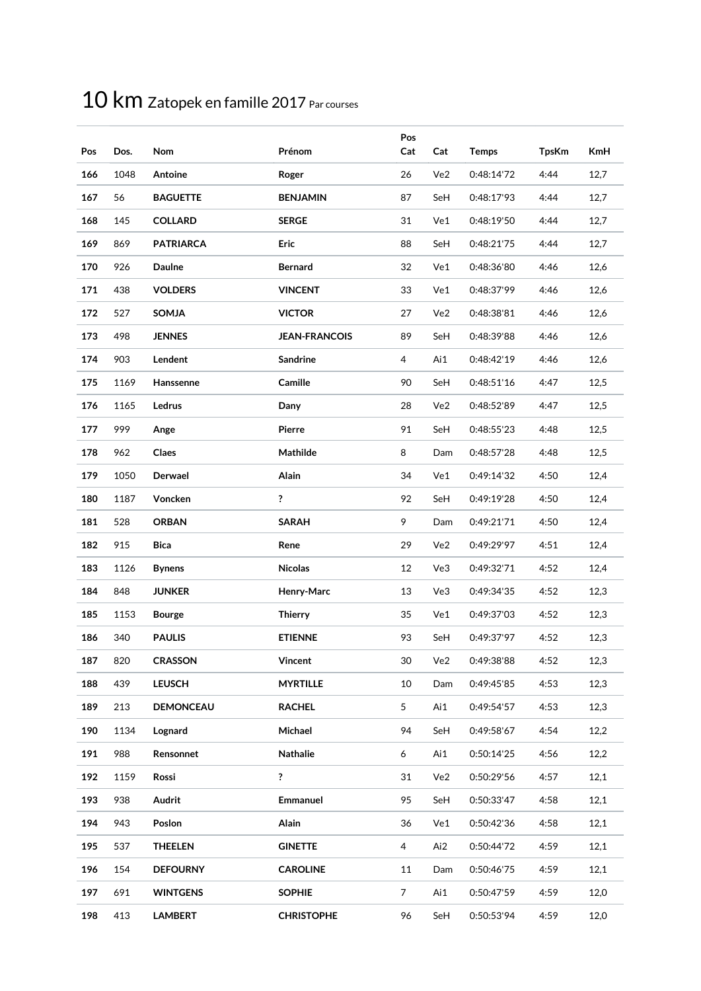| Pos | Dos. | Nom              | Prénom               | Pos<br>Cat     | Cat | <b>Temps</b> | <b>TpsKm</b> | <b>KmH</b> |
|-----|------|------------------|----------------------|----------------|-----|--------------|--------------|------------|
| 166 | 1048 | Antoine          | Roger                | 26             | Ve2 | 0:48:14'72   | 4:44         | 12,7       |
| 167 | 56   | <b>BAGUETTE</b>  | <b>BENJAMIN</b>      | 87             | SeH | 0:48:17'93   | 4:44         | 12,7       |
| 168 | 145  | <b>COLLARD</b>   | <b>SERGE</b>         | 31             | Ve1 | 0:48:19'50   | 4:44         | 12,7       |
| 169 | 869  | <b>PATRIARCA</b> | Eric                 | 88             | SeH | 0:48:21'75   | 4:44         | 12,7       |
| 170 | 926  | <b>Daulne</b>    | <b>Bernard</b>       | 32             | Ve1 | 0:48:36'80   | 4:46         | 12,6       |
| 171 | 438  | <b>VOLDERS</b>   | <b>VINCENT</b>       | 33             | Ve1 | 0:48:37'99   | 4:46         | 12,6       |
| 172 | 527  | <b>SOMJA</b>     | <b>VICTOR</b>        | 27             | Ve2 | 0:48:38'81   | 4:46         | 12,6       |
| 173 | 498  | <b>JENNES</b>    | <b>JEAN-FRANCOIS</b> | 89             | SeH | 0:48:39'88   | 4:46         | 12,6       |
| 174 | 903  | Lendent          | <b>Sandrine</b>      | 4              | Ai1 | 0:48:42'19   | 4:46         | 12,6       |
| 175 | 1169 | Hanssenne        | Camille              | 90             | SeH | 0:48:51'16   | 4:47         | 12,5       |
| 176 | 1165 | Ledrus           | Dany                 | 28             | Ve2 | 0:48:52'89   | 4:47         | 12,5       |
| 177 | 999  | Ange             | Pierre               | 91             | SeH | 0:48:55'23   | 4:48         | 12,5       |
| 178 | 962  | Claes            | Mathilde             | 8              | Dam | 0:48:57'28   | 4:48         | 12,5       |
| 179 | 1050 | Derwael          | Alain                | 34             | Ve1 | 0:49:14'32   | 4:50         | 12,4       |
| 180 | 1187 | Voncken          | ?                    | 92             | SeH | 0:49:19'28   | 4:50         | 12,4       |
| 181 | 528  | <b>ORBAN</b>     | <b>SARAH</b>         | 9              | Dam | 0:49:21'71   | 4:50         | 12,4       |
| 182 | 915  | <b>Bica</b>      | Rene                 | 29             | Ve2 | 0:49:29'97   | 4:51         | 12,4       |
| 183 | 1126 | <b>Bynens</b>    | <b>Nicolas</b>       | 12             | Ve3 | 0:49:32'71   | 4:52         | 12,4       |
| 184 | 848  | <b>JUNKER</b>    | Henry-Marc           | 13             | Ve3 | 0:49:34'35   | 4:52         | 12,3       |
| 185 | 1153 | <b>Bourge</b>    | <b>Thierry</b>       | 35             | Ve1 | 0:49:37'03   | 4:52         | 12,3       |
| 186 | 340  | <b>PAULIS</b>    | <b>ETIENNE</b>       | 93             | SeH | 0:49:37'97   | 4:52         | 12,3       |
| 187 | 820  | <b>CRASSON</b>   | <b>Vincent</b>       | $30\,$         | Ve2 | 0:49:38'88   | 4:52         | 12,3       |
| 188 | 439  | <b>LEUSCH</b>    | <b>MYRTILLE</b>      | 10             | Dam | 0:49:45'85   | 4:53         | 12,3       |
| 189 | 213  | <b>DEMONCEAU</b> | <b>RACHEL</b>        | 5              | Ai1 | 0:49:54'57   | 4:53         | 12,3       |
| 190 | 1134 | Lognard          | Michael              | 94             | SeH | 0:49:58'67   | 4:54         | 12,2       |
| 191 | 988  | Rensonnet        | Nathalie             | 6              | Ai1 | 0:50:14'25   | 4:56         | 12,2       |
| 192 | 1159 | Rossi            | ?                    | 31             | Ve2 | 0:50:29'56   | 4:57         | 12,1       |
| 193 | 938  | Audrit           | <b>Emmanuel</b>      | 95             | SeH | 0:50:33'47   | 4:58         | 12,1       |
| 194 | 943  | Poslon           | Alain                | 36             | Ve1 | 0:50:42'36   | 4:58         | 12,1       |
| 195 | 537  | <b>THEELEN</b>   | <b>GINETTE</b>       | 4              | Ai2 | 0:50:44'72   | 4:59         | 12,1       |
| 196 | 154  | <b>DEFOURNY</b>  | <b>CAROLINE</b>      | 11             | Dam | 0:50:46'75   | 4:59         | 12,1       |
| 197 | 691  | <b>WINTGENS</b>  | <b>SOPHIE</b>        | $\overline{7}$ | Ai1 | 0:50:47'59   | 4:59         | 12,0       |
| 198 | 413  | <b>LAMBERT</b>   | <b>CHRISTOPHE</b>    | 96             | SeH | 0:50:53'94   | 4:59         | 12,0       |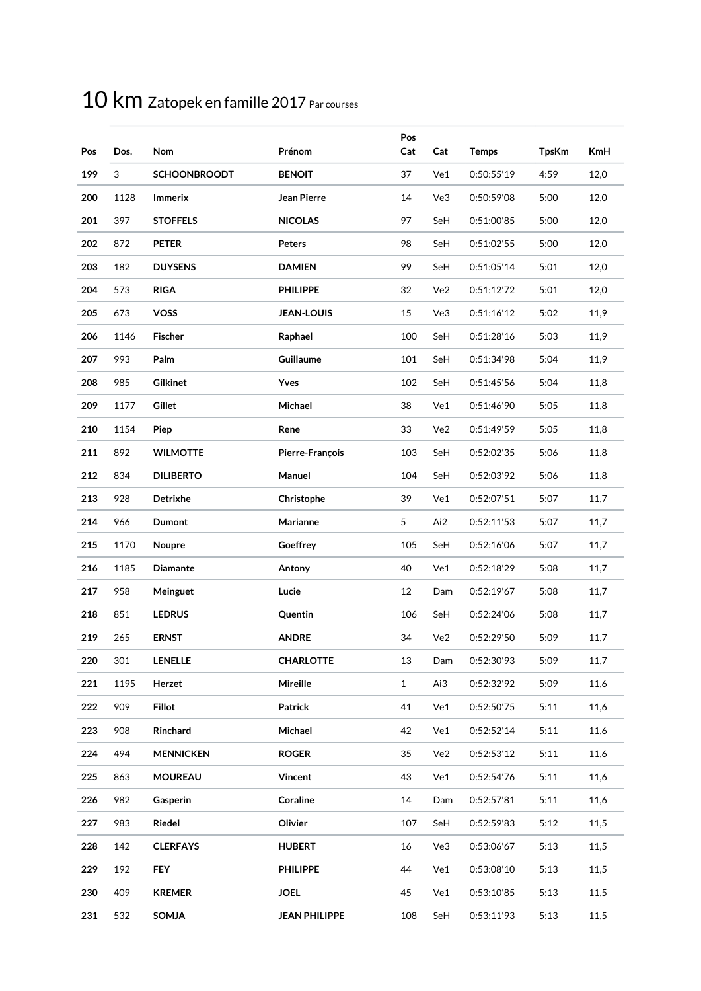| Pos | Dos. | Nom                 | Prénom               | Pos<br>Cat   | Cat | <b>Temps</b> | <b>TpsKm</b> | <b>KmH</b> |
|-----|------|---------------------|----------------------|--------------|-----|--------------|--------------|------------|
| 199 | 3    | <b>SCHOONBROODT</b> | <b>BENOIT</b>        | 37           | Ve1 | 0:50:55'19   | 4:59         | 12,0       |
| 200 | 1128 | <b>Immerix</b>      | <b>Jean Pierre</b>   | 14           | Ve3 | 0:50:59'08   | 5:00         | 12,0       |
| 201 | 397  | <b>STOFFELS</b>     | <b>NICOLAS</b>       | 97           | SeH | 0:51:00'85   | 5:00         | 12,0       |
| 202 | 872  | <b>PETER</b>        | <b>Peters</b>        | 98           | SeH | 0:51:02'55   | 5:00         | 12,0       |
| 203 | 182  | <b>DUYSENS</b>      | <b>DAMIEN</b>        | 99           | SeH | 0:51:05'14   | 5:01         | 12,0       |
| 204 | 573  | <b>RIGA</b>         | <b>PHILIPPE</b>      | 32           | Ve2 | 0:51:12'72   | 5:01         | 12,0       |
| 205 | 673  | <b>VOSS</b>         | <b>JEAN-LOUIS</b>    | 15           | Ve3 | 0:51:16'12   | 5:02         | 11,9       |
| 206 | 1146 | <b>Fischer</b>      | Raphael              | 100          | SeH | 0:51:28'16   | 5:03         | 11,9       |
| 207 | 993  | Palm                | Guillaume            | 101          | SeH | 0:51:34'98   | 5:04         | 11,9       |
| 208 | 985  | <b>Gilkinet</b>     | Yves                 | 102          | SeH | 0:51:45'56   | 5:04         | 11,8       |
| 209 | 1177 | Gillet              | Michael              | 38           | Ve1 | 0:51:46'90   | 5:05         | 11,8       |
| 210 | 1154 | Piep                | Rene                 | 33           | Ve2 | 0:51:49'59   | 5:05         | 11,8       |
| 211 | 892  | <b>WILMOTTE</b>     | Pierre-François      | 103          | SeH | 0:52:02'35   | 5:06         | 11,8       |
| 212 | 834  | <b>DILIBERTO</b>    | Manuel               | 104          | SeH | 0:52:03'92   | 5:06         | 11,8       |
| 213 | 928  | Detrixhe            | Christophe           | 39           | Ve1 | 0:52:07'51   | 5:07         | 11,7       |
| 214 | 966  | Dumont              | Marianne             | 5            | Ai2 | 0:52:11'53   | 5:07         | 11,7       |
| 215 | 1170 | Noupre              | Goeffrey             | 105          | SeH | 0:52:16'06   | 5:07         | 11,7       |
| 216 | 1185 | <b>Diamante</b>     | Antony               | 40           | Ve1 | 0:52:18'29   | 5:08         | 11,7       |
| 217 | 958  | Meinguet            | Lucie                | 12           | Dam | 0:52:19'67   | 5:08         | 11,7       |
| 218 | 851  | <b>LEDRUS</b>       | Quentin              | 106          | SeH | 0:52:24'06   | 5:08         | 11,7       |
| 219 | 265  | <b>ERNST</b>        | <b>ANDRE</b>         | 34           | Ve2 | 0:52:29'50   | 5:09         | 11,7       |
| 220 | 301  | <b>LENELLE</b>      | CHARLOTTE            | 13           | Dam | 0:52:30'93   | 5:09         | 11,7       |
| 221 | 1195 | Herzet              | Mireille             | $\mathbf{1}$ | Ai3 | 0:52:32'92   | 5:09         | 11,6       |
| 222 | 909  | <b>Fillot</b>       | Patrick              | 41           | Ve1 | 0:52:50'75   | 5:11         | 11,6       |
| 223 | 908  | Rinchard            | Michael              | 42           | Ve1 | 0:52:52'14   | 5:11         | 11,6       |
| 224 | 494  | <b>MENNICKEN</b>    | <b>ROGER</b>         | 35           | Ve2 | 0:52:53'12   | 5:11         | 11,6       |
| 225 | 863  | <b>MOUREAU</b>      | Vincent              | 43           | Ve1 | 0:52:54'76   | 5:11         | 11,6       |
| 226 | 982  | Gasperin            | Coraline             | 14           | Dam | 0:52:57'81   | 5:11         | 11,6       |
| 227 | 983  | Riedel              | Olivier              | 107          | SeH | 0:52:59'83   | 5:12         | 11,5       |
| 228 | 142  | <b>CLERFAYS</b>     | <b>HUBERT</b>        | 16           | Ve3 | 0:53:06'67   | 5:13         | 11,5       |
| 229 | 192  | <b>FEY</b>          | <b>PHILIPPE</b>      | 44           | Ve1 | 0:53:08'10   | 5:13         | 11,5       |
| 230 | 409  | <b>KREMER</b>       | <b>JOEL</b>          | 45           | Ve1 | 0:53:10'85   | 5:13         | 11,5       |
| 231 | 532  | <b>SOMJA</b>        | <b>JEAN PHILIPPE</b> | 108          | SeH | 0:53:11'93   | 5:13         | 11,5       |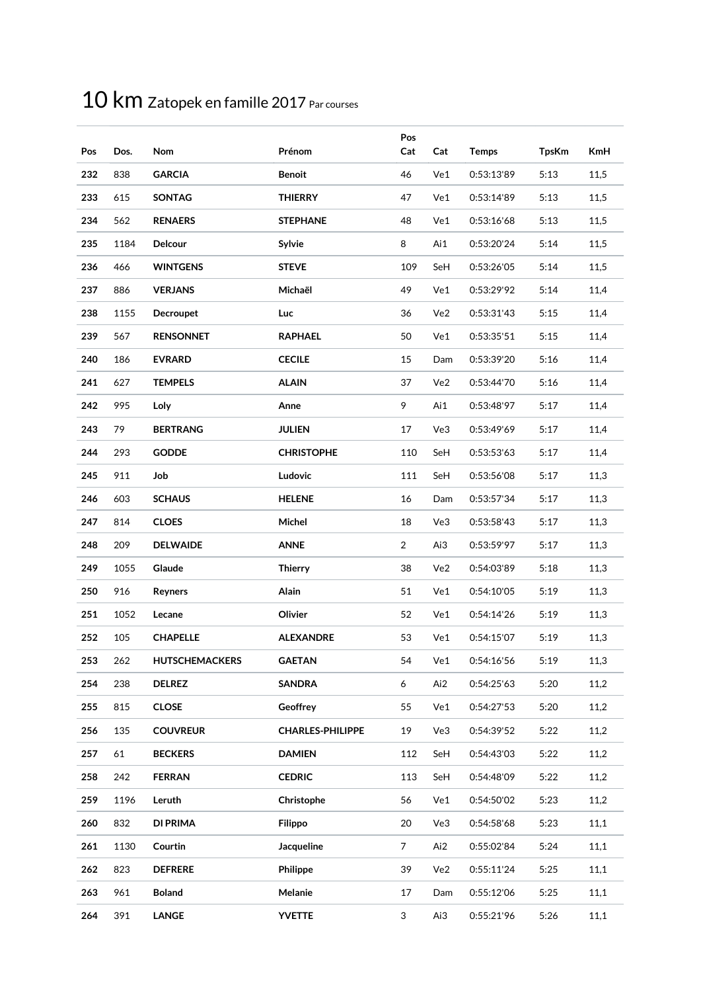| Pos | Dos. | Nom                   | Prénom                  | Pos<br>Cat     | Cat | <b>Temps</b> | <b>TpsKm</b> | <b>KmH</b> |
|-----|------|-----------------------|-------------------------|----------------|-----|--------------|--------------|------------|
| 232 | 838  | <b>GARCIA</b>         | <b>Benoit</b>           | 46             | Ve1 | 0:53:13'89   | 5:13         | 11,5       |
| 233 | 615  | <b>SONTAG</b>         | <b>THIERRY</b>          | 47             | Ve1 | 0:53:14'89   | 5:13         | 11,5       |
| 234 | 562  | <b>RENAERS</b>        | <b>STEPHANE</b>         | 48             | Ve1 | 0:53:16'68   | 5:13         | 11,5       |
| 235 | 1184 | Delcour               | Sylvie                  | 8              | Ai1 | 0:53:20'24   | 5:14         | 11,5       |
| 236 | 466  | <b>WINTGENS</b>       | <b>STEVE</b>            | 109            | SeH | 0:53:26'05   | 5:14         | 11,5       |
| 237 | 886  | <b>VERJANS</b>        | Michaël                 | 49             | Ve1 | 0:53:29'92   | 5:14         | 11,4       |
| 238 | 1155 | <b>Decroupet</b>      | Luc                     | 36             | Ve2 | 0:53:31'43   | 5:15         | 11,4       |
| 239 | 567  | <b>RENSONNET</b>      | <b>RAPHAEL</b>          | 50             | Ve1 | 0:53:35'51   | 5:15         | 11,4       |
| 240 | 186  | <b>EVRARD</b>         | <b>CECILE</b>           | 15             | Dam | 0:53:39'20   | 5:16         | 11,4       |
| 241 | 627  | <b>TEMPELS</b>        | <b>ALAIN</b>            | 37             | Ve2 | 0:53:44'70   | 5:16         | 11,4       |
| 242 | 995  | Loly                  | Anne                    | 9              | Ai1 | 0:53:48'97   | 5:17         | 11,4       |
| 243 | 79   | <b>BERTRANG</b>       | <b>JULIEN</b>           | 17             | Ve3 | 0:53:49'69   | 5:17         | 11,4       |
| 244 | 293  | <b>GODDE</b>          | <b>CHRISTOPHE</b>       | 110            | SeH | 0:53:53'63   | 5:17         | 11,4       |
| 245 | 911  | Job                   | Ludovic                 | 111            | SeH | 0:53:56'08   | 5:17         | 11,3       |
| 246 | 603  | <b>SCHAUS</b>         | <b>HELENE</b>           | 16             | Dam | 0:53:57'34   | 5:17         | 11,3       |
| 247 | 814  | <b>CLOES</b>          | Michel                  | 18             | Ve3 | 0:53:58'43   | 5:17         | 11,3       |
| 248 | 209  | <b>DELWAIDE</b>       | <b>ANNE</b>             | $\overline{2}$ | Ai3 | 0:53:59'97   | 5:17         | 11,3       |
| 249 | 1055 | Glaude                | <b>Thierry</b>          | 38             | Ve2 | 0:54:03'89   | 5:18         | 11,3       |
| 250 | 916  | Reyners               | Alain                   | 51             | Ve1 | 0:54:10'05   | 5:19         | 11,3       |
| 251 | 1052 | Lecane                | Olivier                 | 52             | Ve1 | 0:54:14'26   | 5:19         | 11,3       |
| 252 | 105  | <b>CHAPELLE</b>       | <b>ALEXANDRE</b>        | 53             | Ve1 | 0:54:15'07   | 5:19         | 11,3       |
| 253 | 262  | <b>HUTSCHEMACKERS</b> | <b>GAETAN</b>           | 54             | Ve1 | 0:54:16'56   | 5:19         | 11,3       |
| 254 | 238  | <b>DELREZ</b>         | <b>SANDRA</b>           | 6              | Ai2 | 0:54:25'63   | 5:20         | 11,2       |
| 255 | 815  | <b>CLOSE</b>          | <b>Geoffrey</b>         | 55             | Ve1 | 0:54:27'53   | 5:20         | 11,2       |
| 256 | 135  | <b>COUVREUR</b>       | <b>CHARLES-PHILIPPE</b> | 19             | Ve3 | 0:54:39'52   | 5:22         | 11,2       |
| 257 | 61   | <b>BECKERS</b>        | <b>DAMIEN</b>           | 112            | SeH | 0:54:43'03   | 5:22         | 11,2       |
| 258 | 242  | <b>FERRAN</b>         | <b>CEDRIC</b>           | 113            | SeH | 0:54:48'09   | 5:22         | 11,2       |
| 259 | 1196 | Leruth                | Christophe              | 56             | Ve1 | 0:54:50'02   | 5:23         | 11,2       |
| 260 | 832  | <b>DI PRIMA</b>       | <b>Filippo</b>          | 20             | Ve3 | 0:54:58'68   | 5:23         | 11,1       |
| 261 | 1130 | Courtin               | Jacqueline              | $\overline{7}$ | Ai2 | 0:55:02'84   | 5:24         | 11,1       |
| 262 | 823  | <b>DEFRERE</b>        | Philippe                | 39             | Ve2 | 0:55:11'24   | 5:25         | 11,1       |
| 263 | 961  | <b>Boland</b>         | Melanie                 | 17             | Dam | 0:55:12'06   | 5:25         | 11,1       |
| 264 | 391  | <b>LANGE</b>          | <b>YVETTE</b>           | 3              | Ai3 | 0:55:21'96   | 5:26         | 11,1       |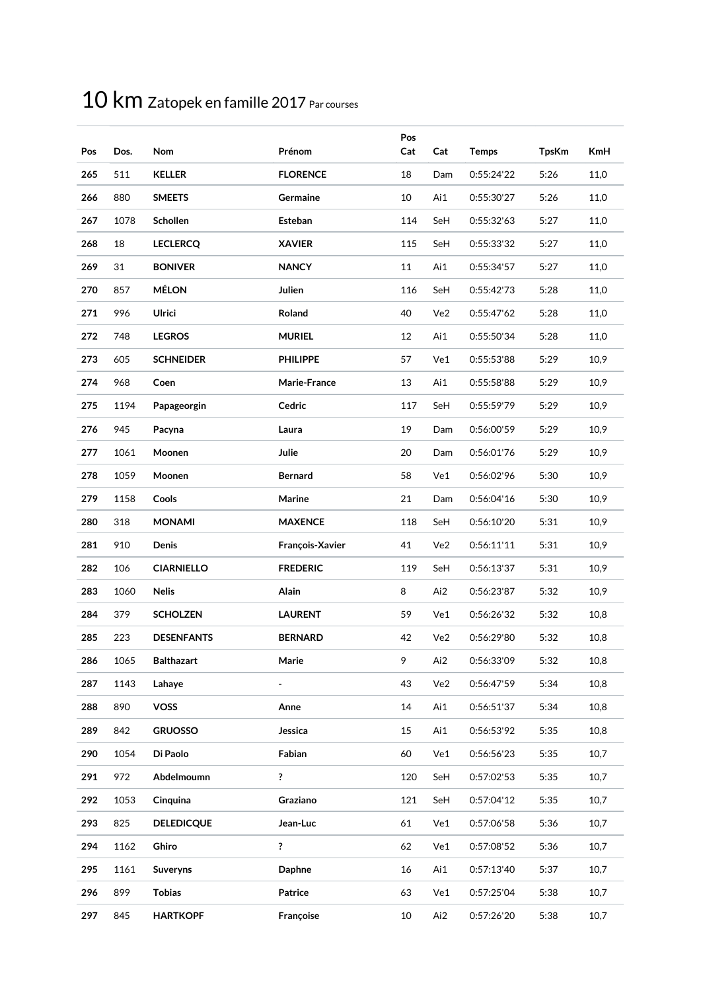| Pos | Dos. | Nom               | Prénom          | Pos<br>Cat | Cat | <b>Temps</b> | <b>TpsKm</b> | <b>KmH</b> |
|-----|------|-------------------|-----------------|------------|-----|--------------|--------------|------------|
| 265 | 511  | <b>KELLER</b>     | <b>FLORENCE</b> | 18         | Dam | 0:55:24'22   | 5:26         | 11,0       |
| 266 | 880  | <b>SMEETS</b>     | Germaine        | 10         | Ai1 | 0:55:30'27   | 5:26         | 11,0       |
| 267 | 1078 | Schollen          | Esteban         | 114        | SeH | 0:55:32'63   | 5:27         | 11,0       |
| 268 | 18   | <b>LECLERCQ</b>   | <b>XAVIER</b>   | 115        | SeH | 0:55:33'32   | 5:27         | 11,0       |
| 269 | 31   | <b>BONIVER</b>    | <b>NANCY</b>    | 11         | Ai1 | 0:55:34'57   | 5:27         | 11,0       |
| 270 | 857  | <b>MÉLON</b>      | Julien          | 116        | SeH | 0:55:42'73   | 5:28         | 11,0       |
| 271 | 996  | Ulrici            | Roland          | 40         | Ve2 | 0:55:47'62   | 5:28         | 11,0       |
| 272 | 748  | <b>LEGROS</b>     | <b>MURIEL</b>   | 12         | Ai1 | 0:55:50'34   | 5:28         | 11,0       |
| 273 | 605  | <b>SCHNEIDER</b>  | <b>PHILIPPE</b> | 57         | Ve1 | 0:55:53'88   | 5:29         | 10,9       |
| 274 | 968  | Coen              | Marie-France    | 13         | Ai1 | 0:55:58'88   | 5:29         | 10,9       |
| 275 | 1194 | Papageorgin       | Cedric          | 117        | SeH | 0:55:59'79   | 5:29         | 10,9       |
| 276 | 945  | Pacyna            | Laura           | 19         | Dam | 0:56:00'59   | 5:29         | 10,9       |
| 277 | 1061 | Moonen            | Julie           | 20         | Dam | 0:56:01'76   | 5:29         | 10,9       |
| 278 | 1059 | Moonen            | <b>Bernard</b>  | 58         | Ve1 | 0:56:02'96   | 5:30         | 10,9       |
| 279 | 1158 | Cools             | Marine          | 21         | Dam | 0:56:04'16   | 5:30         | 10,9       |
| 280 | 318  | <b>MONAMI</b>     | <b>MAXENCE</b>  | 118        | SeH | 0:56:10'20   | 5:31         | 10,9       |
| 281 | 910  | Denis             | François-Xavier | 41         | Ve2 | 0:56:11'11   | 5:31         | 10,9       |
| 282 | 106  | <b>CIARNIELLO</b> | <b>FREDERIC</b> | 119        | SeH | 0:56:13'37   | 5:31         | 10,9       |
| 283 | 1060 | <b>Nelis</b>      | Alain           | 8          | Ai2 | 0:56:23'87   | 5:32         | 10,9       |
| 284 | 379  | <b>SCHOLZEN</b>   | <b>LAURENT</b>  | 59         | Ve1 | 0:56:26'32   | 5:32         | 10,8       |
| 285 | 223  | <b>DESENFANTS</b> | <b>BERNARD</b>  | 42         | Ve2 | 0:56:29'80   | 5:32         | 10,8       |
| 286 | 1065 | <b>Balthazart</b> | Marie           | 9          | Ai2 | 0:56:33'09   | 5:32         | 10,8       |
| 287 | 1143 | Lahaye            |                 | 43         | Ve2 | 0:56:47'59   | 5:34         | 10,8       |
| 288 | 890  | <b>VOSS</b>       | Anne            | 14         | Ai1 | 0:56:51'37   | 5:34         | 10,8       |
| 289 | 842  | <b>GRUOSSO</b>    | Jessica         | 15         | Ai1 | 0:56:53'92   | 5:35         | 10,8       |
| 290 | 1054 | Di Paolo          | Fabian          | 60         | Ve1 | 0:56:56'23   | 5:35         | 10,7       |
| 291 | 972  | Abdelmoumn        | ?               | 120        | SeH | 0:57:02'53   | 5:35         | 10,7       |
| 292 | 1053 | Cinquina          | Graziano        | 121        | SeH | 0:57:04'12   | 5:35         | 10,7       |
| 293 | 825  | <b>DELEDICQUE</b> | Jean-Luc        | 61         | Ve1 | 0:57:06'58   | 5:36         | 10,7       |
| 294 | 1162 | Ghiro             | ?               | 62         | Ve1 | 0:57:08'52   | 5:36         | 10,7       |
| 295 | 1161 | <b>Suveryns</b>   | <b>Daphne</b>   | 16         | Ai1 | 0:57:13'40   | 5:37         | 10,7       |
| 296 | 899  | <b>Tobias</b>     | Patrice         | 63         | Ve1 | 0:57:25'04   | 5:38         | 10,7       |
| 297 | 845  | <b>HARTKOPF</b>   | Françoise       | 10         | Ai2 | 0:57:26'20   | 5:38         | 10,7       |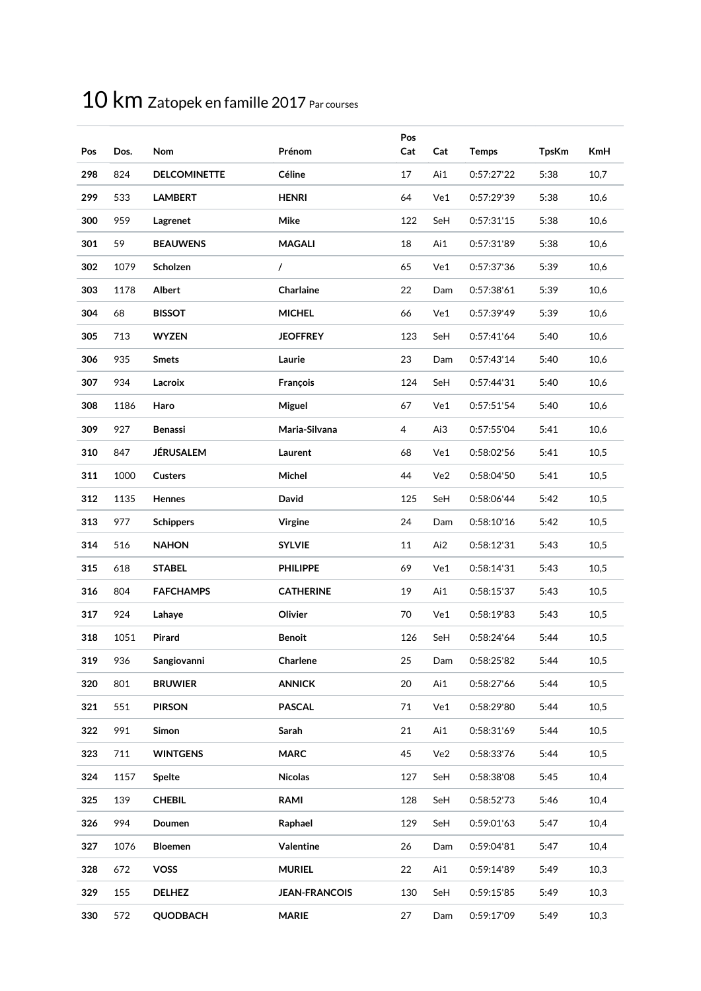| Pos | Dos. | Nom                 | Prénom               | Pos<br>Cat | Cat | <b>Temps</b> | <b>TpsKm</b> | <b>KmH</b> |
|-----|------|---------------------|----------------------|------------|-----|--------------|--------------|------------|
| 298 | 824  | <b>DELCOMINETTE</b> | Céline               | 17         | Ai1 | 0:57:27'22   | 5:38         | 10,7       |
| 299 | 533  | <b>LAMBERT</b>      | <b>HENRI</b>         | 64         | Ve1 | 0:57:29'39   | 5:38         | 10,6       |
| 300 | 959  | Lagrenet            | Mike                 | 122        | SeH | 0:57:31'15   | 5:38         | 10,6       |
| 301 | 59   | <b>BEAUWENS</b>     | <b>MAGALI</b>        | 18         | Ai1 | 0:57:31'89   | 5:38         | 10,6       |
| 302 | 1079 | Scholzen            | $\prime$             | 65         | Ve1 | 0:57:37'36   | 5:39         | 10,6       |
| 303 | 1178 | Albert              | Charlaine            | 22         | Dam | 0:57:38'61   | 5:39         | 10,6       |
| 304 | 68   | <b>BISSOT</b>       | <b>MICHEL</b>        | 66         | Ve1 | 0:57:39'49   | 5:39         | 10,6       |
| 305 | 713  | <b>WYZEN</b>        | <b>JEOFFREY</b>      | 123        | SeH | 0:57:41'64   | 5:40         | 10,6       |
| 306 | 935  | <b>Smets</b>        | Laurie               | 23         | Dam | 0:57:43'14   | 5:40         | 10,6       |
| 307 | 934  | Lacroix             | François             | 124        | SeH | 0:57:44'31   | 5:40         | 10,6       |
| 308 | 1186 | Haro                | Miguel               | 67         | Ve1 | 0:57:51'54   | 5:40         | 10,6       |
| 309 | 927  | <b>Benassi</b>      | Maria-Silvana        | 4          | Ai3 | 0:57:55'04   | 5:41         | 10,6       |
| 310 | 847  | JÉRUSALEM           | Laurent              | 68         | Ve1 | 0:58:02'56   | 5:41         | 10,5       |
| 311 | 1000 | <b>Custers</b>      | Michel               | 44         | Ve2 | 0:58:04'50   | 5:41         | 10,5       |
| 312 | 1135 | Hennes              | David                | 125        | SeH | 0:58:06'44   | 5:42         | 10,5       |
| 313 | 977  | <b>Schippers</b>    | Virgine              | 24         | Dam | 0:58:10'16   | 5:42         | 10,5       |
| 314 | 516  | <b>NAHON</b>        | <b>SYLVIE</b>        | 11         | Ai2 | 0:58:12'31   | 5:43         | 10,5       |
| 315 | 618  | <b>STABEL</b>       | <b>PHILIPPE</b>      | 69         | Ve1 | 0:58:14'31   | 5:43         | 10,5       |
| 316 | 804  | <b>FAFCHAMPS</b>    | <b>CATHERINE</b>     | 19         | Ai1 | 0:58:15'37   | 5:43         | 10,5       |
| 317 | 924  | Lahaye              | Olivier              | 70         | Ve1 | 0:58:19'83   | 5:43         | 10,5       |
| 318 | 1051 | Pirard              | <b>Benoit</b>        | 126        | SeH | 0:58:24'64   | 5:44         | 10,5       |
| 319 | 936  | Sangiovanni         | Charlene             | 25         | Dam | 0:58:25'82   | 5:44         | 10,5       |
| 320 | 801  | <b>BRUWIER</b>      | <b>ANNICK</b>        | 20         | Ai1 | 0:58:27'66   | 5:44         | 10,5       |
| 321 | 551  | <b>PIRSON</b>       | <b>PASCAL</b>        | 71         | Ve1 | 0:58:29'80   | 5:44         | 10,5       |
| 322 | 991  | Simon               | Sarah                | 21         | Ai1 | 0:58:31'69   | 5:44         | 10,5       |
| 323 | 711  | <b>WINTGENS</b>     | <b>MARC</b>          | 45         | Ve2 | 0:58:33'76   | 5:44         | 10,5       |
| 324 | 1157 | <b>Spelte</b>       | <b>Nicolas</b>       | 127        | SeH | 0:58:38'08   | 5:45         | 10,4       |
| 325 | 139  | <b>CHEBIL</b>       | <b>RAMI</b>          | 128        | SeH | 0:58:52'73   | 5:46         | 10,4       |
| 326 | 994  | Doumen              | Raphael              | 129        | SeH | 0:59:01'63   | 5:47         | 10,4       |
| 327 | 1076 | <b>Bloemen</b>      | Valentine            | 26         | Dam | 0:59:04'81   | 5:47         | 10,4       |
| 328 | 672  | <b>VOSS</b>         | <b>MURIEL</b>        | 22         | Ai1 | 0:59:14'89   | 5:49         | 10,3       |
| 329 | 155  | <b>DELHEZ</b>       | <b>JEAN-FRANCOIS</b> | 130        | SeH | 0:59:15'85   | 5:49         | 10,3       |
| 330 | 572  | <b>QUODBACH</b>     | <b>MARIE</b>         | 27         | Dam | 0:59:17'09   | 5:49         | 10,3       |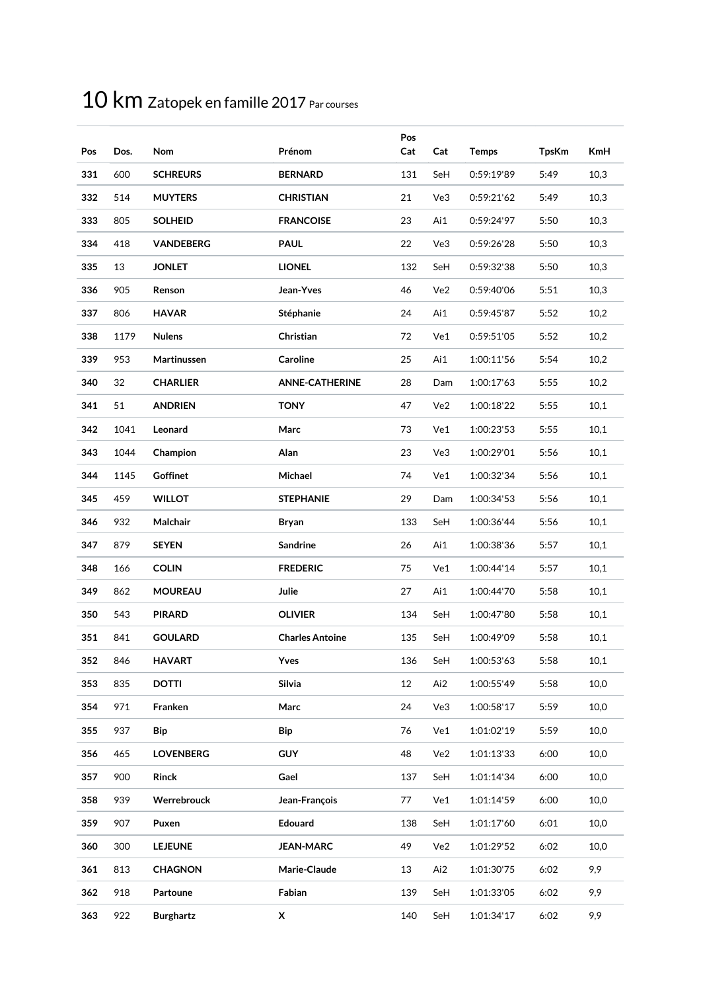| Pos | Dos. | Nom              | Prénom                 | Pos<br>Cat | Cat | <b>Temps</b> | <b>TpsKm</b> | <b>KmH</b> |
|-----|------|------------------|------------------------|------------|-----|--------------|--------------|------------|
| 331 | 600  | <b>SCHREURS</b>  | <b>BERNARD</b>         | 131        | SeH | 0:59:19'89   | 5:49         | 10,3       |
| 332 | 514  | <b>MUYTERS</b>   | <b>CHRISTIAN</b>       | 21         | Ve3 | 0:59:21'62   | 5:49         | 10,3       |
| 333 | 805  | <b>SOLHEID</b>   | <b>FRANCOISE</b>       | 23         | Ai1 | 0:59:24'97   | 5:50         | 10,3       |
| 334 | 418  | <b>VANDEBERG</b> | <b>PAUL</b>            | 22         | Ve3 | 0:59:26'28   | 5:50         | 10,3       |
| 335 | 13   | <b>JONLET</b>    | <b>LIONEL</b>          | 132        | SeH | 0:59:32'38   | 5:50         | 10,3       |
| 336 | 905  | Renson           | Jean-Yves              | 46         | Ve2 | 0:59:40'06   | 5:51         | 10,3       |
| 337 | 806  | <b>HAVAR</b>     | Stéphanie              | 24         | Ai1 | 0:59:45'87   | 5:52         | 10,2       |
| 338 | 1179 | <b>Nulens</b>    | Christian              | 72         | Ve1 | 0:59:51'05   | 5:52         | 10,2       |
| 339 | 953  | Martinussen      | Caroline               | 25         | Ai1 | 1:00:11'56   | 5:54         | 10,2       |
| 340 | 32   | <b>CHARLIER</b>  | <b>ANNE-CATHERINE</b>  | 28         | Dam | 1:00:17'63   | 5:55         | 10,2       |
| 341 | 51   | <b>ANDRIEN</b>   | <b>TONY</b>            | 47         | Ve2 | 1:00:18'22   | 5:55         | 10,1       |
| 342 | 1041 | Leonard          | Marc                   | 73         | Ve1 | 1:00:23'53   | 5:55         | 10,1       |
| 343 | 1044 | Champion         | Alan                   | 23         | Ve3 | 1:00:29'01   | 5:56         | 10,1       |
| 344 | 1145 | <b>Goffinet</b>  | Michael                | 74         | Ve1 | 1:00:32'34   | 5:56         | 10,1       |
| 345 | 459  | <b>WILLOT</b>    | <b>STEPHANIE</b>       | 29         | Dam | 1:00:34'53   | 5:56         | 10,1       |
| 346 | 932  | Malchair         | Bryan                  | 133        | SeH | 1:00:36'44   | 5:56         | 10,1       |
| 347 | 879  | <b>SEYEN</b>     | Sandrine               | 26         | Ai1 | 1:00:38'36   | 5:57         | 10,1       |
| 348 | 166  | <b>COLIN</b>     | <b>FREDERIC</b>        | 75         | Ve1 | 1:00:44'14   | 5:57         | 10,1       |
| 349 | 862  | <b>MOUREAU</b>   | Julie                  | 27         | Ai1 | 1:00:44'70   | 5:58         | 10,1       |
| 350 | 543  | <b>PIRARD</b>    | <b>OLIVIER</b>         | 134        | SeH | 1:00:47'80   | 5:58         | 10,1       |
| 351 | 841  | <b>GOULARD</b>   | <b>Charles Antoine</b> | 135        | SeH | 1:00:49'09   | 5:58         | 10,1       |
| 352 | 846  | <b>HAVART</b>    | Yves                   | 136        | SeH | 1:00:53'63   | 5:58         | 10,1       |
| 353 | 835  | <b>DOTTI</b>     | Silvia                 | 12         | Ai2 | 1:00:55'49   | 5:58         | 10,0       |
| 354 | 971  | Franken          | Marc                   | 24         | Ve3 | 1:00:58'17   | 5:59         | 10,0       |
| 355 | 937  | Bip              | Bip                    | 76         | Ve1 | 1:01:02'19   | 5:59         | 10,0       |
| 356 | 465  | <b>LOVENBERG</b> | <b>GUY</b>             | 48         | Ve2 | 1:01:13'33   | 6:00         | 10,0       |
| 357 | 900  | <b>Rinck</b>     | Gael                   | 137        | SeH | 1:01:14'34   | 6:00         | 10,0       |
| 358 | 939  | Werrebrouck      | Jean-François          | 77         | Ve1 | 1:01:14'59   | 6:00         | 10,0       |
| 359 | 907  | Puxen            | Edouard                | 138        | SeH | 1:01:17'60   | 6:01         | 10,0       |
| 360 | 300  | <b>LEJEUNE</b>   | <b>JEAN-MARC</b>       | 49         | Ve2 | 1:01:29'52   | 6:02         | 10,0       |
| 361 | 813  | <b>CHAGNON</b>   | Marie-Claude           | 13         | Ai2 | 1:01:30'75   | 6:02         | 9,9        |
| 362 | 918  | Partoune         | Fabian                 | 139        | SeH | 1:01:33'05   | 6:02         | 9,9        |
| 363 | 922  | <b>Burghartz</b> | $\pmb{\mathsf{x}}$     | 140        | SeH | 1:01:34'17   | 6:02         | 9,9        |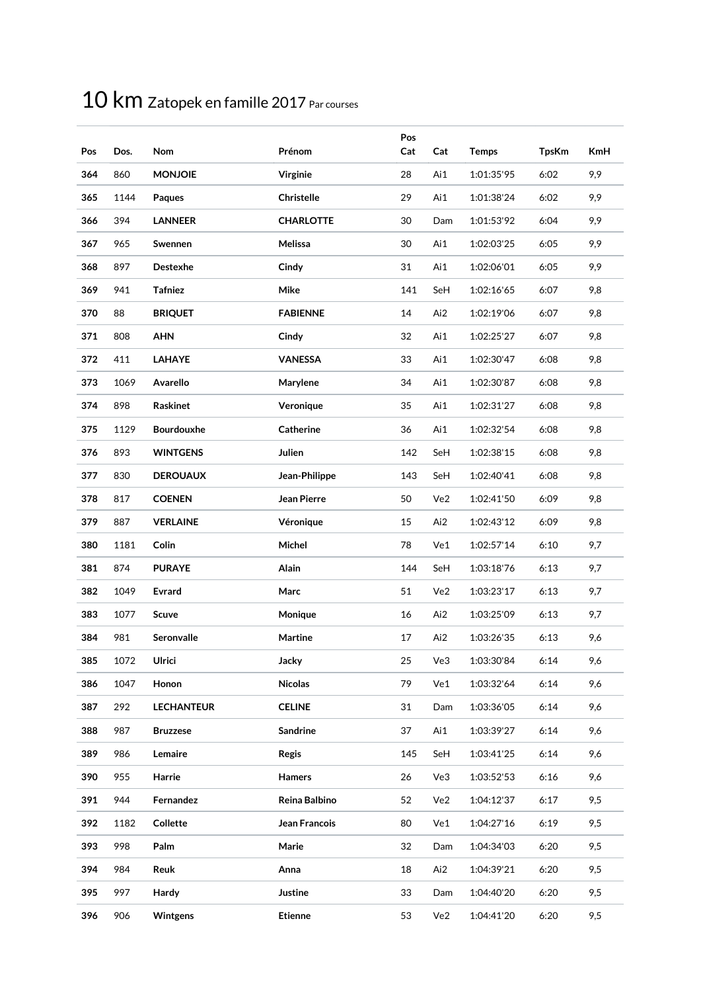| Pos | Dos. | Nom               | Prénom           | Pos<br>Cat | Cat | <b>Temps</b> | <b>TpsKm</b> | <b>KmH</b> |
|-----|------|-------------------|------------------|------------|-----|--------------|--------------|------------|
| 364 | 860  | <b>MONJOIE</b>    | Virginie         | 28         | Ai1 | 1:01:35'95   | 6:02         | 9,9        |
| 365 | 1144 | Paques            | Christelle       | 29         | Ai1 | 1:01:38'24   | 6:02         | 9,9        |
| 366 | 394  | <b>LANNEER</b>    | <b>CHARLOTTE</b> | 30         | Dam | 1:01:53'92   | 6:04         | 9,9        |
| 367 | 965  | Swennen           | Melissa          | 30         | Ai1 | 1:02:03'25   | 6:05         | 9,9        |
| 368 | 897  | Destexhe          | Cindy            | 31         | Ai1 | 1:02:06'01   | 6:05         | 9,9        |
| 369 | 941  | Tafniez           | Mike             | 141        | SeH | 1:02:16'65   | 6:07         | 9,8        |
| 370 | 88   | <b>BRIQUET</b>    | <b>FABIENNE</b>  | 14         | Ai2 | 1:02:19'06   | 6:07         | 9,8        |
| 371 | 808  | <b>AHN</b>        | Cindy            | 32         | Ai1 | 1:02:25'27   | 6:07         | 9,8        |
| 372 | 411  | <b>LAHAYE</b>     | <b>VANESSA</b>   | 33         | Ai1 | 1:02:30'47   | 6:08         | 9,8        |
| 373 | 1069 | Avarello          | Marylene         | 34         | Ai1 | 1:02:30'87   | 6:08         | 9,8        |
| 374 | 898  | Raskinet          | Veronique        | 35         | Ai1 | 1:02:31'27   | 6:08         | 9,8        |
| 375 | 1129 | Bourdouxhe        | Catherine        | 36         | Ai1 | 1:02:32'54   | 6:08         | 9,8        |
| 376 | 893  | <b>WINTGENS</b>   | Julien           | 142        | SeH | 1:02:38'15   | 6:08         | 9,8        |
| 377 | 830  | <b>DEROUAUX</b>   | Jean-Philippe    | 143        | SeH | 1:02:40'41   | 6:08         | 9,8        |
| 378 | 817  | <b>COENEN</b>     | Jean Pierre      | 50         | Ve2 | 1:02:41'50   | 6:09         | 9,8        |
| 379 | 887  | <b>VERLAINE</b>   | Véronique        | 15         | Ai2 | 1:02:43'12   | 6:09         | 9,8        |
| 380 | 1181 | Colin             | Michel           | 78         | Ve1 | 1:02:57'14   | 6:10         | 9,7        |
| 381 | 874  | <b>PURAYE</b>     | Alain            | 144        | SeH | 1:03:18'76   | 6:13         | 9,7        |
| 382 | 1049 | <b>Evrard</b>     | Marc             | 51         | Ve2 | 1:03:23'17   | 6:13         | 9,7        |
| 383 | 1077 | Scuve             | Monique          | 16         | Ai2 | 1:03:25'09   | 6:13         | 9,7        |
| 384 | 981  | <b>Seronvalle</b> | Martine          | 17         | Ai2 | 1:03:26'35   | 6:13         | 9,6        |
| 385 | 1072 | Ulrici            | Jacky            | 25         | Ve3 | 1:03:30'84   | 6:14         | 9,6        |
| 386 | 1047 | Honon             | <b>Nicolas</b>   | 79         | Ve1 | 1:03:32'64   | 6:14         | 9,6        |
| 387 | 292  | <b>LECHANTEUR</b> | <b>CELINE</b>    | 31         | Dam | 1:03:36'05   | 6:14         | 9,6        |
| 388 | 987  | <b>Bruzzese</b>   | Sandrine         | 37         | Ai1 | 1:03:39'27   | 6:14         | 9,6        |
| 389 | 986  | Lemaire           | <b>Regis</b>     | 145        | SeH | 1:03:41'25   | 6:14         | 9,6        |
| 390 | 955  | Harrie            | <b>Hamers</b>    | 26         | Ve3 | 1:03:52'53   | 6:16         | 9,6        |
| 391 | 944  | Fernandez         | Reina Balbino    | 52         | Ve2 | 1:04:12'37   | 6:17         | 9,5        |
| 392 | 1182 | Collette          | Jean Francois    | 80         | Ve1 | 1:04:27'16   | 6:19         | 9,5        |
| 393 | 998  | Palm              | Marie            | 32         | Dam | 1:04:34'03   | 6:20         | 9,5        |
| 394 | 984  | Reuk              | Anna             | 18         | Ai2 | 1:04:39'21   | 6:20         | 9,5        |
| 395 | 997  | Hardy             | Justine          | 33         | Dam | 1:04:40'20   | 6:20         | 9,5        |
| 396 | 906  | Wintgens          | <b>Etienne</b>   | 53         | Ve2 | 1:04:41'20   | 6:20         | 9,5        |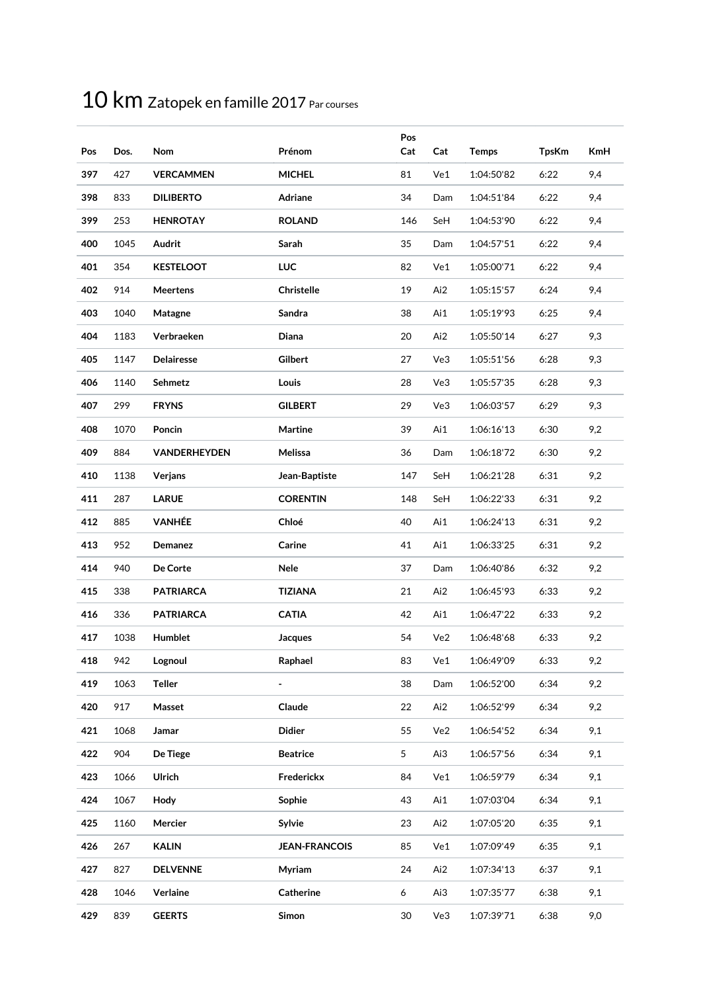| Pos | Dos. | Nom                 | Prénom               | Pos<br>Cat | Cat | <b>Temps</b> | <b>TpsKm</b> | <b>KmH</b> |
|-----|------|---------------------|----------------------|------------|-----|--------------|--------------|------------|
| 397 | 427  | <b>VERCAMMEN</b>    | <b>MICHEL</b>        | 81         | Ve1 | 1:04:50'82   | 6:22         | 9,4        |
| 398 | 833  | <b>DILIBERTO</b>    | Adriane              | 34         | Dam | 1:04:51'84   | 6:22         | 9,4        |
| 399 | 253  | <b>HENROTAY</b>     | <b>ROLAND</b>        | 146        | SeH | 1:04:53'90   | 6:22         | 9,4        |
| 400 | 1045 | Audrit              | Sarah                | 35         | Dam | 1:04:57'51   | 6:22         | 9,4        |
| 401 | 354  | <b>KESTELOOT</b>    | <b>LUC</b>           | 82         | Ve1 | 1:05:00'71   | 6:22         | 9,4        |
| 402 | 914  | <b>Meertens</b>     | <b>Christelle</b>    | 19         | Ai2 | 1:05:15'57   | 6:24         | 9,4        |
| 403 | 1040 | Matagne             | Sandra               | 38         | Ai1 | 1:05:19'93   | 6:25         | 9,4        |
| 404 | 1183 | Verbraeken          | Diana                | 20         | Ai2 | 1:05:50'14   | 6:27         | 9,3        |
| 405 | 1147 | Delairesse          | Gilbert              | 27         | Ve3 | 1:05:51'56   | 6:28         | 9,3        |
| 406 | 1140 | Sehmetz             | Louis                | 28         | Ve3 | 1:05:57'35   | 6:28         | 9,3        |
| 407 | 299  | <b>FRYNS</b>        | <b>GILBERT</b>       | 29         | Ve3 | 1:06:03'57   | 6:29         | 9,3        |
| 408 | 1070 | Poncin              | Martine              | 39         | Ai1 | 1:06:16'13   | 6:30         | 9,2        |
| 409 | 884  | <b>VANDERHEYDEN</b> | Melissa              | 36         | Dam | 1:06:18'72   | 6:30         | 9,2        |
| 410 | 1138 | Verjans             | Jean-Baptiste        | 147        | SeH | 1:06:21'28   | 6:31         | 9,2        |
| 411 | 287  | <b>LARUE</b>        | <b>CORENTIN</b>      | 148        | SeH | 1:06:22'33   | 6:31         | 9,2        |
| 412 | 885  | <b>VANHÉE</b>       | Chloé                | 40         | Ai1 | 1:06:24'13   | 6:31         | 9,2        |
| 413 | 952  | Demanez             | Carine               | 41         | Ai1 | 1:06:33'25   | 6:31         | 9,2        |
| 414 | 940  | De Corte            | Nele                 | 37         | Dam | 1:06:40'86   | 6:32         | 9,2        |
| 415 | 338  | <b>PATRIARCA</b>    | <b>TIZIANA</b>       | 21         | Ai2 | 1:06:45'93   | 6:33         | 9,2        |
| 416 | 336  | <b>PATRIARCA</b>    | <b>CATIA</b>         | 42         | Ai1 | 1:06:47'22   | 6:33         | 9,2        |
| 417 | 1038 | Humblet             | <b>Jacques</b>       | 54         | Ve2 | 1:06:48'68   | 6:33         | 9,2        |
| 418 | 942  | Lognoul             | Raphael              | 83         | Ve1 | 1:06:49'09   | 6:33         | 9,2        |
| 419 | 1063 | <b>Teller</b>       |                      | 38         | Dam | 1:06:52'00   | 6:34         | 9,2        |
| 420 | 917  | Masset              | Claude               | 22         | Ai2 | 1:06:52'99   | 6:34         | 9,2        |
| 421 | 1068 | Jamar               | <b>Didier</b>        | 55         | Ve2 | 1:06:54'52   | 6:34         | 9,1        |
| 422 | 904  | De Tiege            | <b>Beatrice</b>      | 5          | Ai3 | 1:06:57'56   | 6:34         | 9,1        |
| 423 | 1066 | Ulrich              | Frederickx           | 84         | Ve1 | 1:06:59'79   | 6:34         | 9,1        |
| 424 | 1067 | Hody                | Sophie               | 43         | Ai1 | 1:07:03'04   | 6:34         | 9,1        |
| 425 | 1160 | Mercier             | Sylvie               | 23         | Ai2 | 1:07:05'20   | 6:35         | 9,1        |
| 426 | 267  | <b>KALIN</b>        | <b>JEAN-FRANCOIS</b> | 85         | Ve1 | 1:07:09'49   | 6:35         | 9,1        |
| 427 | 827  | <b>DELVENNE</b>     | Myriam               | 24         | Ai2 | 1:07:34'13   | 6:37         | 9,1        |
| 428 | 1046 | Verlaine            | Catherine            | 6          | Ai3 | 1:07:35'77   | 6:38         | 9,1        |
| 429 | 839  | <b>GEERTS</b>       | Simon                | 30         | Ve3 | 1:07:39'71   | 6:38         | 9,0        |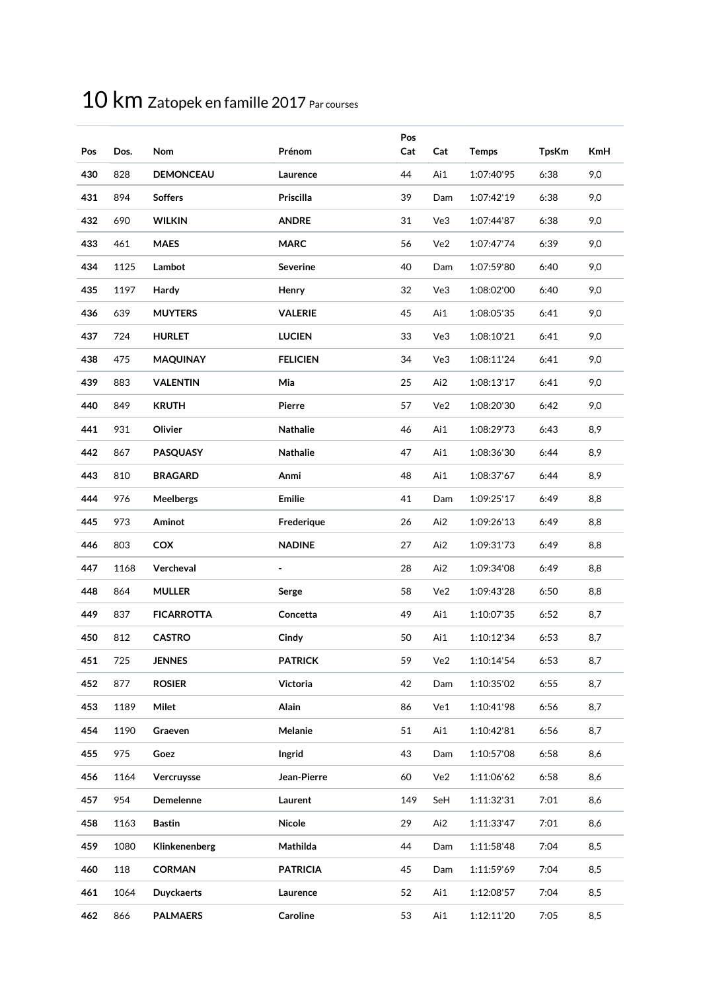| Pos | Dos. | Nom               | Prénom           | Pos<br>Cat | Cat | <b>Temps</b> | <b>TpsKm</b> | <b>KmH</b> |
|-----|------|-------------------|------------------|------------|-----|--------------|--------------|------------|
| 430 | 828  | <b>DEMONCEAU</b>  | Laurence         | 44         | Ai1 | 1:07:40'95   | 6:38         | 9,0        |
| 431 | 894  | <b>Soffers</b>    | <b>Priscilla</b> | 39         | Dam | 1:07:42'19   | 6:38         | 9,0        |
| 432 | 690  | <b>WILKIN</b>     | <b>ANDRE</b>     | 31         | Ve3 | 1:07:44'87   | 6:38         | 9,0        |
| 433 | 461  | <b>MAES</b>       | <b>MARC</b>      | 56         | Ve2 | 1:07:47'74   | 6:39         | 9,0        |
| 434 | 1125 | Lambot            | Severine         | 40         | Dam | 1:07:59'80   | 6:40         | 9,0        |
| 435 | 1197 | Hardy             | Henry            | 32         | Ve3 | 1:08:02'00   | 6:40         | 9,0        |
| 436 | 639  | <b>MUYTERS</b>    | <b>VALERIE</b>   | 45         | Ai1 | 1:08:05'35   | 6:41         | 9,0        |
| 437 | 724  | <b>HURLET</b>     | <b>LUCIEN</b>    | 33         | Ve3 | 1:08:10'21   | 6:41         | 9,0        |
| 438 | 475  | <b>MAQUINAY</b>   | <b>FELICIEN</b>  | 34         | Ve3 | 1:08:11'24   | 6:41         | 9,0        |
| 439 | 883  | <b>VALENTIN</b>   | Mia              | 25         | Ai2 | 1:08:13'17   | 6:41         | 9,0        |
| 440 | 849  | <b>KRUTH</b>      | Pierre           | 57         | Ve2 | 1:08:20'30   | 6:42         | 9,0        |
| 441 | 931  | Olivier           | <b>Nathalie</b>  | 46         | Ai1 | 1:08:29'73   | 6:43         | 8,9        |
| 442 | 867  | <b>PASQUASY</b>   | <b>Nathalie</b>  | 47         | Ai1 | 1:08:36'30   | 6:44         | 8,9        |
| 443 | 810  | <b>BRAGARD</b>    | Anmi             | 48         | Ai1 | 1:08:37'67   | 6:44         | 8,9        |
| 444 | 976  | <b>Meelbergs</b>  | <b>Emilie</b>    | 41         | Dam | 1:09:25'17   | 6:49         | 8,8        |
| 445 | 973  | Aminot            | Frederique       | 26         | Ai2 | 1:09:26'13   | 6:49         | 8,8        |
| 446 | 803  | COX               | <b>NADINE</b>    | 27         | Ai2 | 1:09:31'73   | 6:49         | 8,8        |
| 447 | 1168 | Vercheval         |                  | 28         | Ai2 | 1:09:34'08   | 6:49         | 8,8        |
| 448 | 864  | <b>MULLER</b>     | Serge            | 58         | Ve2 | 1:09:43'28   | 6:50         | 8,8        |
| 449 | 837  | <b>FICARROTTA</b> | Concetta         | 49         | Ai1 | 1:10:07'35   | 6:52         | 8,7        |
| 450 | 812  | <b>CASTRO</b>     | Cindy            | 50         | Ai1 | 1:10:12'34   | 6:53         | 8,7        |
| 451 | 725  | <b>JENNES</b>     | <b>PATRICK</b>   | 59         | Ve2 | 1:10:14'54   | 6:53         | 8,7        |
| 452 | 877  | <b>ROSIER</b>     | Victoria         | 42         | Dam | 1:10:35'02   | 6:55         | 8,7        |
| 453 | 1189 | Milet             | Alain            | 86         | Ve1 | 1:10:41'98   | 6:56         | 8,7        |
| 454 | 1190 | Graeven           | Melanie          | 51         | Ai1 | 1:10:42'81   | 6:56         | 8,7        |
| 455 | 975  | Goez              | Ingrid           | 43         | Dam | 1:10:57'08   | 6:58         | 8,6        |
| 456 | 1164 | Vercruysse        | Jean-Pierre      | 60         | Ve2 | 1:11:06'62   | 6:58         | 8,6        |
| 457 | 954  | Demelenne         | Laurent          | 149        | SeH | 1:11:32'31   | 7:01         | 8,6        |
| 458 | 1163 | <b>Bastin</b>     | Nicole           | 29         | Ai2 | 1:11:33'47   | 7:01         | 8,6        |
| 459 | 1080 | Klinkenenberg     | Mathilda         | 44         | Dam | 1:11:58'48   | 7:04         | 8,5        |
| 460 | 118  | <b>CORMAN</b>     | <b>PATRICIA</b>  | 45         | Dam | 1:11:59'69   | 7:04         | 8,5        |
| 461 | 1064 | <b>Duyckaerts</b> | Laurence         | 52         | Ai1 | 1:12:08'57   | 7:04         | 8,5        |
| 462 | 866  | <b>PALMAERS</b>   | Caroline         | 53         | Ai1 | 1:12:11'20   | 7:05         | 8,5        |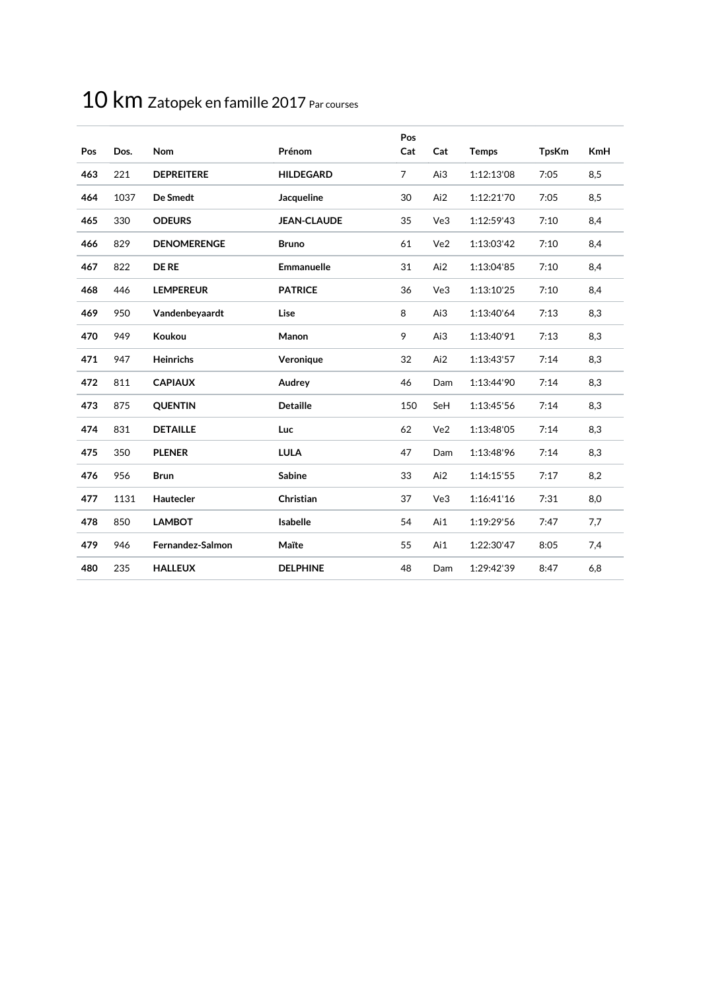| Pos | Dos. | <b>Nom</b>         | Prénom             | Pos<br>Cat     | Cat | <b>Temps</b> | <b>TpsKm</b> | <b>KmH</b> |
|-----|------|--------------------|--------------------|----------------|-----|--------------|--------------|------------|
| 463 | 221  | <b>DEPREITERE</b>  | <b>HILDEGARD</b>   | $\overline{7}$ | Ai3 | 1:12:13'08   | 7:05         | 8,5        |
| 464 | 1037 | De Smedt           | Jacqueline         | 30             | Ai2 | 1:12:21'70   | 7:05         | 8,5        |
| 465 | 330  | <b>ODEURS</b>      | <b>JEAN-CLAUDE</b> | 35             | Ve3 | 1:12:59'43   | 7:10         | 8,4        |
| 466 | 829  | <b>DENOMERENGE</b> | <b>Bruno</b>       | 61             | Ve2 | 1:13:03'42   | 7:10         | 8,4        |
| 467 | 822  | <b>DE RE</b>       | <b>Emmanuelle</b>  | 31             | Ai2 | 1:13:04'85   | 7:10         | 8,4        |
| 468 | 446  | <b>LEMPEREUR</b>   | <b>PATRICE</b>     | 36             | Ve3 | 1:13:10'25   | 7:10         | 8,4        |
| 469 | 950  | Vandenbeyaardt     | Lise               | 8              | Ai3 | 1:13:40'64   | 7:13         | 8,3        |
| 470 | 949  | Koukou             | Manon              | 9              | Ai3 | 1:13:40'91   | 7:13         | 8,3        |
| 471 | 947  | <b>Heinrichs</b>   | Veronique          | 32             | Ai2 | 1:13:43'57   | 7:14         | 8,3        |
| 472 | 811  | <b>CAPIAUX</b>     | Audrey             | 46             | Dam | 1:13:44'90   | 7:14         | 8,3        |
| 473 | 875  | <b>QUENTIN</b>     | <b>Detaille</b>    | 150            | SeH | 1:13:45'56   | 7:14         | 8,3        |
| 474 | 831  | <b>DETAILLE</b>    | Luc                | 62             | Ve2 | 1:13:48'05   | 7:14         | 8,3        |
| 475 | 350  | <b>PLENER</b>      | <b>LULA</b>        | 47             | Dam | 1:13:48'96   | 7:14         | 8,3        |
| 476 | 956  | <b>Brun</b>        | Sabine             | 33             | Ai2 | 1:14:15'55   | 7:17         | 8,2        |
| 477 | 1131 | Hautecler          | Christian          | 37             | Ve3 | 1:16:41'16   | 7:31         | 8,0        |
| 478 | 850  | <b>LAMBOT</b>      | Isabelle           | 54             | Ai1 | 1:19:29'56   | 7:47         | 7,7        |
| 479 | 946  | Fernandez-Salmon   | Maïte              | 55             | Ai1 | 1:22:30'47   | 8:05         | 7,4        |
| 480 | 235  | <b>HALLEUX</b>     | <b>DELPHINE</b>    | 48             | Dam | 1:29:42'39   | 8:47         | 6,8        |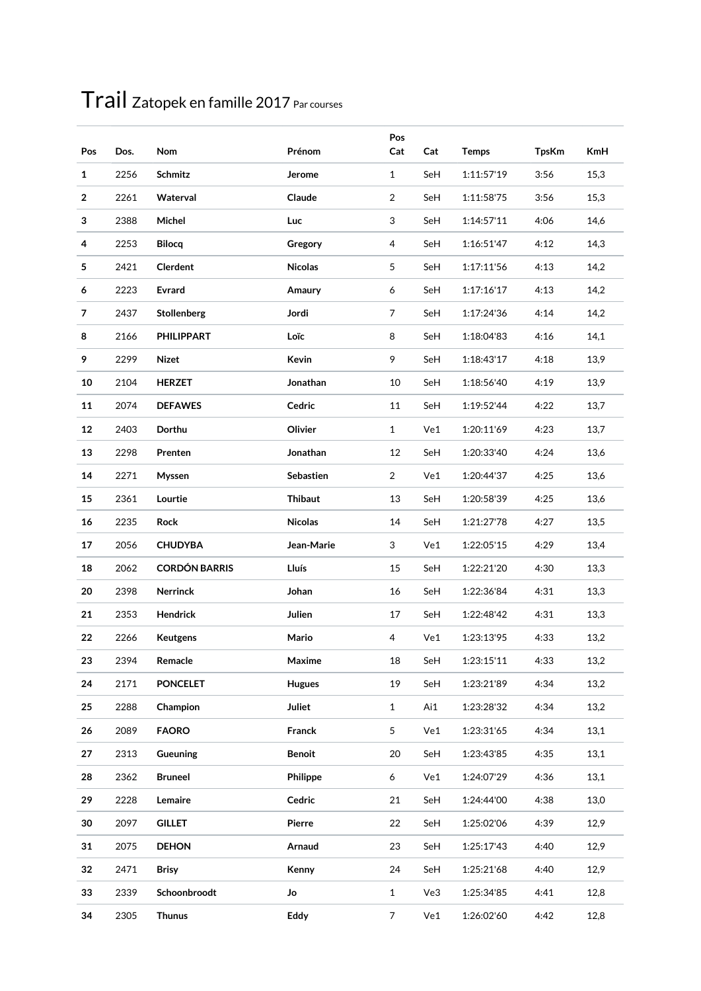| Pos          | Dos. | Nom                  | Prénom         | Pos<br>Cat     | Cat | <b>Temps</b> | <b>TpsKm</b> | <b>KmH</b> |
|--------------|------|----------------------|----------------|----------------|-----|--------------|--------------|------------|
| $\mathbf{1}$ | 2256 | Schmitz              | Jerome         | $\mathbf{1}$   | SeH | 1:11:57'19   | 3:56         | 15,3       |
| 2            | 2261 | Waterval             | Claude         | 2              | SeH | 1:11:58'75   | 3:56         | 15,3       |
| 3            | 2388 | Michel               | Luc            | 3              | SeH | 1:14:57'11   | 4:06         | 14,6       |
| 4            | 2253 | <b>Bilocq</b>        | Gregory        | 4              | SeH | 1:16:51'47   | 4:12         | 14,3       |
| 5            | 2421 | <b>Clerdent</b>      | <b>Nicolas</b> | 5              | SeH | 1:17:11'56   | 4:13         | 14,2       |
| 6            | 2223 | Evrard               | Amaury         | 6              | SeH | 1:17:16'17   | 4:13         | 14,2       |
| 7            | 2437 | Stollenberg          | Jordi          | $\overline{7}$ | SeH | 1:17:24'36   | 4:14         | 14,2       |
| 8            | 2166 | <b>PHILIPPART</b>    | Loïc           | 8              | SeH | 1:18:04'83   | 4:16         | 14,1       |
| 9            | 2299 | Nizet                | Kevin          | 9              | SeH | 1:18:43'17   | 4:18         | 13,9       |
| 10           | 2104 | <b>HERZET</b>        | Jonathan       | 10             | SeH | 1:18:56'40   | 4:19         | 13,9       |
| 11           | 2074 | <b>DEFAWES</b>       | Cedric         | 11             | SeH | 1:19:52'44   | 4:22         | 13,7       |
| 12           | 2403 | Dorthu               | Olivier        | $\mathbf{1}$   | Ve1 | 1:20:11'69   | 4:23         | 13,7       |
| 13           | 2298 | Prenten              | Jonathan       | 12             | SeH | 1:20:33'40   | 4:24         | 13,6       |
| 14           | 2271 | Myssen               | Sebastien      | $\overline{2}$ | Ve1 | 1:20:44'37   | 4:25         | 13,6       |
| 15           | 2361 | Lourtie              | <b>Thibaut</b> | 13             | SeH | 1:20:58'39   | 4:25         | 13,6       |
| 16           | 2235 | Rock                 | <b>Nicolas</b> | 14             | SeH | 1:21:27'78   | 4:27         | 13,5       |
| 17           | 2056 | <b>CHUDYBA</b>       | Jean-Marie     | 3              | Ve1 | 1:22:05'15   | 4:29         | 13,4       |
| 18           | 2062 | <b>CORDÓN BARRIS</b> | Lluís          | 15             | SeH | 1:22:21'20   | 4:30         | 13,3       |
| 20           | 2398 | <b>Nerrinck</b>      | Johan          | 16             | SeH | 1:22:36'84   | 4:31         | 13,3       |
| 21           | 2353 | Hendrick             | Julien         | 17             | SeH | 1:22:48'42   | 4:31         | 13,3       |
| 22           | 2266 | Keutgens             | Mario          | 4              | Ve1 | 1:23:13'95   | 4:33         | 13,2       |
| 23           | 2394 | Remacle              | Maxime         | 18             | SeH | 1:23:15'11   | 4:33         | 13,2       |
| 24           | 2171 | <b>PONCELET</b>      | <b>Hugues</b>  | 19             | SeH | 1:23:21'89   | 4:34         | 13,2       |
| 25           | 2288 | Champion             | <b>Juliet</b>  | $\mathbf{1}$   | Ai1 | 1:23:28'32   | 4:34         | 13,2       |
| 26           | 2089 | <b>FAORO</b>         | Franck         | 5              | Ve1 | 1:23:31'65   | 4:34         | 13,1       |
| 27           | 2313 | <b>Gueuning</b>      | <b>Benoit</b>  | 20             | SeH | 1:23:43'85   | 4:35         | 13,1       |
| 28           | 2362 | <b>Bruneel</b>       | Philippe       | 6              | Ve1 | 1:24:07'29   | 4:36         | 13,1       |
| 29           | 2228 | Lemaire              | Cedric         | 21             | SeH | 1:24:44'00   | 4:38         | 13,0       |
| 30           | 2097 | <b>GILLET</b>        | Pierre         | 22             | SeH | 1:25:02'06   | 4:39         | 12,9       |
| 31           | 2075 | <b>DEHON</b>         | Arnaud         | 23             | SeH | 1:25:17'43   | 4:40         | 12,9       |
| 32           | 2471 | <b>Brisy</b>         | Kenny          | 24             | SeH | 1:25:21'68   | 4:40         | 12,9       |
| 33           | 2339 | Schoonbroodt         | Jo             | $\mathbf 1$    | Ve3 | 1:25:34'85   | 4:41         | 12,8       |
| 34           | 2305 | <b>Thunus</b>        | Eddy           | $\overline{7}$ | Ve1 | 1:26:02'60   | 4:42         | 12,8       |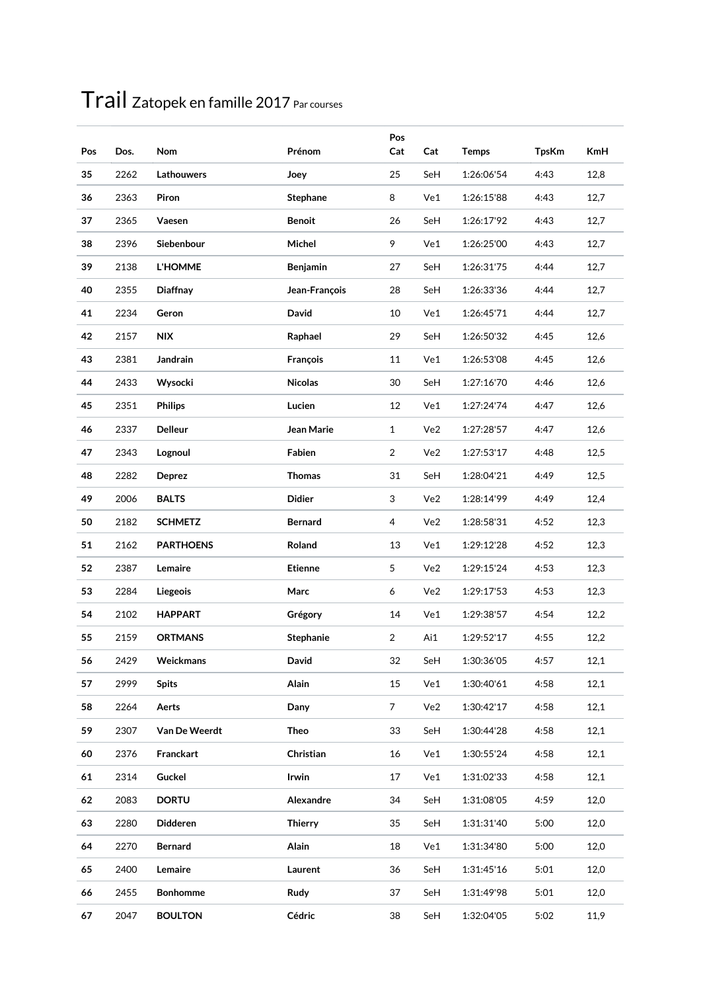| Pos | Dos. | Nom              | Prénom           | Pos<br>Cat     | Cat | <b>Temps</b> | <b>TpsKm</b> | <b>KmH</b> |
|-----|------|------------------|------------------|----------------|-----|--------------|--------------|------------|
| 35  | 2262 | Lathouwers       | Joey             | 25             | SeH | 1:26:06'54   | 4:43         | 12,8       |
| 36  | 2363 | Piron            | <b>Stephane</b>  | 8              | Ve1 | 1:26:15'88   | 4:43         | 12,7       |
| 37  | 2365 | Vaesen           | <b>Benoit</b>    | 26             | SeH | 1:26:17'92   | 4:43         | 12,7       |
| 38  | 2396 | Siebenbour       | Michel           | 9              | Ve1 | 1:26:25'00   | 4:43         | 12,7       |
| 39  | 2138 | <b>L'HOMME</b>   | <b>Benjamin</b>  | 27             | SeH | 1:26:31'75   | 4:44         | 12,7       |
| 40  | 2355 | Diaffnay         | Jean-François    | 28             | SeH | 1:26:33'36   | 4:44         | 12,7       |
| 41  | 2234 | Geron            | David            | 10             | Ve1 | 1:26:45'71   | 4:44         | 12,7       |
| 42  | 2157 | <b>NIX</b>       | Raphael          | 29             | SeH | 1:26:50'32   | 4:45         | 12,6       |
| 43  | 2381 | Jandrain         | François         | 11             | Ve1 | 1:26:53'08   | 4:45         | 12,6       |
| 44  | 2433 | Wysocki          | <b>Nicolas</b>   | 30             | SeH | 1:27:16'70   | 4:46         | 12,6       |
| 45  | 2351 | <b>Philips</b>   | Lucien           | 12             | Ve1 | 1:27:24'74   | 4:47         | 12,6       |
| 46  | 2337 | <b>Delleur</b>   | Jean Marie       | $\mathbf{1}$   | Ve2 | 1:27:28'57   | 4:47         | 12,6       |
| 47  | 2343 | Lognoul          | Fabien           | $\overline{a}$ | Ve2 | 1:27:53'17   | 4:48         | 12,5       |
| 48  | 2282 | Deprez           | <b>Thomas</b>    | 31             | SeH | 1:28:04'21   | 4:49         | 12,5       |
| 49  | 2006 | <b>BALTS</b>     | <b>Didier</b>    | 3              | Ve2 | 1:28:14'99   | 4:49         | 12,4       |
| 50  | 2182 | <b>SCHMETZ</b>   | <b>Bernard</b>   | 4              | Ve2 | 1:28:58'31   | 4:52         | 12,3       |
| 51  | 2162 | <b>PARTHOENS</b> | Roland           | 13             | Ve1 | 1:29:12'28   | 4:52         | 12,3       |
| 52  | 2387 | Lemaire          | <b>Etienne</b>   | 5              | Ve2 | 1:29:15'24   | 4:53         | 12,3       |
| 53  | 2284 | Liegeois         | Marc             | 6              | Ve2 | 1:29:17'53   | 4:53         | 12,3       |
| 54  | 2102 | <b>HAPPART</b>   | Grégory          | 14             | Ve1 | 1:29:38'57   | 4:54         | 12,2       |
| 55  | 2159 | <b>ORTMANS</b>   | <b>Stephanie</b> | $\overline{a}$ | Ai1 | 1:29:52'17   | 4:55         | 12,2       |
| 56  | 2429 | Weickmans        | David            | 32             | SeH | 1:30:36'05   | 4:57         | 12,1       |
| 57  | 2999 | <b>Spits</b>     | Alain            | 15             | Ve1 | 1:30:40'61   | 4:58         | 12,1       |
| 58  | 2264 | Aerts            | Dany             | $\overline{7}$ | Ve2 | 1:30:42'17   | 4:58         | 12,1       |
| 59  | 2307 | Van De Weerdt    | <b>Theo</b>      | 33             | SeH | 1:30:44'28   | 4:58         | 12,1       |
| 60  | 2376 | Franckart        | Christian        | 16             | Ve1 | 1:30:55'24   | 4:58         | 12,1       |
| 61  | 2314 | Guckel           | Irwin            | 17             | Ve1 | 1:31:02'33   | 4:58         | 12,1       |
| 62  | 2083 | <b>DORTU</b>     | Alexandre        | 34             | SeH | 1:31:08'05   | 4:59         | 12,0       |
| 63  | 2280 | Didderen         | <b>Thierry</b>   | 35             | SeH | 1:31:31'40   | 5:00         | 12,0       |
| 64  | 2270 | <b>Bernard</b>   | Alain            | 18             | Ve1 | 1:31:34'80   | 5:00         | 12,0       |
| 65  | 2400 | Lemaire          | Laurent          | 36             | SeH | 1:31:45'16   | 5:01         | 12,0       |
| 66  | 2455 | <b>Bonhomme</b>  | Rudy             | 37             | SeH | 1:31:49'98   | 5:01         | 12,0       |
| 67  | 2047 | <b>BOULTON</b>   | Cédric           | 38             | SeH | 1:32:04'05   | 5:02         | 11,9       |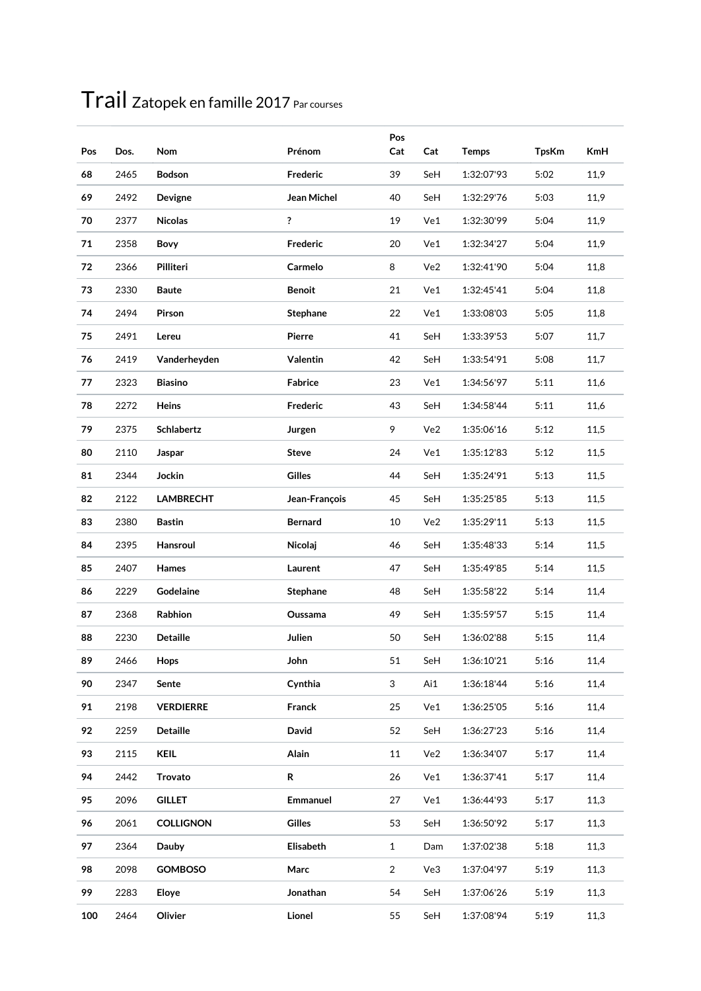| Pos | Dos. | Nom              | Prénom         | Pos<br>Cat     | Cat | <b>Temps</b> | <b>TpsKm</b> | <b>KmH</b> |
|-----|------|------------------|----------------|----------------|-----|--------------|--------------|------------|
| 68  | 2465 | <b>Bodson</b>    | Frederic       | 39             | SeH | 1:32:07'93   | 5:02         | 11,9       |
| 69  | 2492 | Devigne          | Jean Michel    | 40             | SeH | 1:32:29'76   | 5:03         | 11,9       |
| 70  | 2377 | <b>Nicolas</b>   | ?              | 19             | Ve1 | 1:32:30'99   | 5:04         | 11,9       |
| 71  | 2358 | <b>Bovy</b>      | Frederic       | 20             | Ve1 | 1:32:34'27   | 5:04         | 11,9       |
| 72  | 2366 | Pilliteri        | Carmelo        | 8              | Ve2 | 1:32:41'90   | 5:04         | 11,8       |
| 73  | 2330 | <b>Baute</b>     | <b>Benoit</b>  | 21             | Ve1 | 1:32:45'41   | 5:04         | 11,8       |
| 74  | 2494 | Pirson           | Stephane       | 22             | Ve1 | 1:33:08'03   | 5:05         | 11,8       |
| 75  | 2491 | Lereu            | Pierre         | 41             | SeH | 1:33:39'53   | 5:07         | 11,7       |
| 76  | 2419 | Vanderheyden     | Valentin       | 42             | SeH | 1:33:54'91   | 5:08         | 11,7       |
| 77  | 2323 | <b>Biasino</b>   | Fabrice        | 23             | Ve1 | 1:34:56'97   | 5:11         | 11,6       |
| 78  | 2272 | Heins            | Frederic       | 43             | SeH | 1:34:58'44   | 5:11         | 11,6       |
| 79  | 2375 | Schlabertz       | Jurgen         | 9              | Ve2 | 1:35:06'16   | 5:12         | 11,5       |
| 80  | 2110 | Jaspar           | <b>Steve</b>   | 24             | Ve1 | 1:35:12'83   | 5:12         | 11,5       |
| 81  | 2344 | Jockin           | <b>Gilles</b>  | 44             | SeH | 1:35:24'91   | 5:13         | 11,5       |
| 82  | 2122 | <b>LAMBRECHT</b> | Jean-François  | 45             | SeH | 1:35:25'85   | 5:13         | 11,5       |
| 83  | 2380 | <b>Bastin</b>    | <b>Bernard</b> | 10             | Ve2 | 1:35:29'11   | 5:13         | 11,5       |
| 84  | 2395 | Hansroul         | Nicolaj        | 46             | SeH | 1:35:48'33   | 5:14         | 11,5       |
| 85  | 2407 | Hames            | Laurent        | 47             | SeH | 1:35:49'85   | 5:14         | 11,5       |
| 86  | 2229 | Godelaine        | Stephane       | 48             | SeH | 1:35:58'22   | 5:14         | 11,4       |
| 87  | 2368 | Rabhion          | Oussama        | 49             | SeH | 1:35:59'57   | 5:15         | 11,4       |
| 88  | 2230 | <b>Detaille</b>  | Julien         | 50             | SeH | 1:36:02'88   | 5:15         | 11,4       |
| 89  | 2466 | Hops             | John           | 51             | SeH | 1:36:10'21   | 5:16         | 11,4       |
| 90  | 2347 | Sente            | Cynthia        | 3              | Ai1 | 1:36:18'44   | 5:16         | 11,4       |
| 91  | 2198 | <b>VERDIERRE</b> | Franck         | 25             | Ve1 | 1:36:25'05   | 5:16         | 11,4       |
| 92  | 2259 | Detaille         | David          | 52             | SeH | 1:36:27'23   | 5:16         | 11,4       |
| 93  | 2115 | <b>KEIL</b>      | Alain          | 11             | Ve2 | 1:36:34'07   | 5:17         | 11,4       |
| 94  | 2442 | Trovato          | R              | 26             | Ve1 | 1:36:37'41   | 5:17         | 11,4       |
| 95  | 2096 | <b>GILLET</b>    | Emmanuel       | 27             | Ve1 | 1:36:44'93   | 5:17         | 11,3       |
| 96  | 2061 | <b>COLLIGNON</b> | <b>Gilles</b>  | 53             | SeH | 1:36:50'92   | 5:17         | 11,3       |
| 97  | 2364 | Dauby            | Elisabeth      | $\mathbf{1}$   | Dam | 1:37:02'38   | 5:18         | 11,3       |
| 98  | 2098 | GOMBOSO          | Marc           | $\overline{2}$ | Ve3 | 1:37:04'97   | 5:19         | 11,3       |
| 99  | 2283 | Eloye            | Jonathan       | 54             | SeH | 1:37:06'26   | 5:19         | 11,3       |
| 100 | 2464 | Olivier          | Lionel         | 55             | SeH | 1:37:08'94   | 5:19         | 11,3       |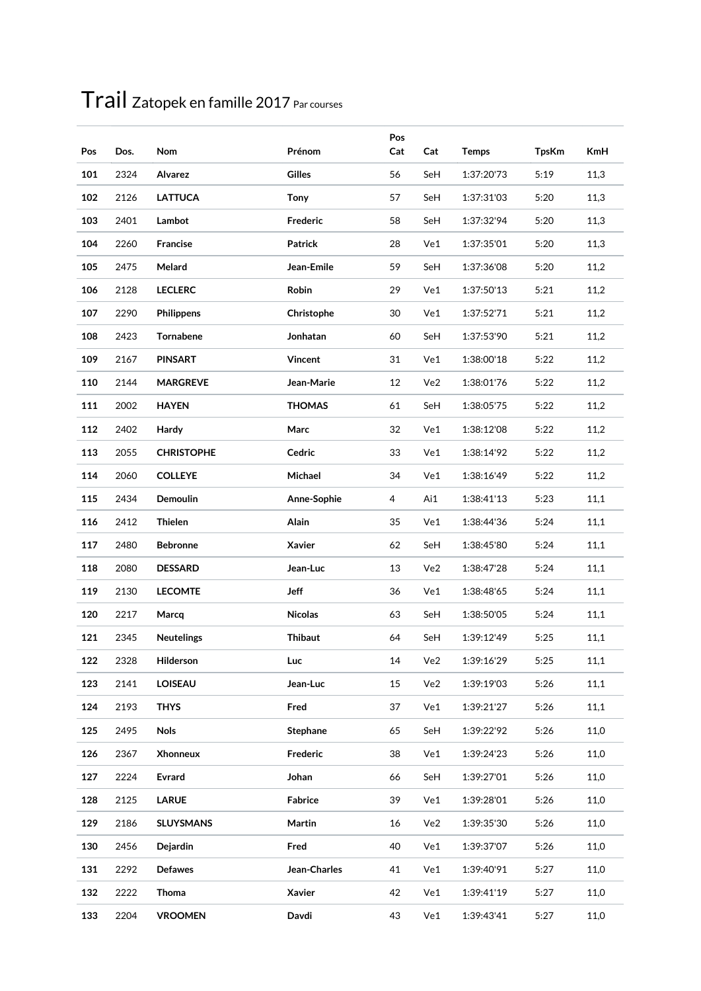| Pos | Dos. | Nom               | Prénom         | Pos<br>Cat | Cat | <b>Temps</b> | <b>TpsKm</b> | <b>KmH</b> |
|-----|------|-------------------|----------------|------------|-----|--------------|--------------|------------|
| 101 | 2324 | Alvarez           | <b>Gilles</b>  | 56         | SeH | 1:37:20'73   | 5:19         | 11,3       |
| 102 | 2126 | <b>LATTUCA</b>    | <b>Tony</b>    | 57         | SeH | 1:37:31'03   | 5:20         | 11,3       |
| 103 | 2401 | Lambot            | Frederic       | 58         | SeH | 1:37:32'94   | 5:20         | 11,3       |
| 104 | 2260 | Francise          | <b>Patrick</b> | 28         | Ve1 | 1:37:35'01   | 5:20         | 11,3       |
| 105 | 2475 | Melard            | Jean-Emile     | 59         | SeH | 1:37:36'08   | 5:20         | 11,2       |
| 106 | 2128 | <b>LECLERC</b>    | Robin          | 29         | Ve1 | 1:37:50'13   | 5:21         | 11,2       |
| 107 | 2290 | Philippens        | Christophe     | 30         | Ve1 | 1:37:52'71   | 5:21         | 11,2       |
| 108 | 2423 | Tornabene         | Jonhatan       | 60         | SeH | 1:37:53'90   | 5:21         | 11,2       |
| 109 | 2167 | <b>PINSART</b>    | <b>Vincent</b> | 31         | Ve1 | 1:38:00'18   | 5:22         | 11,2       |
| 110 | 2144 | <b>MARGREVE</b>   | Jean-Marie     | 12         | Ve2 | 1:38:01'76   | 5:22         | 11,2       |
| 111 | 2002 | <b>HAYEN</b>      | <b>THOMAS</b>  | 61         | SeH | 1:38:05'75   | 5:22         | 11,2       |
| 112 | 2402 | Hardy             | Marc           | 32         | Ve1 | 1:38:12'08   | 5:22         | 11,2       |
| 113 | 2055 | <b>CHRISTOPHE</b> | Cedric         | 33         | Ve1 | 1:38:14'92   | 5:22         | 11,2       |
| 114 | 2060 | <b>COLLEYE</b>    | Michael        | 34         | Ve1 | 1:38:16'49   | 5:22         | 11,2       |
| 115 | 2434 | Demoulin          | Anne-Sophie    | 4          | Ai1 | 1:38:41'13   | 5:23         | 11,1       |
| 116 | 2412 | Thielen           | Alain          | 35         | Ve1 | 1:38:44'36   | 5:24         | 11,1       |
| 117 | 2480 | <b>Bebronne</b>   | Xavier         | 62         | SeH | 1:38:45'80   | 5:24         | 11,1       |
| 118 | 2080 | <b>DESSARD</b>    | Jean-Luc       | 13         | Ve2 | 1:38:47'28   | 5:24         | 11,1       |
| 119 | 2130 | <b>LECOMTE</b>    | <b>Jeff</b>    | 36         | Ve1 | 1:38:48'65   | 5:24         | 11,1       |
| 120 | 2217 | Marcq             | Nicolas        | 63         | SeH | 1:38:50'05   | 5:24         | 11,1       |
| 121 | 2345 | <b>Neutelings</b> | <b>Thibaut</b> | 64         | SeH | 1:39:12'49   | 5:25         | 11,1       |
| 122 | 2328 | Hilderson         | Luc            | $14\,$     | Ve2 | 1:39:16'29   | 5:25         | 11,1       |
| 123 | 2141 | <b>LOISEAU</b>    | Jean-Luc       | 15         | Ve2 | 1:39:19'03   | 5:26         | 11,1       |
| 124 | 2193 | <b>THYS</b>       | Fred           | 37         | Ve1 | 1:39:21'27   | 5:26         | 11,1       |
| 125 | 2495 | <b>Nols</b>       | Stephane       | 65         | SeH | 1:39:22'92   | 5:26         | 11,0       |
| 126 | 2367 | Xhonneux          | Frederic       | 38         | Ve1 | 1:39:24'23   | 5:26         | 11,0       |
| 127 | 2224 | Evrard            | Johan          | 66         | SeH | 1:39:27'01   | 5:26         | 11,0       |
| 128 | 2125 | <b>LARUE</b>      | Fabrice        | 39         | Ve1 | 1:39:28'01   | 5:26         | 11,0       |
| 129 | 2186 | <b>SLUYSMANS</b>  | Martin         | 16         | Ve2 | 1:39:35'30   | 5:26         | 11,0       |
| 130 | 2456 | Dejardin          | Fred           | 40         | Ve1 | 1:39:37'07   | 5:26         | 11,0       |
| 131 | 2292 | <b>Defawes</b>    | Jean-Charles   | 41         | Ve1 | 1:39:40'91   | 5:27         | 11,0       |
| 132 | 2222 | Thoma             | Xavier         | 42         | Ve1 | 1:39:41'19   | 5:27         | 11,0       |
| 133 | 2204 | <b>VROOMEN</b>    | Davdi          | 43         | Ve1 | 1:39:43'41   | 5:27         | 11,0       |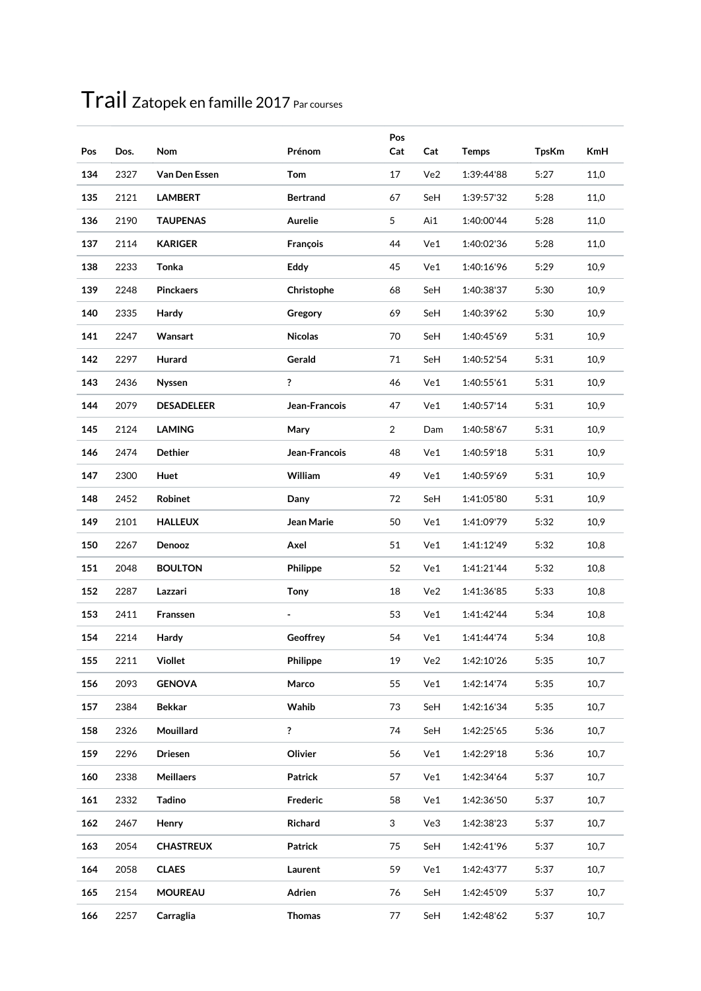| Pos | Dos. | Nom               | Prénom          | Pos<br>Cat     | Cat | <b>Temps</b> | <b>TpsKm</b> | <b>KmH</b> |
|-----|------|-------------------|-----------------|----------------|-----|--------------|--------------|------------|
| 134 | 2327 | Van Den Essen     | Tom             | 17             | Ve2 | 1:39:44'88   | 5:27         | 11,0       |
| 135 | 2121 | <b>LAMBERT</b>    | <b>Bertrand</b> | 67             | SeH | 1:39:57'32   | 5:28         | 11,0       |
| 136 | 2190 | <b>TAUPENAS</b>   | Aurelie         | 5              | Ai1 | 1:40:00'44   | 5:28         | 11,0       |
| 137 | 2114 | <b>KARIGER</b>    | François        | 44             | Ve1 | 1:40:02'36   | 5:28         | 11,0       |
| 138 | 2233 | Tonka             | Eddy            | 45             | Ve1 | 1:40:16'96   | 5:29         | 10,9       |
| 139 | 2248 | <b>Pinckaers</b>  | Christophe      | 68             | SeH | 1:40:38'37   | 5:30         | 10,9       |
| 140 | 2335 | Hardy             | Gregory         | 69             | SeH | 1:40:39'62   | 5:30         | 10,9       |
| 141 | 2247 | Wansart           | <b>Nicolas</b>  | 70             | SeH | 1:40:45'69   | 5:31         | 10,9       |
| 142 | 2297 | Hurard            | Gerald          | 71             | SeH | 1:40:52'54   | 5:31         | 10,9       |
| 143 | 2436 | Nyssen            | ?               | 46             | Ve1 | 1:40:55'61   | 5:31         | 10,9       |
| 144 | 2079 | <b>DESADELEER</b> | Jean-Francois   | 47             | Ve1 | 1:40:57'14   | 5:31         | 10,9       |
| 145 | 2124 | <b>LAMING</b>     | Mary            | $\overline{2}$ | Dam | 1:40:58'67   | 5:31         | 10,9       |
| 146 | 2474 | <b>Dethier</b>    | Jean-Francois   | 48             | Ve1 | 1:40:59'18   | 5:31         | 10,9       |
| 147 | 2300 | Huet              | William         | 49             | Ve1 | 1:40:59'69   | 5:31         | 10,9       |
| 148 | 2452 | Robinet           | Dany            | 72             | SeH | 1:41:05'80   | 5:31         | 10,9       |
| 149 | 2101 | <b>HALLEUX</b>    | Jean Marie      | 50             | Ve1 | 1:41:09'79   | 5:32         | 10,9       |
| 150 | 2267 | Denooz            | Axel            | 51             | Ve1 | 1:41:12'49   | 5:32         | 10,8       |
| 151 | 2048 | <b>BOULTON</b>    | Philippe        | 52             | Ve1 | 1:41:21'44   | 5:32         | 10,8       |
| 152 | 2287 | Lazzari           | <b>Tony</b>     | 18             | Ve2 | 1:41:36'85   | 5:33         | 10,8       |
| 153 | 2411 | Franssen          | ٠               | 53             | Ve1 | 1:41:42'44   | 5:34         | 10,8       |
| 154 | 2214 | Hardy             | Geoffrey        | 54             | Ve1 | 1:41:44'74   | 5:34         | 10,8       |
| 155 | 2211 | Viollet           | Philippe        | 19             | Ve2 | 1:42:10'26   | 5:35         | 10,7       |
| 156 | 2093 | <b>GENOVA</b>     | Marco           | 55             | Ve1 | 1:42:14'74   | 5:35         | 10,7       |
| 157 | 2384 | <b>Bekkar</b>     | Wahib           | 73             | SeH | 1:42:16'34   | 5:35         | 10,7       |
| 158 | 2326 | Mouillard         | $\ddot{?}$      | 74             | SeH | 1:42:25'65   | 5:36         | 10,7       |
| 159 | 2296 | <b>Driesen</b>    | Olivier         | 56             | Ve1 | 1:42:29'18   | 5:36         | 10,7       |
| 160 | 2338 | <b>Meillaers</b>  | Patrick         | 57             | Ve1 | 1:42:34'64   | 5:37         | 10,7       |
| 161 | 2332 | <b>Tadino</b>     | Frederic        | 58             | Ve1 | 1:42:36'50   | 5:37         | 10,7       |
| 162 | 2467 | Henry             | Richard         | 3              | Ve3 | 1:42:38'23   | 5:37         | 10,7       |
| 163 | 2054 | <b>CHASTREUX</b>  | <b>Patrick</b>  | 75             | SeH | 1:42:41'96   | 5:37         | 10,7       |
| 164 | 2058 | <b>CLAES</b>      | Laurent         | 59             | Ve1 | 1:42:43'77   | 5:37         | 10,7       |
| 165 | 2154 | <b>MOUREAU</b>    | Adrien          | 76             | SeH | 1:42:45'09   | 5:37         | 10,7       |
| 166 | 2257 | Carraglia         | <b>Thomas</b>   | 77             | SeH | 1:42:48'62   | 5:37         | 10,7       |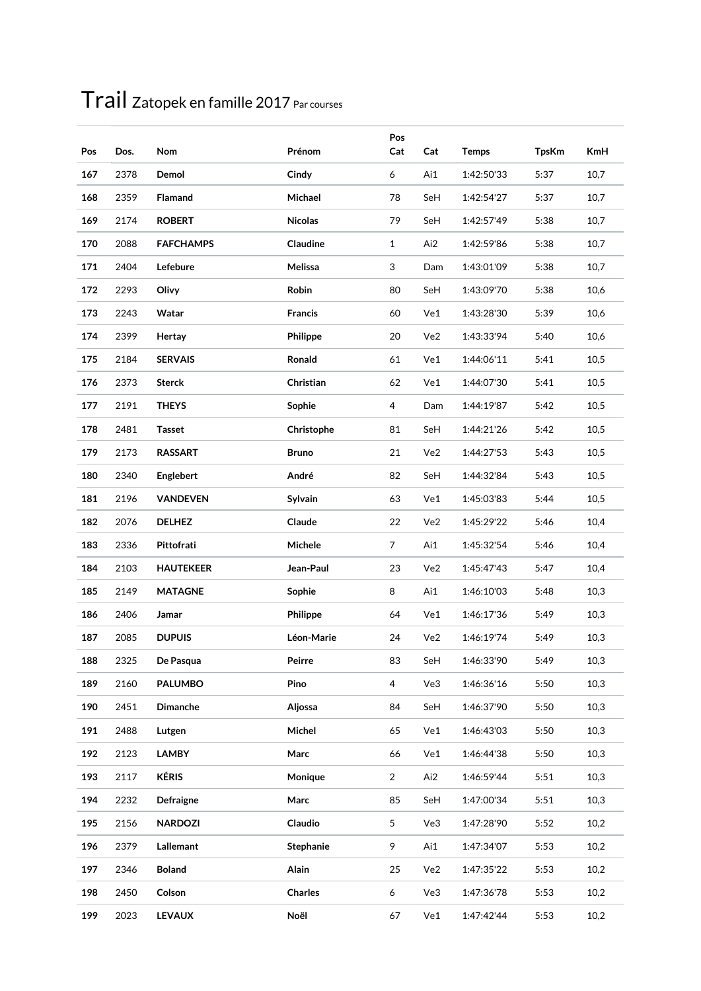| Pos | Dos. | Nom              | Prénom         | Pos<br>Cat     | Cat | <b>Temps</b> | <b>TpsKm</b> | <b>KmH</b> |
|-----|------|------------------|----------------|----------------|-----|--------------|--------------|------------|
| 167 | 2378 | Demol            | Cindy          | 6              | Ai1 | 1:42:50'33   | 5:37         | 10,7       |
| 168 | 2359 | <b>Flamand</b>   | Michael        | 78             | SeH | 1:42:54'27   | 5:37         | 10,7       |
| 169 | 2174 | <b>ROBERT</b>    | <b>Nicolas</b> | 79             | SeH | 1:42:57'49   | 5:38         | 10,7       |
| 170 | 2088 | <b>FAFCHAMPS</b> | Claudine       | $\mathbf{1}$   | Ai2 | 1:42:59'86   | 5:38         | 10,7       |
| 171 | 2404 | Lefebure         | Melissa        | 3              | Dam | 1:43:01'09   | 5:38         | 10,7       |
| 172 | 2293 | Olivy            | Robin          | 80             | SeH | 1:43:09'70   | 5:38         | 10,6       |
| 173 | 2243 | Watar            | <b>Francis</b> | 60             | Ve1 | 1:43:28'30   | 5:39         | 10,6       |
| 174 | 2399 | Hertay           | Philippe       | 20             | Ve2 | 1:43:33'94   | 5:40         | 10,6       |
| 175 | 2184 | <b>SERVAIS</b>   | Ronald         | 61             | Ve1 | 1:44:06'11   | 5:41         | 10,5       |
| 176 | 2373 | <b>Sterck</b>    | Christian      | 62             | Ve1 | 1:44:07'30   | 5:41         | 10,5       |
| 177 | 2191 | <b>THEYS</b>     | Sophie         | 4              | Dam | 1:44:19'87   | 5:42         | 10,5       |
| 178 | 2481 | <b>Tasset</b>    | Christophe     | 81             | SeH | 1:44:21'26   | 5:42         | 10,5       |
| 179 | 2173 | <b>RASSART</b>   | <b>Bruno</b>   | 21             | Ve2 | 1:44:27'53   | 5:43         | 10,5       |
| 180 | 2340 | Englebert        | André          | 82             | SeH | 1:44:32'84   | 5:43         | 10,5       |
| 181 | 2196 | <b>VANDEVEN</b>  | Sylvain        | 63             | Ve1 | 1:45:03'83   | 5:44         | 10,5       |
| 182 | 2076 | <b>DELHEZ</b>    | Claude         | 22             | Ve2 | 1:45:29'22   | 5:46         | 10,4       |
| 183 | 2336 | Pittofrati       | Michele        | $\overline{7}$ | Ai1 | 1:45:32'54   | 5:46         | 10,4       |
| 184 | 2103 | <b>HAUTEKEER</b> | Jean-Paul      | 23             | Ve2 | 1:45:47'43   | 5:47         | 10,4       |
| 185 | 2149 | <b>MATAGNE</b>   | Sophie         | 8              | Ai1 | 1:46:10'03   | 5:48         | 10,3       |
| 186 | 2406 | Jamar            | Philippe       | 64             | Ve1 | 1:46:17'36   | 5:49         | 10,3       |
| 187 | 2085 | <b>DUPUIS</b>    | Léon-Marie     | 24             | Ve2 | 1:46:19'74   | 5:49         | 10,3       |
| 188 | 2325 | De Pasqua        | Peirre         | 83             | SeH | 1:46:33'90   | 5:49         | 10,3       |
| 189 | 2160 | <b>PALUMBO</b>   | Pino           | $\overline{4}$ | Ve3 | 1:46:36'16   | 5:50         | 10,3       |
| 190 | 2451 | Dimanche         | Aljossa        | 84             | SeH | 1:46:37'90   | 5:50         | 10,3       |
| 191 | 2488 | Lutgen           | Michel         | 65             | Ve1 | 1:46:43'03   | 5:50         | 10,3       |
| 192 | 2123 | <b>LAMBY</b>     | Marc           | 66             | Ve1 | 1:46:44'38   | 5:50         | 10,3       |
| 193 | 2117 | <b>KÉRIS</b>     | Monique        | $\overline{2}$ | Ai2 | 1:46:59'44   | 5:51         | 10,3       |
| 194 | 2232 | Defraigne        | Marc           | 85             | SeH | 1:47:00'34   | 5:51         | 10,3       |
| 195 | 2156 | <b>NARDOZI</b>   | Claudio        | 5              | Ve3 | 1:47:28'90   | 5:52         | 10,2       |
| 196 | 2379 | Lallemant        | Stephanie      | 9              | Ai1 | 1:47:34'07   | 5:53         | 10,2       |
| 197 | 2346 | <b>Boland</b>    | Alain          | 25             | Ve2 | 1:47:35'22   | 5:53         | 10,2       |
| 198 | 2450 | Colson           | Charles        | 6              | Ve3 | 1:47:36'78   | 5:53         | 10,2       |
| 199 | 2023 | <b>LEVAUX</b>    | Noël           | 67             | Ve1 | 1:47:42'44   | 5:53         | 10,2       |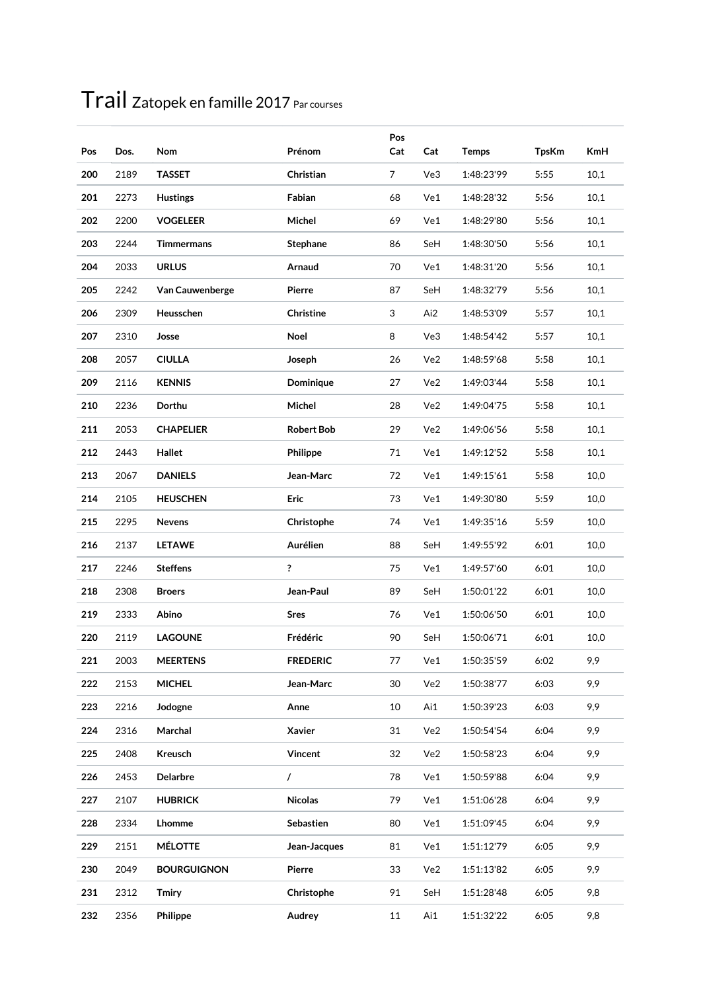| Pos | Dos. | <b>Nom</b>         | Prénom            | Pos<br>Cat     | Cat | <b>Temps</b> | <b>TpsKm</b> | <b>KmH</b> |
|-----|------|--------------------|-------------------|----------------|-----|--------------|--------------|------------|
| 200 | 2189 | <b>TASSET</b>      | Christian         | $\overline{7}$ | Ve3 | 1:48:23'99   | 5:55         | 10,1       |
| 201 | 2273 | <b>Hustings</b>    | Fabian            | 68             | Ve1 | 1:48:28'32   | 5:56         | 10,1       |
| 202 | 2200 | <b>VOGELEER</b>    | Michel            | 69             | Ve1 | 1:48:29'80   | 5:56         | 10,1       |
| 203 | 2244 | <b>Timmermans</b>  | Stephane          | 86             | SeH | 1:48:30'50   | 5:56         | 10,1       |
| 204 | 2033 | <b>URLUS</b>       | Arnaud            | 70             | Ve1 | 1:48:31'20   | 5:56         | 10,1       |
| 205 | 2242 | Van Cauwenberge    | Pierre            | 87             | SeH | 1:48:32'79   | 5:56         | 10,1       |
| 206 | 2309 | Heusschen          | Christine         | 3              | Ai2 | 1:48:53'09   | 5:57         | 10,1       |
| 207 | 2310 | Josse              | Noel              | 8              | Ve3 | 1:48:54'42   | 5:57         | 10,1       |
| 208 | 2057 | <b>CIULLA</b>      | Joseph            | 26             | Ve2 | 1:48:59'68   | 5:58         | 10,1       |
| 209 | 2116 | <b>KENNIS</b>      | Dominique         | 27             | Ve2 | 1:49:03'44   | 5:58         | 10,1       |
| 210 | 2236 | Dorthu             | Michel            | 28             | Ve2 | 1:49:04'75   | 5:58         | 10,1       |
| 211 | 2053 | <b>CHAPELIER</b>   | <b>Robert Bob</b> | 29             | Ve2 | 1:49:06'56   | 5:58         | 10,1       |
| 212 | 2443 | Hallet             | Philippe          | 71             | Ve1 | 1:49:12'52   | 5:58         | 10,1       |
| 213 | 2067 | <b>DANIELS</b>     | Jean-Marc         | 72             | Ve1 | 1:49:15'61   | 5:58         | 10,0       |
| 214 | 2105 | <b>HEUSCHEN</b>    | <b>Eric</b>       | 73             | Ve1 | 1:49:30'80   | 5:59         | 10,0       |
| 215 | 2295 | <b>Nevens</b>      | Christophe        | 74             | Ve1 | 1:49:35'16   | 5:59         | 10,0       |
| 216 | 2137 | <b>LETAWE</b>      | Aurélien          | 88             | SeH | 1:49:55'92   | 6:01         | 10,0       |
| 217 | 2246 | <b>Steffens</b>    | ?                 | 75             | Ve1 | 1:49:57'60   | 6:01         | 10,0       |
| 218 | 2308 | <b>Broers</b>      | Jean-Paul         | 89             | SeH | 1:50:01'22   | 6:01         | 10,0       |
| 219 | 2333 | Abino              | <b>Sres</b>       | 76             | Ve1 | 1:50:06'50   | 6:01         | 10,0       |
| 220 | 2119 | <b>LAGOUNE</b>     | Frédéric          | 90             | SeH | 1:50:06'71   | 6:01         | 10,0       |
| 221 | 2003 | <b>MEERTENS</b>    | <b>FREDERIC</b>   | 77             | Ve1 | 1:50:35'59   | 6:02         | 9,9        |
| 222 | 2153 | <b>MICHEL</b>      | Jean-Marc         | 30             | Ve2 | 1:50:38'77   | 6:03         | 9,9        |
| 223 | 2216 | Jodogne            | Anne              | 10             | Ai1 | 1:50:39'23   | 6:03         | 9,9        |
| 224 | 2316 | Marchal            | Xavier            | 31             | Ve2 | 1:50:54'54   | 6:04         | 9,9        |
| 225 | 2408 | Kreusch            | Vincent           | 32             | Ve2 | 1:50:58'23   | 6:04         | 9,9        |
| 226 | 2453 | Delarbre           | $\sqrt{2}$        | 78             | Ve1 | 1:50:59'88   | 6:04         | 9,9        |
| 227 | 2107 | <b>HUBRICK</b>     | <b>Nicolas</b>    | 79             | Ve1 | 1:51:06'28   | 6:04         | 9,9        |
| 228 | 2334 | Lhomme             | Sebastien         | 80             | Ve1 | 1:51:09'45   | 6:04         | 9,9        |
| 229 | 2151 | <b>MÉLOTTE</b>     | Jean-Jacques      | 81             | Ve1 | 1:51:12'79   | 6:05         | 9,9        |
| 230 | 2049 | <b>BOURGUIGNON</b> | Pierre            | 33             | Ve2 | 1:51:13'82   | 6:05         | 9,9        |
| 231 | 2312 | <b>Tmiry</b>       | Christophe        | 91             | SeH | 1:51:28'48   | 6:05         | 9,8        |
| 232 | 2356 | Philippe           | Audrey            | 11             | Ai1 | 1:51:32'22   | 6:05         | 9,8        |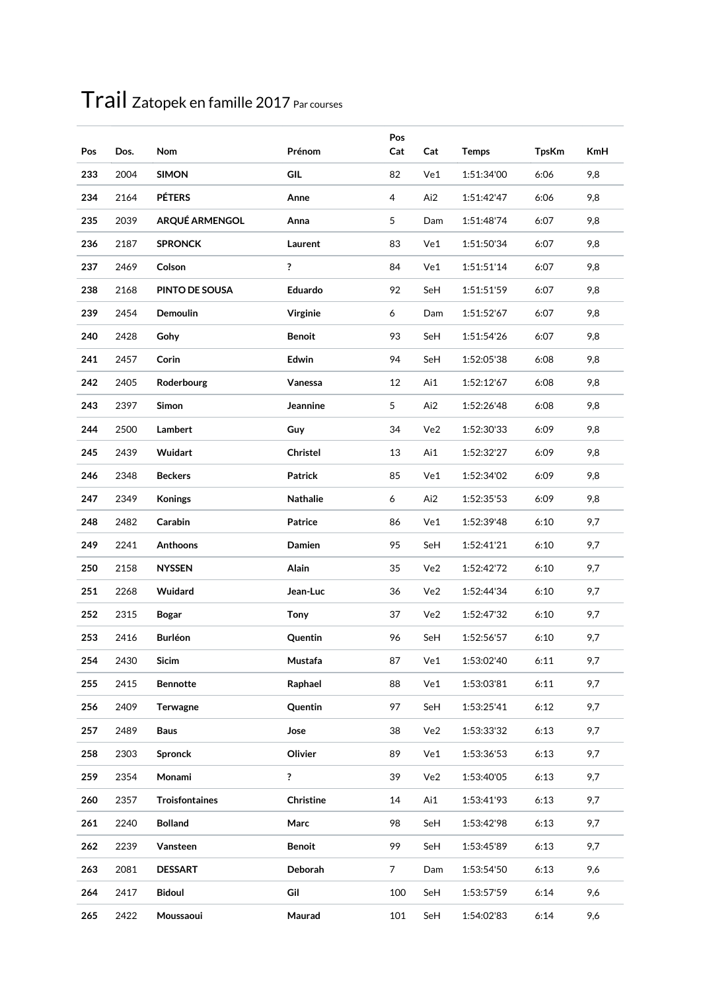| Pos        | Dos.         | Nom                      | Prénom             | Pos<br>Cat     | Cat        | <b>Temps</b>             | <b>TpsKm</b> | <b>KmH</b> |
|------------|--------------|--------------------------|--------------------|----------------|------------|--------------------------|--------------|------------|
| 233        | 2004         | <b>SIMON</b>             | GIL                | 82             | Ve1        | 1:51:34'00               | 6:06         | 9,8        |
| 234        | 2164         | <b>PÉTERS</b>            | Anne               | 4              | Ai2        | 1:51:42'47               | 6:06         | 9,8        |
| 235        | 2039         | ARQUÉ ARMENGOL           | Anna               | 5              | Dam        | 1:51:48'74               | 6:07         | 9,8        |
| 236        | 2187         | <b>SPRONCK</b>           | Laurent            | 83             | Ve1        | 1:51:50'34               | 6:07         | 9,8        |
| 237        | 2469         | Colson                   | ?                  | 84             | Ve1        | 1:51:51'14               | 6:07         | 9,8        |
| 238        | 2168         | PINTO DE SOUSA           | Eduardo            | 92             | SeH        | 1:51:51'59               | 6:07         | 9,8        |
| 239        | 2454         | Demoulin                 | Virginie           | 6              | Dam        | 1:51:52'67               | 6:07         | 9,8        |
| 240        | 2428         | Gohy                     | <b>Benoit</b>      | 93             | SeH        | 1:51:54'26               | 6:07         | 9,8        |
| 241        | 2457         | Corin                    | Edwin              | 94             | SeH        | 1:52:05'38               | 6:08         | 9,8        |
| 242        | 2405         | Roderbourg               | Vanessa            | 12             | Ai1        | 1:52:12'67               | 6:08         | 9,8        |
| 243        | 2397         | Simon                    | Jeannine           | 5              | Ai2        | 1:52:26'48               | 6:08         | 9,8        |
| 244        | 2500         | Lambert                  | Guy                | 34             | Ve2        | 1:52:30'33               | 6:09         | 9,8        |
| 245        | 2439         | Wuidart                  | Christel           | 13             | Ai1        | 1:52:32'27               | 6:09         | 9,8        |
| 246        | 2348         | <b>Beckers</b>           | <b>Patrick</b>     | 85             | Ve1        | 1:52:34'02               | 6:09         | 9,8        |
| 247        | 2349         | <b>Konings</b>           | Nathalie           | 6              | Ai2        | 1:52:35'53               | 6:09         | 9,8        |
| 248        | 2482         | Carabin                  | Patrice            | 86             | Ve1        | 1:52:39'48               | 6:10         | 9,7        |
| 249        | 2241         | Anthoons                 | Damien             | 95             | SeH        | 1:52:41'21               | 6:10         | 9,7        |
| 250        | 2158         | <b>NYSSEN</b>            | Alain              | 35             | Ve2        | 1:52:42'72               | 6:10         | 9,7        |
| 251        | 2268         | Wuidard                  | Jean-Luc           | 36             | Ve2        | 1:52:44'34               | 6:10         | 9,7        |
| 252        | 2315         | <b>Bogar</b>             | <b>Tony</b>        | 37             | Ve2        | 1:52:47'32               | 6:10         | 9,7        |
| 253        | 2416         | <b>Burléon</b>           | Quentin            | 96             | SeH        | 1:52:56'57               | 6:10         | 9,7        |
|            |              |                          |                    |                |            |                          |              |            |
| 254<br>255 | 2430<br>2415 | Sicim<br><b>Bennotte</b> | Mustafa<br>Raphael | 87<br>88       | Ve1<br>Ve1 | 1:53:02'40<br>1:53:03'81 | 6:11<br>6:11 | 9,7<br>9,7 |
| 256        | 2409         | Terwagne                 | Quentin            | 97             | SeH        | 1:53:25'41               |              | 9,7        |
| 257        | 2489         | <b>Baus</b>              | Jose               | 38             | Ve2        | 1:53:33'32               | 6:12<br>6:13 | 9,7        |
| 258        | 2303         | <b>Spronck</b>           | Olivier            | 89             | Ve1        | 1:53:36'53               | 6:13         | 9,7        |
| 259        | 2354         | Monami                   | ?                  | 39             | Ve2        | 1:53:40'05               | 6:13         | 9,7        |
| 260        | 2357         | <b>Troisfontaines</b>    | Christine          | 14             | Ai1        | 1:53:41'93               | 6:13         | 9,7        |
| 261        | 2240         | <b>Bolland</b>           | Marc               | 98             | SeH        |                          | 6:13         | 9,7        |
|            |              |                          |                    | 99             |            | 1:53:42'98               |              |            |
| 262        | 2239         | Vansteen                 | <b>Benoit</b>      |                | SeH        | 1:53:45'89               | 6:13         | 9,7        |
| 263        | 2081         | <b>DESSART</b>           | Deborah            | $\overline{7}$ | Dam        | 1:53:54'50               | 6:13         | 9,6        |
| 264        | 2417         | <b>Bidoul</b>            | Gil                | 100            | SeH        | 1:53:57'59               | 6:14         | 9,6        |
| 265        | 2422         | Moussaoui                | Maurad             | 101            | SeH        | 1:54:02'83               | 6:14         | 9,6        |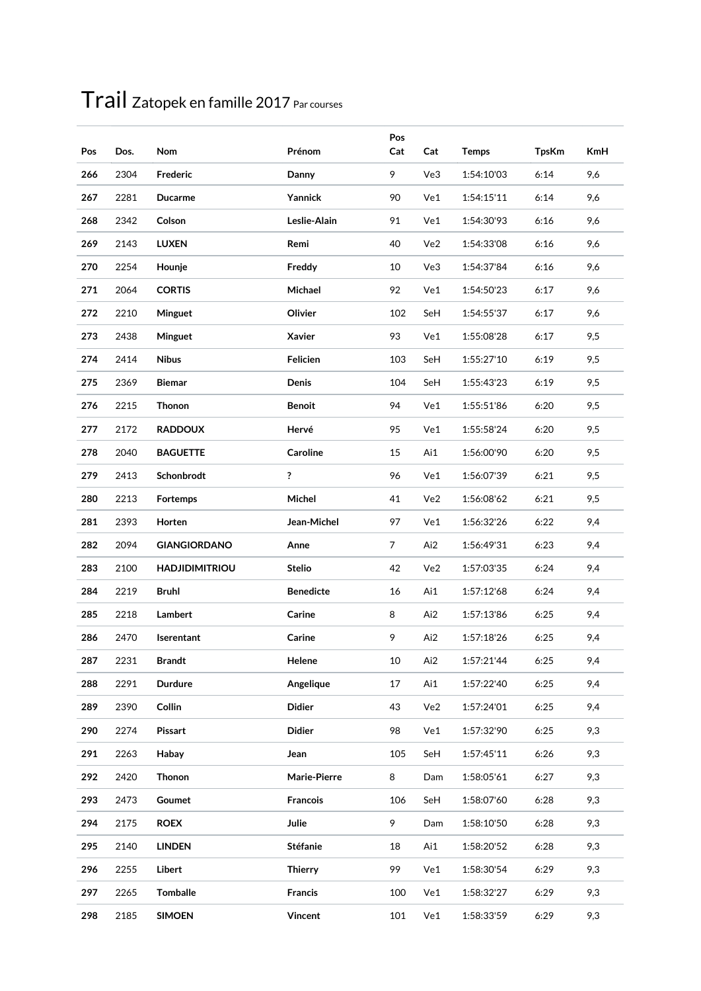| Pos | Dos. | Nom                   | Prénom           | Pos<br>Cat     | Cat | <b>Temps</b> | <b>TpsKm</b> | <b>KmH</b> |
|-----|------|-----------------------|------------------|----------------|-----|--------------|--------------|------------|
| 266 | 2304 | Frederic              | Danny            | 9              | Ve3 | 1:54:10'03   | 6:14         | 9,6        |
| 267 | 2281 | <b>Ducarme</b>        | Yannick          | 90             | Ve1 | 1:54:15'11   | 6:14         | 9,6        |
| 268 | 2342 | Colson                | Leslie-Alain     | 91             | Ve1 | 1:54:30'93   | 6:16         | 9,6        |
| 269 | 2143 | <b>LUXEN</b>          | Remi             | 40             | Ve2 | 1:54:33'08   | 6:16         | 9,6        |
| 270 | 2254 | Hounje                | Freddy           | 10             | Ve3 | 1:54:37'84   | 6:16         | 9,6        |
| 271 | 2064 | <b>CORTIS</b>         | Michael          | 92             | Ve1 | 1:54:50'23   | 6:17         | 9,6        |
| 272 | 2210 | Minguet               | Olivier          | 102            | SeH | 1:54:55'37   | 6:17         | 9,6        |
| 273 | 2438 | Minguet               | Xavier           | 93             | Ve1 | 1:55:08'28   | 6:17         | 9,5        |
| 274 | 2414 | <b>Nibus</b>          | Felicien         | 103            | SeH | 1:55:27'10   | 6:19         | 9,5        |
| 275 | 2369 | <b>Biemar</b>         | Denis            | 104            | SeH | 1:55:43'23   | 6:19         | 9,5        |
| 276 | 2215 | Thonon                | <b>Benoit</b>    | 94             | Ve1 | 1:55:51'86   | 6:20         | 9,5        |
| 277 | 2172 | <b>RADDOUX</b>        | Hervé            | 95             | Ve1 | 1:55:58'24   | 6:20         | 9,5        |
| 278 | 2040 | <b>BAGUETTE</b>       | Caroline         | 15             | Ai1 | 1:56:00'90   | 6:20         | 9,5        |
| 279 | 2413 | Schonbrodt            | ?                | 96             | Ve1 | 1:56:07'39   | 6:21         | 9,5        |
| 280 | 2213 | Fortemps              | Michel           | 41             | Ve2 | 1:56:08'62   | 6:21         | 9,5        |
| 281 | 2393 | Horten                | Jean-Michel      | 97             | Ve1 | 1:56:32'26   | 6:22         | 9,4        |
| 282 | 2094 | <b>GIANGIORDANO</b>   | Anne             | $\overline{7}$ | Ai2 | 1:56:49'31   | 6:23         | 9,4        |
| 283 | 2100 | <b>HADJIDIMITRIOU</b> | <b>Stelio</b>    | 42             | Ve2 | 1:57:03'35   | 6:24         | 9,4        |
| 284 | 2219 | <b>Bruhl</b>          | <b>Benedicte</b> | 16             | Ai1 | 1:57:12'68   | 6:24         | 9,4        |
| 285 | 2218 | Lambert               | Carine           | 8              | Ai2 | 1:57:13'86   | 6:25         | 9,4        |
| 286 | 2470 | Iserentant            | Carine           | 9              | Ai2 | 1:57:18'26   | 6:25         | 9,4        |
| 287 | 2231 | Brandt                | Helene           | $10\,$         | Ai2 | 1:57:21'44   | 6:25         | 9,4        |
| 288 | 2291 | <b>Durdure</b>        | Angelique        | 17             | Ai1 | 1:57:22'40   | 6:25         | 9,4        |
| 289 | 2390 | Collin                | <b>Didier</b>    | 43             | Ve2 | 1:57:24'01   | 6:25         | 9,4        |
| 290 | 2274 | Pissart               | <b>Didier</b>    | 98             | Ve1 | 1:57:32'90   | 6:25         | 9,3        |
| 291 | 2263 | Habay                 | Jean             | 105            | SeH | 1:57:45'11   | 6:26         | 9,3        |
| 292 | 2420 | Thonon                | Marie-Pierre     | 8              | Dam | 1:58:05'61   | 6:27         | 9,3        |
| 293 | 2473 | Goumet                | <b>Francois</b>  | 106            | SeH | 1:58:07'60   | 6:28         | 9,3        |
| 294 | 2175 | <b>ROEX</b>           | Julie            | 9              | Dam | 1:58:10'50   | 6:28         | 9,3        |
| 295 | 2140 | <b>LINDEN</b>         | <b>Stéfanie</b>  | 18             | Ai1 | 1:58:20'52   | 6:28         | 9,3        |
| 296 | 2255 | Libert                | <b>Thierry</b>   | 99             | Ve1 | 1:58:30'54   | 6:29         | 9,3        |
| 297 | 2265 | <b>Tomballe</b>       | Francis          | 100            | Ve1 | 1:58:32'27   | 6:29         | 9,3        |
| 298 | 2185 | <b>SIMOEN</b>         | Vincent          | 101            | Ve1 | 1:58:33'59   | 6:29         | 9,3        |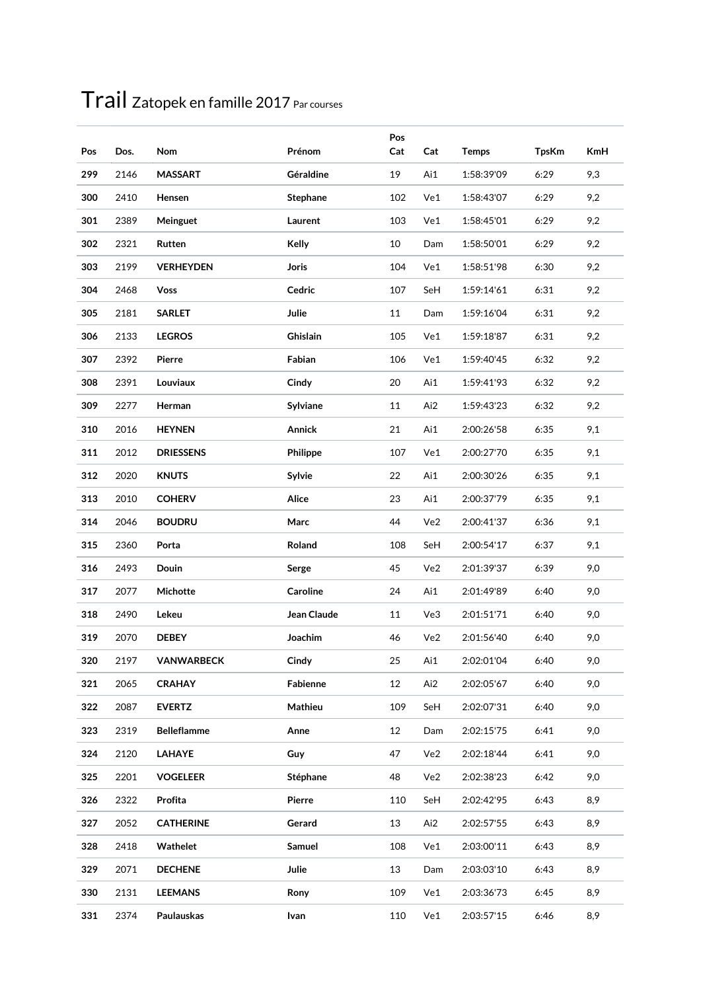| Pos | Dos. | Nom                | Prénom          | Pos<br>Cat | Cat | <b>Temps</b> | <b>TpsKm</b> | <b>KmH</b> |
|-----|------|--------------------|-----------------|------------|-----|--------------|--------------|------------|
| 299 | 2146 | <b>MASSART</b>     | Géraldine       | 19         | Ai1 | 1:58:39'09   | 6:29         | 9,3        |
| 300 | 2410 | Hensen             | <b>Stephane</b> | 102        | Ve1 | 1:58:43'07   | 6:29         | 9,2        |
| 301 | 2389 | Meinguet           | Laurent         | 103        | Ve1 | 1:58:45'01   | 6:29         | 9,2        |
| 302 | 2321 | Rutten             | Kelly           | 10         | Dam | 1:58:50'01   | 6:29         | 9,2        |
| 303 | 2199 | <b>VERHEYDEN</b>   | <b>Joris</b>    | 104        | Ve1 | 1:58:51'98   | 6:30         | 9,2        |
| 304 | 2468 | <b>Voss</b>        | Cedric          | 107        | SeH | 1:59:14'61   | 6:31         | 9,2        |
| 305 | 2181 | <b>SARLET</b>      | Julie           | 11         | Dam | 1:59:16'04   | 6:31         | 9,2        |
| 306 | 2133 | <b>LEGROS</b>      | Ghislain        | 105        | Ve1 | 1:59:18'87   | 6:31         | 9,2        |
| 307 | 2392 | Pierre             | Fabian          | 106        | Ve1 | 1:59:40'45   | 6:32         | 9,2        |
| 308 | 2391 | Louviaux           | Cindy           | 20         | Ai1 | 1:59:41'93   | 6:32         | 9,2        |
| 309 | 2277 | Herman             | Sylviane        | 11         | Ai2 | 1:59:43'23   | 6:32         | 9,2        |
| 310 | 2016 | <b>HEYNEN</b>      | <b>Annick</b>   | 21         | Ai1 | 2:00:26'58   | 6:35         | 9,1        |
| 311 | 2012 | <b>DRIESSENS</b>   | Philippe        | 107        | Ve1 | 2:00:27'70   | 6:35         | 9,1        |
| 312 | 2020 | <b>KNUTS</b>       | Sylvie          | 22         | Ai1 | 2:00:30'26   | 6:35         | 9,1        |
| 313 | 2010 | <b>COHERV</b>      | Alice           | 23         | Ai1 | 2:00:37'79   | 6:35         | 9,1        |
| 314 | 2046 | <b>BOUDRU</b>      | Marc            | 44         | Ve2 | 2:00:41'37   | 6:36         | 9,1        |
| 315 | 2360 | Porta              | Roland          | 108        | SeH | 2:00:54'17   | 6:37         | 9,1        |
| 316 | 2493 | Douin              | Serge           | 45         | Ve2 | 2:01:39'37   | 6:39         | 9,0        |
| 317 | 2077 | Michotte           | Caroline        | 24         | Ai1 | 2:01:49'89   | 6:40         | 9,0        |
| 318 | 2490 | Lekeu              | Jean Claude     | 11         | Ve3 | 2:01:51'71   | 6:40         | 9,0        |
| 319 | 2070 | <b>DEBEY</b>       | Joachim         | 46         | Ve2 | 2:01:56'40   | 6:40         | 9,0        |
| 320 | 2197 | VANWARBECK         | Cindy           | 25         | Ai1 | 2:02:01'04   | 6:40         | 9,0        |
| 321 | 2065 | <b>CRAHAY</b>      | Fabienne        | 12         | Ai2 | 2:02:05'67   | 6:40         | 9,0        |
| 322 | 2087 | <b>EVERTZ</b>      | Mathieu         | 109        | SeH | 2:02:07'31   | 6:40         | 9,0        |
| 323 | 2319 | <b>Belleflamme</b> | Anne            | 12         | Dam | 2:02:15'75   | 6:41         | 9,0        |
| 324 | 2120 | LAHAYE             | Guy             | 47         | Ve2 | 2:02:18'44   | 6:41         | 9,0        |
| 325 | 2201 | <b>VOGELEER</b>    | Stéphane        | 48         | Ve2 | 2:02:38'23   | 6:42         | 9,0        |
| 326 | 2322 | Profita            | Pierre          | 110        | SeH | 2:02:42'95   | 6:43         | 8,9        |
| 327 | 2052 | <b>CATHERINE</b>   | Gerard          | 13         | Ai2 | 2:02:57'55   | 6:43         | 8,9        |
| 328 | 2418 | Wathelet           | Samuel          | 108        | Ve1 | 2:03:00'11   | 6:43         | 8,9        |
| 329 | 2071 | <b>DECHENE</b>     | Julie           | 13         | Dam | 2:03:03'10   | 6:43         | 8,9        |
| 330 | 2131 | <b>LEEMANS</b>     | Rony            | 109        | Ve1 | 2:03:36'73   | 6:45         | 8,9        |
| 331 | 2374 | Paulauskas         | Ivan            | 110        | Ve1 | 2:03:57'15   | 6:46         | 8,9        |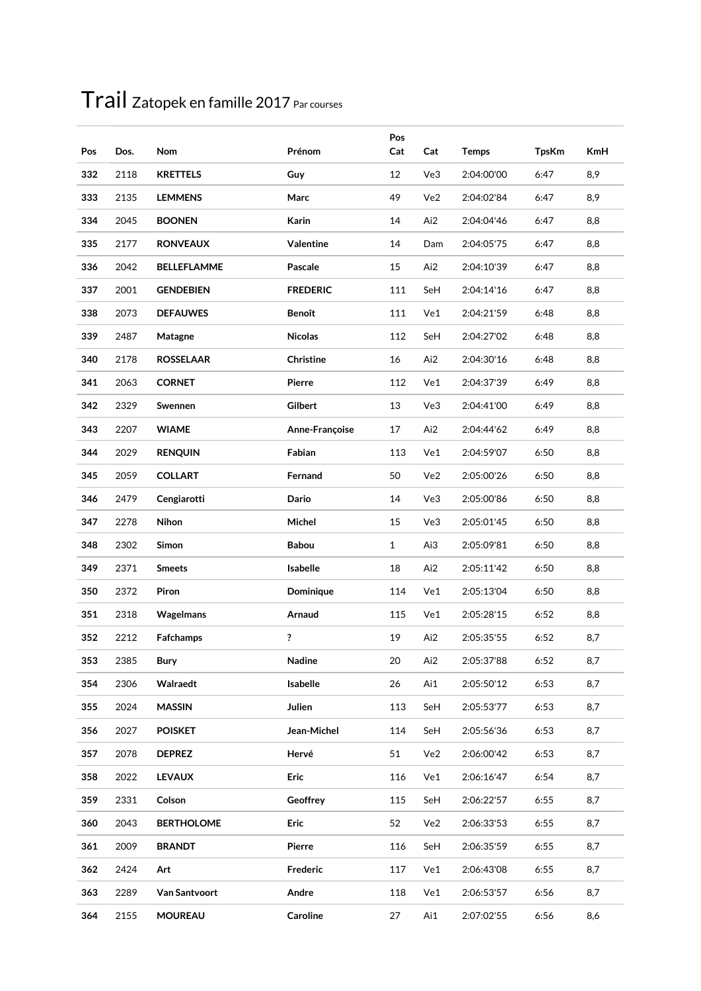| Pos | Dos. | Nom                  | Prénom          | Pos<br>Cat   | Cat | <b>Temps</b> | <b>TpsKm</b> | <b>KmH</b> |
|-----|------|----------------------|-----------------|--------------|-----|--------------|--------------|------------|
| 332 | 2118 | <b>KRETTELS</b>      | Guy             | 12           | Ve3 | 2:04:00'00   | 6:47         | 8,9        |
| 333 | 2135 | <b>LEMMENS</b>       | Marc            | 49           | Ve2 | 2:04:02'84   | 6:47         | 8,9        |
| 334 | 2045 | <b>BOONEN</b>        | Karin           | 14           | Ai2 | 2:04:04'46   | 6:47         | 8,8        |
| 335 | 2177 | <b>RONVEAUX</b>      | Valentine       | 14           | Dam | 2:04:05'75   | 6:47         | 8,8        |
| 336 | 2042 | <b>BELLEFLAMME</b>   | Pascale         | 15           | Ai2 | 2:04:10'39   | 6:47         | 8,8        |
| 337 | 2001 | <b>GENDEBIEN</b>     | <b>FREDERIC</b> | 111          | SeH | 2:04:14'16   | 6:47         | 8,8        |
| 338 | 2073 | <b>DEFAUWES</b>      | <b>Benoît</b>   | 111          | Ve1 | 2:04:21'59   | 6:48         | 8,8        |
| 339 | 2487 | Matagne              | <b>Nicolas</b>  | 112          | SeH | 2:04:27'02   | 6:48         | 8,8        |
| 340 | 2178 | <b>ROSSELAAR</b>     | Christine       | 16           | Ai2 | 2:04:30'16   | 6:48         | 8,8        |
| 341 | 2063 | <b>CORNET</b>        | Pierre          | 112          | Ve1 | 2:04:37'39   | 6:49         | 8,8        |
| 342 | 2329 | Swennen              | Gilbert         | 13           | Ve3 | 2:04:41'00   | 6:49         | 8,8        |
| 343 | 2207 | <b>WIAME</b>         | Anne-Françoise  | 17           | Ai2 | 2:04:44'62   | 6:49         | 8,8        |
| 344 | 2029 | <b>RENQUIN</b>       | Fabian          | 113          | Ve1 | 2:04:59'07   | 6:50         | 8,8        |
| 345 | 2059 | <b>COLLART</b>       | Fernand         | 50           | Ve2 | 2:05:00'26   | 6:50         | 8,8        |
| 346 | 2479 | Cengiarotti          | Dario           | 14           | Ve3 | 2:05:00'86   | 6:50         | 8,8        |
| 347 | 2278 | Nihon                | Michel          | 15           | Ve3 | 2:05:01'45   | 6:50         | 8,8        |
| 348 | 2302 | Simon                | <b>Babou</b>    | $\mathbf{1}$ | Ai3 | 2:05:09'81   | 6:50         | 8,8        |
| 349 | 2371 | <b>Smeets</b>        | Isabelle        | 18           | Ai2 | 2:05:11'42   | 6:50         | 8,8        |
| 350 | 2372 | Piron                | Dominique       | 114          | Ve1 | 2:05:13'04   | 6:50         | 8,8        |
| 351 | 2318 | <b>Wagelmans</b>     | Arnaud          | 115          | Ve1 | 2:05:28'15   | 6:52         | 8,8        |
| 352 | 2212 | Fafchamps            | ?               | 19           | Ai2 | 2:05:35'55   | 6:52         | 8,7        |
| 353 | 2385 | Bury                 | Nadine          | 20           | Ai2 | 2:05:37'88   | 6:52         | 8,7        |
| 354 | 2306 | Walraedt             | Isabelle        | 26           | Ai1 | 2:05:50'12   | 6:53         | 8,7        |
| 355 | 2024 | <b>MASSIN</b>        | Julien          | 113          | SeH | 2:05:53'77   | 6:53         | 8,7        |
| 356 | 2027 | <b>POISKET</b>       | Jean-Michel     | 114          | SeH | 2:05:56'36   | 6:53         | 8,7        |
| 357 | 2078 | <b>DEPREZ</b>        | Hervé           | 51           | Ve2 | 2:06:00'42   | 6:53         | 8,7        |
| 358 | 2022 | <b>LEVAUX</b>        | Eric            | 116          | Ve1 | 2:06:16'47   | 6:54         | 8,7        |
| 359 | 2331 | Colson               | Geoffrey        | 115          | SeH | 2:06:22'57   | 6:55         | 8,7        |
| 360 | 2043 | <b>BERTHOLOME</b>    | Eric            | 52           | Ve2 | 2:06:33'53   | 6:55         | 8,7        |
| 361 | 2009 | <b>BRANDT</b>        | Pierre          | 116          | SeH | 2:06:35'59   | 6:55         | 8,7        |
| 362 | 2424 | Art                  | Frederic        | 117          | Ve1 | 2:06:43'08   | 6:55         | 8,7        |
| 363 | 2289 | <b>Van Santvoort</b> | Andre           | 118          | Ve1 | 2:06:53'57   | 6:56         | 8,7        |
| 364 | 2155 | <b>MOUREAU</b>       | Caroline        | 27           | Ai1 | 2:07:02'55   | 6:56         | 8,6        |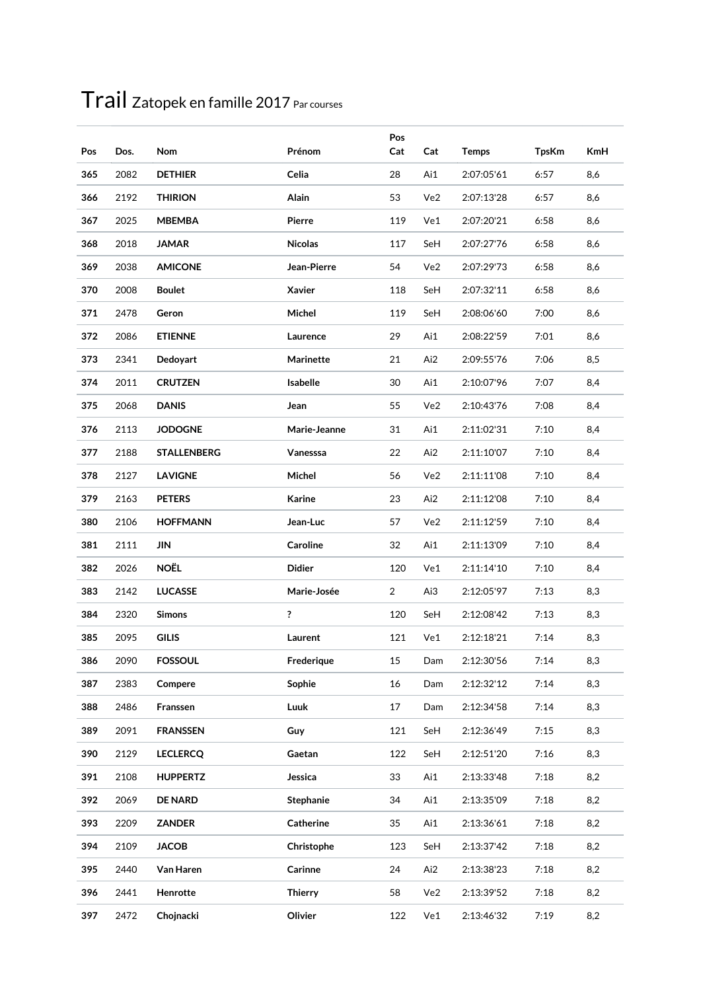| Pos | Dos. | Nom                | Prénom           | Pos<br>Cat     | Cat | <b>Temps</b> | <b>TpsKm</b> | <b>KmH</b> |
|-----|------|--------------------|------------------|----------------|-----|--------------|--------------|------------|
| 365 | 2082 | <b>DETHIER</b>     | Celia            | 28             | Ai1 | 2:07:05'61   | 6:57         | 8,6        |
| 366 | 2192 | <b>THIRION</b>     | Alain            | 53             | Ve2 | 2:07:13'28   | 6:57         | 8,6        |
| 367 | 2025 | <b>MBEMBA</b>      | Pierre           | 119            | Ve1 | 2:07:20'21   | 6:58         | 8,6        |
| 368 | 2018 | <b>JAMAR</b>       | <b>Nicolas</b>   | 117            | SeH | 2:07:27'76   | 6:58         | 8,6        |
| 369 | 2038 | <b>AMICONE</b>     | Jean-Pierre      | 54             | Ve2 | 2:07:29'73   | 6:58         | 8,6        |
| 370 | 2008 | <b>Boulet</b>      | Xavier           | 118            | SeH | 2:07:32'11   | 6:58         | 8,6        |
| 371 | 2478 | Geron              | Michel           | 119            | SeH | 2:08:06'60   | 7:00         | 8,6        |
| 372 | 2086 | <b>ETIENNE</b>     | Laurence         | 29             | Ai1 | 2:08:22'59   | 7:01         | 8,6        |
| 373 | 2341 | Dedoyart           | <b>Marinette</b> | 21             | Ai2 | 2:09:55'76   | 7:06         | 8,5        |
| 374 | 2011 | <b>CRUTZEN</b>     | Isabelle         | 30             | Ai1 | 2:10:07'96   | 7:07         | 8,4        |
| 375 | 2068 | <b>DANIS</b>       | Jean             | 55             | Ve2 | 2:10:43'76   | 7:08         | 8,4        |
| 376 | 2113 | <b>JODOGNE</b>     | Marie-Jeanne     | 31             | Ai1 | 2:11:02'31   | 7:10         | 8,4        |
| 377 | 2188 | <b>STALLENBERG</b> | Vanesssa         | 22             | Ai2 | 2:11:10'07   | 7:10         | 8,4        |
| 378 | 2127 | <b>LAVIGNE</b>     | Michel           | 56             | Ve2 | 2:11:11'08   | 7:10         | 8,4        |
| 379 | 2163 | <b>PETERS</b>      | Karine           | 23             | Ai2 | 2:11:12'08   | 7:10         | 8,4        |
| 380 | 2106 | <b>HOFFMANN</b>    | Jean-Luc         | 57             | Ve2 | 2:11:12'59   | 7:10         | 8,4        |
| 381 | 2111 | JIN                | Caroline         | 32             | Ai1 | 2:11:13'09   | 7:10         | 8,4        |
| 382 | 2026 | <b>NOËL</b>        | <b>Didier</b>    | 120            | Ve1 | 2:11:14'10   | 7:10         | 8,4        |
| 383 | 2142 | <b>LUCASSE</b>     | Marie-Josée      | $\overline{2}$ | Ai3 | 2:12:05'97   | 7:13         | 8,3        |
| 384 | 2320 | <b>Simons</b>      | ?                | 120            | SeH | 2:12:08'42   | 7:13         | 8,3        |
| 385 | 2095 | <b>GILIS</b>       | Laurent          | 121            | Ve1 | 2:12:18'21   | 7:14         | 8,3        |
| 386 | 2090 | <b>FOSSOUL</b>     | Frederique       | 15             | Dam | 2:12:30'56   | 7:14         | 8,3        |
| 387 | 2383 | Compere            | Sophie           | 16             | Dam | 2:12:32'12   | 7:14         | 8,3        |
| 388 | 2486 | Franssen           | Luuk             | 17             | Dam | 2:12:34'58   | 7:14         | 8,3        |
| 389 | 2091 | <b>FRANSSEN</b>    | Guy              | 121            | SeH | 2:12:36'49   | 7:15         | 8,3        |
| 390 | 2129 | <b>LECLERCQ</b>    | Gaetan           | 122            | SeH | 2:12:51'20   | 7:16         | 8,3        |
| 391 | 2108 | <b>HUPPERTZ</b>    | Jessica          | 33             | Ai1 | 2:13:33'48   | 7:18         | 8,2        |
| 392 | 2069 | <b>DE NARD</b>     | Stephanie        | 34             | Ai1 | 2:13:35'09   | 7:18         | 8,2        |
| 393 | 2209 | <b>ZANDER</b>      | Catherine        | 35             | Ai1 | 2:13:36'61   | 7:18         | 8,2        |
| 394 | 2109 | <b>JACOB</b>       | Christophe       | 123            | SeH | 2:13:37'42   | 7:18         | 8,2        |
| 395 | 2440 | Van Haren          | Carinne          | 24             | Ai2 | 2:13:38'23   | 7:18         | 8,2        |
| 396 | 2441 | Henrotte           | <b>Thierry</b>   | 58             | Ve2 | 2:13:39'52   | 7:18         | 8,2        |
| 397 | 2472 | Chojnacki          | Olivier          | 122            | Ve1 | 2:13:46'32   | 7:19         | 8,2        |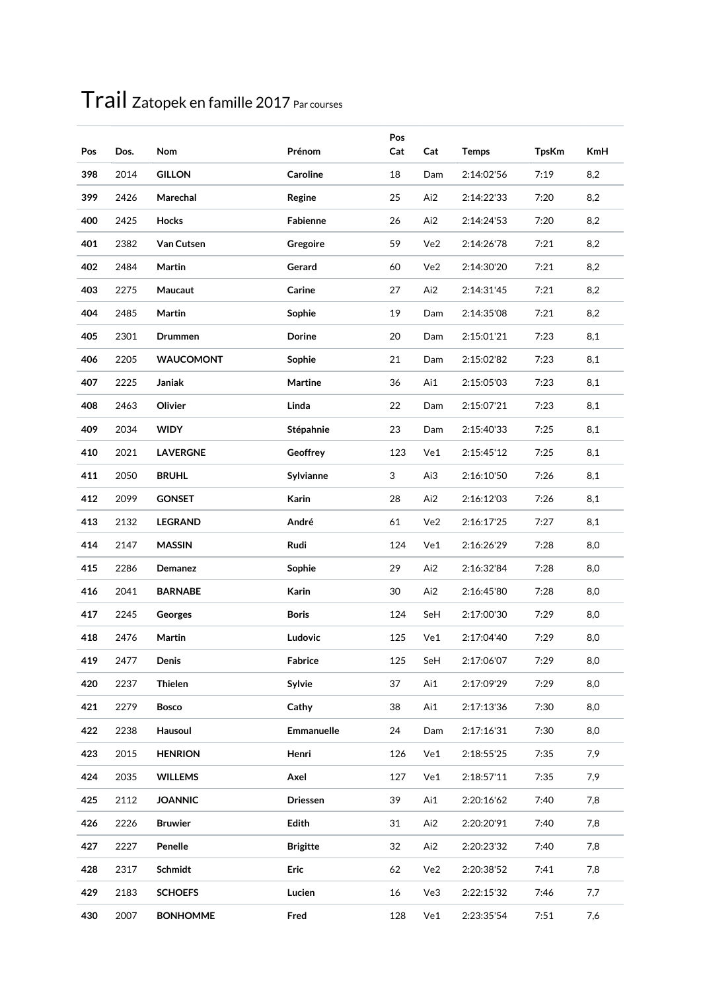| Pos | Dos. | Nom              | Prénom          | Pos<br>Cat | Cat | <b>Temps</b> | <b>TpsKm</b> | <b>KmH</b> |
|-----|------|------------------|-----------------|------------|-----|--------------|--------------|------------|
| 398 | 2014 | <b>GILLON</b>    | Caroline        | 18         | Dam | 2:14:02'56   | 7:19         | 8,2        |
| 399 | 2426 | Marechal         | Regine          | 25         | Ai2 | 2:14:22'33   | 7:20         | 8,2        |
| 400 | 2425 | Hocks            | Fabienne        | 26         | Ai2 | 2:14:24'53   | 7:20         | 8,2        |
| 401 | 2382 | Van Cutsen       | Gregoire        | 59         | Ve2 | 2:14:26'78   | 7:21         | 8,2        |
| 402 | 2484 | Martin           | Gerard          | 60         | Ve2 | 2:14:30'20   | 7:21         | 8,2        |
| 403 | 2275 | Maucaut          | Carine          | 27         | Ai2 | 2:14:31'45   | 7:21         | 8,2        |
| 404 | 2485 | Martin           | Sophie          | 19         | Dam | 2:14:35'08   | 7:21         | 8,2        |
| 405 | 2301 | <b>Drummen</b>   | Dorine          | 20         | Dam | 2:15:01'21   | 7:23         | 8,1        |
| 406 | 2205 | <b>WAUCOMONT</b> | Sophie          | 21         | Dam | 2:15:02'82   | 7:23         | 8,1        |
| 407 | 2225 | Janiak           | <b>Martine</b>  | 36         | Ai1 | 2:15:05'03   | 7:23         | 8,1        |
| 408 | 2463 | Olivier          | Linda           | 22         | Dam | 2:15:07'21   | 7:23         | 8,1        |
| 409 | 2034 | <b>WIDY</b>      | Stépahnie       | 23         | Dam | 2:15:40'33   | 7:25         | 8,1        |
| 410 | 2021 | <b>LAVERGNE</b>  | Geoffrey        | 123        | Ve1 | 2:15:45'12   | 7:25         | 8,1        |
| 411 | 2050 | <b>BRUHL</b>     | Sylvianne       | 3          | Ai3 | 2:16:10'50   | 7:26         | 8,1        |
| 412 | 2099 | <b>GONSET</b>    | Karin           | 28         | Ai2 | 2:16:12'03   | 7:26         | 8,1        |
| 413 | 2132 | <b>LEGRAND</b>   | André           | 61         | Ve2 | 2:16:17'25   | 7:27         | 8,1        |
| 414 | 2147 | <b>MASSIN</b>    | Rudi            | 124        | Ve1 | 2:16:26'29   | 7:28         | 8,0        |
| 415 | 2286 | Demanez          | Sophie          | 29         | Ai2 | 2:16:32'84   | 7:28         | 8,0        |
| 416 | 2041 | <b>BARNABE</b>   | Karin           | 30         | Ai2 | 2:16:45'80   | 7:28         | 8,0        |
| 417 | 2245 | Georges          | <b>Boris</b>    | 124        | SeH | 2:17:00'30   | 7:29         | 8,0        |
| 418 | 2476 | Martin           | Ludovic         | 125        | Ve1 | 2:17:04'40   | 7:29         | 8,0        |
| 419 | 2477 | Denis            | Fabrice         | 125        | SeH | 2:17:06'07   | 7:29         | 8,0        |
| 420 | 2237 | <b>Thielen</b>   | Sylvie          | 37         | Ai1 | 2:17:09'29   | 7:29         | 8,0        |
| 421 | 2279 | <b>Bosco</b>     | Cathy           | 38         | Ai1 | 2:17:13'36   | 7:30         | 8,0        |
| 422 | 2238 | Hausoul          | Emmanuelle      | 24         | Dam | 2:17:16'31   | 7:30         | 8,0        |
| 423 | 2015 | <b>HENRION</b>   | Henri           | 126        | Ve1 | 2:18:55'25   | 7:35         | 7,9        |
| 424 | 2035 | <b>WILLEMS</b>   | Axel            | 127        | Ve1 | 2:18:57'11   | 7:35         | 7,9        |
| 425 | 2112 | <b>JOANNIC</b>   | Driessen        | 39         | Ai1 | 2:20:16'62   | 7:40         | 7,8        |
| 426 | 2226 | <b>Bruwier</b>   | Edith           | 31         | Ai2 | 2:20:20'91   | 7:40         | 7,8        |
| 427 | 2227 | Penelle          | <b>Brigitte</b> | 32         | Ai2 | 2:20:23'32   | 7:40         | 7,8        |
| 428 | 2317 | Schmidt          | Eric            | 62         | Ve2 | 2:20:38'52   | 7:41         | 7,8        |
| 429 | 2183 | <b>SCHOEFS</b>   | Lucien          | 16         | Ve3 | 2:22:15'32   | 7:46         | 7,7        |
| 430 | 2007 | <b>BONHOMME</b>  | Fred            | 128        | Ve1 | 2:23:35'54   | 7:51         | 7,6        |